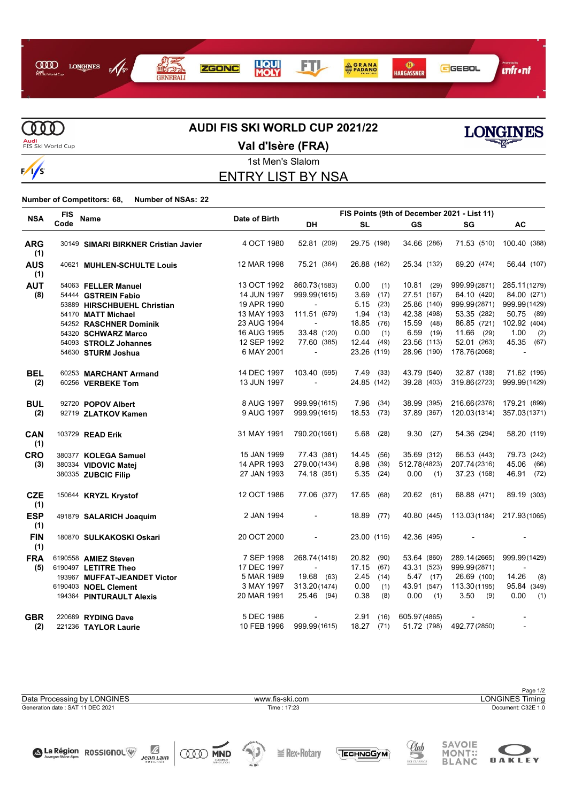



# **AUDI FIS SKI WORLD CUP 2021/22**



**Val d'Isère (FRA)**



#### 1st Men's Slalom ENTRY LIST BY NSA

**Number of Competitors: 68, Number of NSAs: 22**

| <b>NSA</b>        | <b>FIS</b> | <b>Name</b>                          |               | FIS Points (9th of December 2021 - List 11) |              |          |               |              |                          |
|-------------------|------------|--------------------------------------|---------------|---------------------------------------------|--------------|----------|---------------|--------------|--------------------------|
|                   | Code       |                                      | Date of Birth | DH                                          | <b>SL</b>    |          | <b>GS</b>     | SG           | AC                       |
| <b>ARG</b><br>(1) |            | 30149 SIMARI BIRKNER Cristian Javier | 4 OCT 1980    | 52.81 (209)                                 | 29.75 (198)  |          | 34.66 (286)   |              | 71.53 (510) 100.40 (388) |
| <b>AUS</b><br>(1) |            | 40621 MUHLEN-SCHULTE Louis           | 12 MAR 1998   | 75.21 (364)                                 | 26.88 (162)  |          | 25.34 (132)   | 69.20 (474)  | 56.44 (107)              |
| <b>AUT</b>        |            | 54063 FELLER Manuel                  | 13 OCT 1992   | 860.73(1583)                                | 0.00         | (1)      | 10.81(29)     | 999.99(2871) | 285.11(1279)             |
| (8)               |            | 54444 GSTREIN Fabio                  | 14 JUN 1997   | 999.99(1615)                                | 3.69         | (17)     | 27.51 (167)   | 64.10 (420)  | 84.00 (271)              |
|                   |            | 53889 HIRSCHBUEHL Christian          | 19 APR 1990   | $\blacksquare$                              | 5.15         | (23)     | 25.86 (140)   | 999.99(2871) | 999.99(1429)             |
|                   |            | 54170 MATT Michael                   | 13 MAY 1993   | 111.51 (679)                                | 1.94         | (13)     | 42.38 (498)   | 53.35 (282)  | 50.75 (89)               |
|                   |            | 54252 RASCHNER Dominik               | 23 AUG 1994   |                                             | 18.85        | (76)     | 15.59 (48)    | 86.85 (721)  | 102.92 (404)             |
|                   |            | 54320 SCHWARZ Marco                  | 16 AUG 1995   | 33.48 (120)                                 | 0.00         | (1)      | $6.59$ (19)   | 11.66 (29)   | 1.00<br>(2)              |
|                   |            | 54093 STROLZ Johannes                | 12 SEP 1992   | 77.60 (385)                                 | 12.44        | (49)     | 23.56 (113)   | 52.01 (263)  | 45.35 (67)               |
|                   |            | 54630 STURM Joshua                   | 6 MAY 2001    |                                             | 23.26 (119)  |          | 28.96 (190)   | 178.76(2068) |                          |
| <b>BEL</b>        |            | 60253 MARCHANT Armand                | 14 DEC 1997   | 103.40 (595)                                | 7.49         | (33)     | 43.79 (540)   | 32.87 (138)  | 71.62 (195)              |
| (2)               |            | 60256 VERBEKE Tom                    | 13 JUN 1997   | $\overline{\phantom{a}}$                    | 24.85 (142)  |          | 39.28 (403)   | 319.86(2723) | 999.99(1429)             |
| <b>BUL</b>        |            | 92720 POPOV Albert                   | 8 AUG 1997    | 999.99(1615)                                | 7.96         | (34)     | 38.99 (395)   | 216.66(2376) | 179.21 (899)             |
| (2)               |            | 92719 ZLATKOV Kamen                  | 9 AUG 1997    | 999.99(1615)                                | 18.53        | (73)     | 37.89 (367)   | 120.03(1314) | 357.03(1371)             |
| <b>CAN</b><br>(1) |            | 103729 READ Erik                     | 31 MAY 1991   | 790.20(1561)                                | 5.68         | (28)     | 9.30(27)      | 54.36 (294)  | 58.20 (119)              |
| <b>CRO</b>        |            | 380377 KOLEGA Samuel                 | 15 JAN 1999   | 77.43 (381)                                 | 14.45        | (56)     | 35.69 (312)   | 66.53 (443)  | 79.73 (242)              |
| (3)               |            | 380334 VIDOVIC Matej                 | 14 APR 1993   | 279.00 (1434)                               | 8.98         | (39)     | 512.78(4823)  | 207.74(2316) | 45.06<br>(66)            |
|                   |            | 380335 ZUBCIC Filip                  | 27 JAN 1993   | 74.18 (351)                                 | 5.35         | (24)     | 0.00<br>(1)   | 37.23 (158)  | 46.91 (72)               |
| <b>CZE</b><br>(1) |            | 150644 KRYZL Krystof                 | 12 OCT 1986   | 77.06 (377)                                 | 17.65        | (68)     | $20.62$ (81)  | 68.88 (471)  | 89.19 (303)              |
| <b>ESP</b><br>(1) |            | 491879 SALARICH Joaquim              | 2 JAN 1994    |                                             | 18.89 (77)   |          | 40.80 (445)   | 113.03(1184) | 217.93(1065)             |
| <b>FIN</b><br>(1) |            | 180870 SULKAKOSKI Oskari             | 20 OCT 2000   |                                             | 23.00 (115)  |          | 42.36 (495)   |              |                          |
| <b>FRA</b>        |            | 6190558 AMIEZ Steven                 | 7 SEP 1998    | 268.74 (1418)                               | 20.82        | (90)     | 53.64 (860)   | 289.14(2665) | 999.99(1429)             |
| (5)               |            | 6190497 LETITRE Theo                 | 17 DEC 1997   |                                             | 17.15        | (67)     | 43.31 (523)   | 999.99(2871) |                          |
|                   |            | 193967 MUFFAT-JEANDET Victor         | 5 MAR 1989    | 19.68 (63)                                  | 2.45         | (14)     | $5.47$ (17)   | 26.69 (100)  | 14.26<br>(8)             |
|                   |            | 6190403 NOEL Clement                 | 3 MAY 1997    | 313.20(1474)                                | 0.00         | (1)      | 43.91 (547)   | 113.30(1195) | 95.84 (349)              |
|                   |            | 194364 PINTURAULT Alexis             | 20 MAR 1991   | 25.46 (94)                                  | 0.38         | (8)      | 0.00<br>(1)   | 3.50<br>(9)  | 0.00<br>(1)              |
| <b>GBR</b>        |            | 220689 RYDING Dave                   | 5 DEC 1986    |                                             |              | 2.91(16) | 605.97 (4865) |              |                          |
| (2)               |            | 221236 TAYLOR Laurie                 | 10 FEB 1996   | 999.99(1615)                                | $18.27$ (71) |          | 51.72 (798)   | 492.77(2850) | $\overline{\phantom{a}}$ |

Page 1/2<br>LONGINES Timing Generation date : SAT 11 DEC 2021 Time : 17:23 Document: C32E 1.0 Data Processing by LONGINES www.fis-ski.com

**ODD MND** 

 $\sum_{\substack{\text{Mean Lain} \\ \text{no units}}}$ 

A La Région ROSSIGNOL





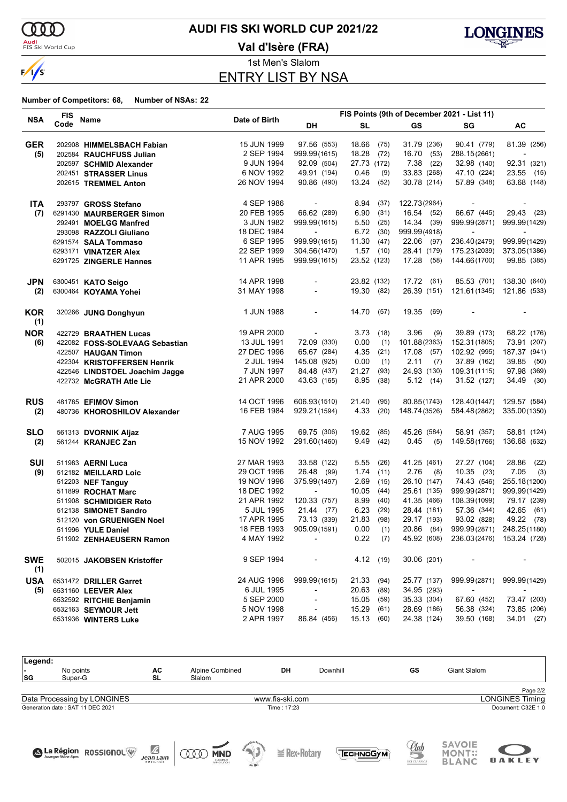$\delta \delta \delta$ 

 $\sqrt{s}$ 

#### **Audi**<br>FIS Ski World Cup

## **AUDI FIS SKI WORLD CUP 2021/22**

**Val d'Isère (FRA)**



1st Men's Slalom ENTRY LIST BY NSA

#### **Number of Competitors: 68, Number of NSAs: 22**

|                   | <b>FIS</b> |                                |               | FIS Points (9th of December 2021 - List 11) |             |            |               |                                       |                           |  |
|-------------------|------------|--------------------------------|---------------|---------------------------------------------|-------------|------------|---------------|---------------------------------------|---------------------------|--|
| <b>NSA</b>        | Code       | Name                           | Date of Birth | DH                                          | SL          |            | GS            | SG                                    | AC                        |  |
| <b>GER</b>        |            | 202908 HIMMELSBACH Fabian      | 15 JUN 1999   | 97.56 (553)                                 | 18.66 (75)  |            | 31.79 (236)   | 90.41 (779)                           | 81.39 (256)               |  |
| (5)               |            | 202584 RAUCHFUSS Julian        | 2 SEP 1994    | 999.99(1615)                                | 18.28       | (72)       | 16.70 (53)    | 288.15(2661)                          |                           |  |
|                   |            | 202597 SCHMID Alexander        | 9 JUN 1994    | 92.09 (504)                                 | 27.73 (172) |            | 7.38<br>(22)  | 32.98 (140)                           | 92.31 (321)               |  |
|                   |            | 202451 STRASSER Linus          | 6 NOV 1992    | 49.91 (194)                                 | 0.46        | (9)        | 33.83 (268)   | 47.10 (224)                           | 23.55 (15)                |  |
|                   |            | 202615 TREMMEL Anton           | 26 NOV 1994   | 90.86 (490)                                 | 13.24       | (52)       | 30.78 (214)   | 57.89 (348)                           | 63.68 (148)               |  |
|                   |            |                                |               |                                             |             |            |               |                                       |                           |  |
| <b>ITA</b>        |            | 293797 GROSS Stefano           | 4 SEP 1986    | $\overline{\phantom{a}}$                    | 8.94        | (37)       | 122.73(2964)  | $\overline{\phantom{a}}$              |                           |  |
| (7)               |            | 6291430 MAURBERGER Simon       | 20 FEB 1995   | 66.62 (289)                                 | 6.90        | (31)       | 16.54 (52)    | 66.67 (445)                           | 29.43 (23)                |  |
|                   |            | 292491 MOELGG Manfred          | 3 JUN 1982    | 999.99(1615)                                | 5.50        | (25)       | 14.34 (39)    | 999.99(2871)                          | 999.99(1429)              |  |
|                   |            | 293098 RAZZOLI Giuliano        | 18 DEC 1984   | $\overline{a}$                              | 6.72        | (30)       | 999.99(4918)  | $\overline{\phantom{a}}$              | $\overline{a}$            |  |
|                   |            | 6291574 SALA Tommaso           | 6 SEP 1995    | 999.99(1615)                                | 11.30       | (47)       | 22.06 (97)    | 236.40(2479)                          | 999.99(1429)              |  |
|                   |            | 6293171 VINATZER Alex          | 22 SEP 1999   | 304.56(1470)                                | 1.57        | (10)       | 28.41 (179)   | 175.23(2039)                          | 373.05(1386)              |  |
|                   |            | 6291725 ZINGERLE Hannes        | 11 APR 1995   | 999.99(1615)                                | 23.52 (123) |            | 17.28 (58)    | 144.66(1700)                          | 99.85 (385)               |  |
| <b>JPN</b>        |            | 6300451 KATO Seigo             | 14 APR 1998   |                                             | 23.82 (132) |            | 17.72(61)     | 85.53 (701)                           | 138.30 (640)              |  |
| (2)               |            | 6300464 KOYAMA Yohei           | 31 MAY 1998   | $\overline{\phantom{a}}$                    | 19.30 (82)  |            | 26.39 (151)   |                                       | 121.61(1345) 121.86 (533) |  |
|                   |            |                                |               |                                             |             |            |               |                                       |                           |  |
| <b>KOR</b><br>(1) |            | 320266 JUNG Donghyun           | 1 JUN 1988    |                                             | 14.70       | (57)       | 19.35<br>(69) | $\overline{\phantom{a}}$              | $\overline{\phantom{a}}$  |  |
| <b>NOR</b>        |            | 422729 BRAATHEN Lucas          | 19 APR 2000   | $\blacksquare$                              | 3.73        | (18)       | 3.96<br>(9)   | 39.89 (173)                           | 68.22 (176)               |  |
| (6)               |            | 422082 FOSS-SOLEVAAG Sebastian | 13 JUL 1991   | 72.09 (330)                                 | 0.00        | (1)        | 101.88(2363)  | 152.31 (1805)                         | 73.91 (207)               |  |
|                   |            | 422507 HAUGAN Timon            | 27 DEC 1996   | 65.67 (284)                                 | 4.35        | (21)       | 17.08<br>(57) | 102.92 (995)                          | 187.37 (941)              |  |
|                   |            | 422304 KRISTOFFERSEN Henrik    | 2 JUL 1994    | 145.08 (925)                                | 0.00        | (1)        | 2.11<br>(7)   | 37.89 (162)                           | 39.85 (50)                |  |
|                   |            |                                | 7 JUN 1997    | 84.48 (437)                                 | 21.27       | (93)       | 24.93 (130)   | 109.31(1115)                          | 97.98 (369)               |  |
|                   |            | 422546 LINDSTOEL Joachim Jagge |               |                                             |             |            |               |                                       |                           |  |
|                   |            | 422732 McGRATH Atle Lie        | 21 APR 2000   | 43.63 (165)                                 | 8.95        | (38)       | 5.12(14)      | 31.52 (127)                           | 34.49 (30)                |  |
| <b>RUS</b>        |            | 481785 EFIMOV Simon            | 14 OCT 1996   | 606.93(1510)                                | 21.40       | (95)       | 80.85(1743)   | 128.40(1447)                          | 129.57 (584)              |  |
| (2)               |            | 480736 KHOROSHILOV Alexander   | 16 FEB 1984   | 929.21 (1594)                               | 4.33        | (20)       | 148.74(3526)  | 584.48(2862)                          | 335.00(1350)              |  |
| <b>SLO</b>        |            | 561313 DVORNIK Aljaz           | 7 AUG 1995    | 69.75 (306)                                 | 19.62       | (85)       | 45.26 (584)   | 58.91 (357)                           | 58.81 (124)               |  |
| (2)               |            | 561244 KRANJEC Zan             | 15 NOV 1992   | 291.60(1460)                                | 9.49        | (42)       | 0.45<br>(5)   | 149.58(1766)                          | 136.68 (632)              |  |
|                   |            |                                |               |                                             |             |            |               |                                       |                           |  |
| <b>SUI</b>        |            | 511983 AERNI Luca              | 27 MAR 1993   | 33.58 (122)                                 | 5.55        | (26)       | 41.25 (461)   | 27.27 (104)                           | 28.86<br>(22)             |  |
| (9)               |            | 512182 MEILLARD Loic           | 29 OCT 1996   | 26.48 (99)                                  | 1.74        | (11)       | 2.76<br>(8)   | $10.35$ (23)                          | 7.05<br>(3)               |  |
|                   |            | 512203 NEF Tanguy              | 19 NOV 1996   | 375.99(1497)                                | 2.69        | (15)       | 26.10 (147)   | 74.43 (546)                           | 255.18(1200)              |  |
|                   |            | 511899 ROCHAT Marc             | 18 DEC 1992   | $\overline{\phantom{a}}$                    | 10.05       | (44)       | 25.61 (135)   | 999.99(2871)                          | 999.99(1429)              |  |
|                   |            | 511908 SCHMIDIGER Reto         | 21 APR 1992   | 120.33 (757)                                | 8.99        | (40)       | 41.35 (466)   | 108.39(1099)                          | 79.17 (239)               |  |
|                   |            | 512138 SIMONET Sandro          | 5 JUL 1995    | $21.44$ (77)                                | 6.23        | (29)       | 28.44 (181)   | 57.36 (344)                           | 42.65 (61)                |  |
|                   |            | 512120 von GRUENIGEN Noel      | 17 APR 1995   | 73.13 (339)                                 | 21.83       | (98)       | 29.17 (193)   | 93.02 (828)                           | 49.22 (78)                |  |
|                   |            | 511996 YULE Daniel             | 18 FEB 1993   | 905.09(1591)                                | 0.00        | (1)        | 20.86 (84)    | 999.99(2871)                          | 248.25(1180)              |  |
|                   |            | 511902 ZENHAEUSERN Ramon       | 4 MAY 1992    |                                             |             | $0.22$ (7) |               | 45.92 (608) 236.03(2476) 153.24 (728) |                           |  |
| <b>SWE</b><br>(1) |            | 502015 JAKOBSEN Kristoffer     | 9 SEP 1994    | $\sim$                                      |             | 4.12 (19)  | 30.06 (201)   | $\sim$                                |                           |  |
| <b>USA</b>        |            | 6531472 DRILLER Garret         | 24 AUG 1996   | 999.99(1615)                                | 21.33 (94)  |            | 25.77 (137)   | 999.99(2871)                          | 999.99(1429)              |  |
| (5)               |            | 6531160 LEEVER Alex            | 6 JUL 1995    | $\overline{\phantom{a}}$                    | 20.63 (89)  |            | 34.95 (293)   | $\sim$                                | $\overline{\phantom{a}}$  |  |
|                   |            | 6532592 RITCHIE Benjamin       | 5 SEP 2000    | $\overline{\phantom{a}}$                    | 15.05       | (59)       | 35.33 (304)   | 67.60 (452)                           | 73.47 (203)               |  |
|                   |            | 6532163 SEYMOUR Jett           | 5 NOV 1998    |                                             | 15.29       | (61)       | 28.69 (186)   | 56.38 (324)                           | 73.85 (206)               |  |
|                   |            | 6531936 WINTERS Luke           | 2 APR 1997    | 86.84 (456)                                 | 15.13 (60)  |            | 24.38 (124)   | 39.50 (168)                           | 34.01 (27)                |  |

| Legend:                         |                                  |                                              |                                                   |                          |                     |                 |                            |                                              |                        |
|---------------------------------|----------------------------------|----------------------------------------------|---------------------------------------------------|--------------------------|---------------------|-----------------|----------------------------|----------------------------------------------|------------------------|
| $\overline{\phantom{0}}$<br> SG | No points<br>Super-G             | AC<br>SL                                     | Alpine Combined<br>Slalom                         |                          | DH                  | Downhill        | GS                         | Giant Slalom                                 |                        |
|                                 |                                  |                                              |                                                   |                          |                     |                 |                            |                                              | Page 2/2               |
|                                 | Data Processing by LONGINES      |                                              |                                                   |                          | www.fis-ski.com     |                 |                            |                                              | <b>LONGINES Timing</b> |
|                                 | Generation date: SAT 11 DEC 2021 |                                              |                                                   |                          | Time: 17:23         |                 |                            |                                              | Document: C32E 1.0     |
|                                 |                                  |                                              |                                                   |                          |                     |                 |                            |                                              |                        |
|                                 | A La Région ROSSIGNOL            | $\mathbb Z$<br><b>Jean Lain</b><br>MOBILITÉS | <b>MND</b><br>000<br>CNEOMBRIET<br>SANY SOLUTIONS | <b>FOR THE</b><br>de Ski | $\equiv$ Rex-Rotary | <b>ECHNOGYM</b> | <u>Uub</u><br>SKI CLASSICS | <b>SAVOIE</b><br><b>MONT</b><br><b>BLANC</b> | <b>OAKLEY</b>          |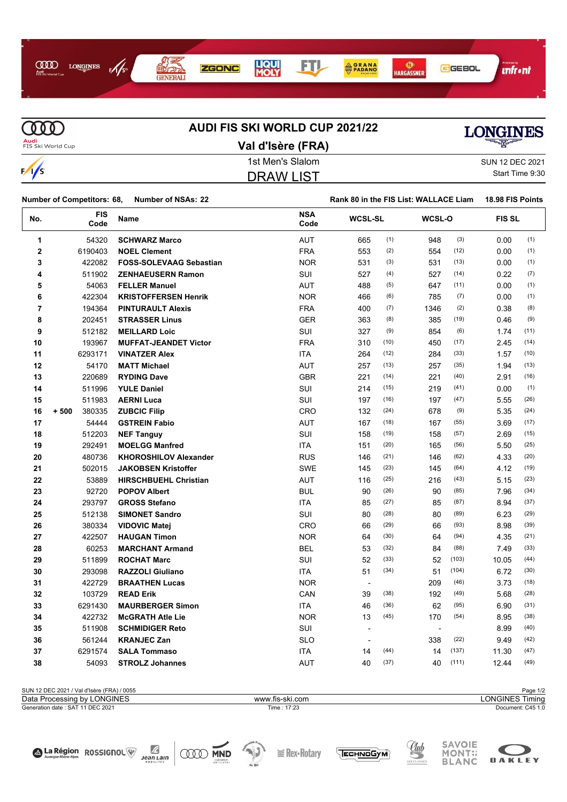

 $\overline{\text{CDD}}$ **Audi**<br>FIS Ski World Cup

 $\sqrt{s}$ 

# **AUDI FIS SKI WORLD CUP 2021/22**

# LONGINES

A La Région ROSSIGNOL<sup>W</sup> Jean Lain

| Val d'Isère (FRA) | ▀▜▛▀            |
|-------------------|-----------------|
| 1st Men's Slalom  | SUN 12 DEC 2021 |
| DRAW LIST         | Start Time 9:30 |

| SUN 12 DEC 2021 |
|-----------------|
| Start Time 9:30 |

| Number of Competitors: 68,<br><b>Number of NSAs: 22</b> |                    |                                | Rank 80 in the FIS List: WALLACE Liam |                          |      |                |       | 18.98 FIS Points |      |  |
|---------------------------------------------------------|--------------------|--------------------------------|---------------------------------------|--------------------------|------|----------------|-------|------------------|------|--|
| No.                                                     | <b>FIS</b><br>Code | Name                           | <b>NSA</b><br>Code                    | <b>WCSL-SL</b>           |      | WCSL-O         |       | <b>FIS SL</b>    |      |  |
| 1                                                       | 54320              | <b>SCHWARZ Marco</b>           | <b>AUT</b>                            | 665                      | (1)  | 948            | (3)   | 0.00             | (1)  |  |
| 2                                                       | 6190403            | <b>NOEL Clement</b>            | <b>FRA</b>                            | 553                      | (2)  | 554            | (12)  | 0.00             | (1)  |  |
| 3                                                       | 422082             | <b>FOSS-SOLEVAAG Sebastian</b> | <b>NOR</b>                            | 531                      | (3)  | 531            | (13)  | 0.00             | (1)  |  |
| 4                                                       | 511902             | <b>ZENHAEUSERN Ramon</b>       | SUI                                   | 527                      | (4)  | 527            | (14)  | 0.22             | (7)  |  |
| 5                                                       | 54063              | <b>FELLER Manuel</b>           | <b>AUT</b>                            | 488                      | (5)  | 647            | (11)  | 0.00             | (1)  |  |
| 6                                                       | 422304             | <b>KRISTOFFERSEN Henrik</b>    | <b>NOR</b>                            | 466                      | (6)  | 785            | (7)   | 0.00             | (1)  |  |
| $\overline{7}$                                          | 194364             | <b>PINTURAULT Alexis</b>       | <b>FRA</b>                            | 400                      | (7)  | 1346           | (2)   | 0.38             | (8)  |  |
| 8                                                       | 202451             | <b>STRASSER Linus</b>          | <b>GER</b>                            | 363                      | (8)  | 385            | (19)  | 0.46             | (9)  |  |
| 9                                                       | 512182             | <b>MEILLARD Loic</b>           | SUI                                   | 327                      | (9)  | 854            | (6)   | 1.74             | (11) |  |
| 10                                                      | 193967             | <b>MUFFAT-JEANDET Victor</b>   | <b>FRA</b>                            | 310                      | (10) | 450            | (17)  | 2.45             | (14) |  |
| 11                                                      | 6293171            | <b>VINATZER Alex</b>           | <b>ITA</b>                            | 264                      | (12) | 284            | (33)  | 1.57             | (10) |  |
| 12                                                      | 54170              | <b>MATT Michael</b>            | <b>AUT</b>                            | 257                      | (13) | 257            | (35)  | 1.94             | (13) |  |
| 13                                                      | 220689             | <b>RYDING Dave</b>             | <b>GBR</b>                            | 221                      | (14) | 221            | (40)  | 2.91             | (16) |  |
| 14                                                      | 511996             | <b>YULE Daniel</b>             | SUI                                   | 214                      | (15) | 219            | (41)  | 0.00             | (1)  |  |
| 15                                                      | 511983             | <b>AERNI Luca</b>              | SUI                                   | 197                      | (16) | 197            | (47)  | 5.55             | (26) |  |
| 16                                                      | 380335<br>$+500$   | <b>ZUBCIC Filip</b>            | <b>CRO</b>                            | 132                      | (24) | 678            | (9)   | 5.35             | (24) |  |
| 17                                                      | 54444              | <b>GSTREIN Fabio</b>           | AUT                                   | 167                      | (18) | 167            | (55)  | 3.69             | (17) |  |
| 18                                                      | 512203             | <b>NEF Tanguy</b>              | SUI                                   | 158                      | (19) | 158            | (57)  | 2.69             | (15) |  |
| 19                                                      | 292491             | <b>MOELGG Manfred</b>          | <b>ITA</b>                            | 151                      | (20) | 165            | (56)  | 5.50             | (25) |  |
| 20                                                      | 480736             | <b>KHOROSHILOV Alexander</b>   | <b>RUS</b>                            | 146                      | (21) | 146            | (62)  | 4.33             | (20) |  |
| 21                                                      | 502015             | <b>JAKOBSEN Kristoffer</b>     | <b>SWE</b>                            | 145                      | (23) | 145            | (64)  | 4.12             | (19) |  |
| 22                                                      | 53889              | <b>HIRSCHBUEHL Christian</b>   | AUT                                   | 116                      | (25) | 216            | (43)  | 5.15             | (23) |  |
| 23                                                      | 92720              | <b>POPOV Albert</b>            | <b>BUL</b>                            | 90                       | (26) | 90             | (85)  | 7.96             | (34) |  |
| 24                                                      | 293797             | <b>GROSS Stefano</b>           | <b>ITA</b>                            | 85                       | (27) | 85             | (87)  | 8.94             | (37) |  |
| 25                                                      | 512138             | <b>SIMONET Sandro</b>          | SUI                                   | 80                       | (28) | 80             | (89)  | 6.23             | (29) |  |
| 26                                                      | 380334             | <b>VIDOVIC Matei</b>           | CRO                                   | 66                       | (29) | 66             | (93)  | 8.98             | (39) |  |
| 27                                                      | 422507             | <b>HAUGAN Timon</b>            | <b>NOR</b>                            | 64                       | (30) | 64             | (94)  | 4.35             | (21) |  |
| 28                                                      | 60253              | <b>MARCHANT Armand</b>         | <b>BEL</b>                            | 53                       | (32) | 84             | (88)  | 7.49             | (33) |  |
| 29                                                      | 511899             | <b>ROCHAT Marc</b>             | SUI                                   | 52                       | (33) | 52             | (103) | 10.05            | (44) |  |
| 30                                                      | 293098             | <b>RAZZOLI Giuliano</b>        | <b>ITA</b>                            | 51                       | (34) | 51             | (104) | 6.72             | (30) |  |
| 31                                                      | 422729             | <b>BRAATHEN Lucas</b>          | <b>NOR</b>                            | $\overline{\phantom{a}}$ |      | 209            | (46)  | 3.73             | (18) |  |
| 32                                                      | 103729             | <b>READ Erik</b>               | CAN                                   | 39                       | (38) | 192            | (49)  | 5.68             | (28) |  |
| 33                                                      | 6291430            | <b>MAURBERGER Simon</b>        | <b>ITA</b>                            | 46                       | (36) | 62             | (95)  | 6.90             | (31) |  |
| 34                                                      | 422732             | <b>McGRATH Atle Lie</b>        | <b>NOR</b>                            | 13                       | (45) | 170            | (54)  | 8.95             | (38) |  |
| 35                                                      | 511908             | <b>SCHMIDIGER Reto</b>         | SUI                                   | $\overline{\phantom{a}}$ |      | $\blacksquare$ |       | 8.99             | (40) |  |
| 36                                                      | 561244             | <b>KRANJEC Zan</b>             | <b>SLO</b>                            | $\blacksquare$           |      | 338            | (22)  | 9.49             | (42) |  |
| 37                                                      | 6291574            | <b>SALA Tommaso</b>            | <b>ITA</b>                            | 14                       | (44) | 14             | (137) | 11.30            | (47) |  |
| 38                                                      | 54093              | <b>STROLZ Johannes</b>         | <b>AUT</b>                            | 40                       | (37) | 40             | (111) | 12.44            | (49) |  |

| SUN 12 DEC 2021 / Val d'Isère (FRA) / 0055 |                 | Page 1/2          |  |  |
|--------------------------------------------|-----------------|-------------------|--|--|
| Data Processing by LONGINES                | www.fis-ski.com | LONGINES Timina   |  |  |
| Generation date: SAT 11 DEC 2021           | Time: 17:23     | Document: C45 1.0 |  |  |
|                                            |                 |                   |  |  |
|                                            |                 |                   |  |  |

**QOO MND** 

 $\cong$  Rex-Rotary



Club

**TECHNOGYM** 

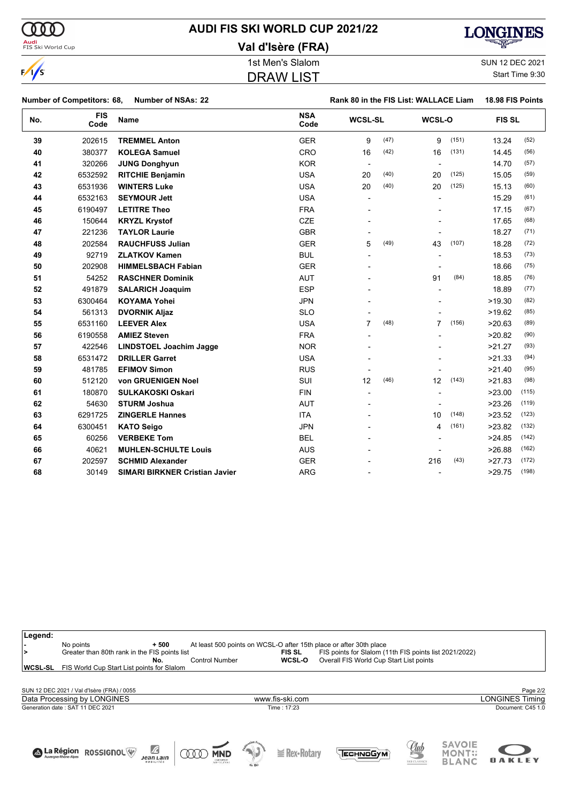# **AUDI FIS SKI WORLD CUP 2021/22**

**Val d'Isère (FRA)**

# DRAW LIST

1st Men's Slalom Sun 12 DEC 2021 Start Time 9:30

|     | <b>Number of NSAs: 22</b><br><b>Number of Competitors: 68,</b> |                                       | Rank 80 in the FIS List: WALLACE Liam | 18.98 FIS Points |      |                |       |               |       |
|-----|----------------------------------------------------------------|---------------------------------------|---------------------------------------|------------------|------|----------------|-------|---------------|-------|
| No. | <b>FIS</b><br>Code                                             | <b>Name</b>                           | <b>NSA</b><br>Code                    | <b>WCSL-SL</b>   |      | WCSL-O         |       | <b>FIS SL</b> |       |
| 39  | 202615                                                         | <b>TREMMEL Anton</b>                  | <b>GER</b>                            | 9                | (47) | 9              | (151) | 13.24         | (52)  |
| 40  | 380377                                                         | <b>KOLEGA Samuel</b>                  | <b>CRO</b>                            | 16               | (42) | 16             | (131) | 14.45         | (56)  |
| 41  | 320266                                                         | <b>JUNG Donghyun</b>                  | <b>KOR</b>                            | $\blacksquare$   |      |                |       | 14.70         | (57)  |
| 42  | 6532592                                                        | <b>RITCHIE Benjamin</b>               | <b>USA</b>                            | 20               | (40) | 20             | (125) | 15.05         | (59)  |
| 43  | 6531936                                                        | <b>WINTERS Luke</b>                   | <b>USA</b>                            | 20               | (40) | 20             | (125) | 15.13         | (60)  |
| 44  | 6532163                                                        | <b>SEYMOUR Jett</b>                   | <b>USA</b>                            | $\blacksquare$   |      |                |       | 15.29         | (61)  |
| 45  | 6190497                                                        | <b>LETITRE Theo</b>                   | <b>FRA</b>                            |                  |      |                |       | 17.15         | (67)  |
| 46  | 150644                                                         | <b>KRYZL Krystof</b>                  | <b>CZE</b>                            |                  |      |                |       | 17.65         | (68)  |
| 47  | 221236                                                         | <b>TAYLOR Laurie</b>                  | <b>GBR</b>                            |                  |      |                |       | 18.27         | (71)  |
| 48  | 202584                                                         | <b>RAUCHFUSS Julian</b>               | <b>GER</b>                            | 5                | (49) | 43             | (107) | 18.28         | (72)  |
| 49  | 92719                                                          | <b>ZLATKOV Kamen</b>                  | <b>BUL</b>                            |                  |      |                |       | 18.53         | (73)  |
| 50  | 202908                                                         | <b>HIMMELSBACH Fabian</b>             | <b>GER</b>                            |                  |      |                |       | 18.66         | (75)  |
| 51  | 54252                                                          | <b>RASCHNER Dominik</b>               | <b>AUT</b>                            |                  |      | 91             | (84)  | 18.85         | (76)  |
| 52  | 491879                                                         | <b>SALARICH Joaquim</b>               | <b>ESP</b>                            |                  |      |                |       | 18.89         | (77)  |
| 53  | 6300464                                                        | <b>KOYAMA Yohei</b>                   | <b>JPN</b>                            |                  |      |                |       | >19.30        | (82)  |
| 54  | 561313                                                         | <b>DVORNIK Aljaz</b>                  | <b>SLO</b>                            |                  |      |                |       | >19.62        | (85)  |
| 55  | 6531160                                                        | <b>LEEVER Alex</b>                    | <b>USA</b>                            | 7                | (48) | $\overline{7}$ | (156) | >20.63        | (89)  |
| 56  | 6190558                                                        | <b>AMIEZ Steven</b>                   | <b>FRA</b>                            |                  |      |                |       | >20.82        | (90)  |
| 57  | 422546                                                         | LINDSTOEL Joachim Jagge               | <b>NOR</b>                            |                  |      |                |       | >21.27        | (93)  |
| 58  | 6531472                                                        | <b>DRILLER Garret</b>                 | <b>USA</b>                            |                  |      |                |       | >21.33        | (94)  |
| 59  | 481785                                                         | <b>EFIMOV Simon</b>                   | <b>RUS</b>                            |                  |      |                |       | >21.40        | (95)  |
| 60  | 512120                                                         | von GRUENIGEN Noel                    | SUI                                   | 12               | (46) | 12             | (143) | >21.83        | (98)  |
| 61  | 180870                                                         | <b>SULKAKOSKI Oskari</b>              | <b>FIN</b>                            | $\blacksquare$   |      |                |       | >23.00        | (115) |
| 62  | 54630                                                          | <b>STURM Joshua</b>                   | <b>AUT</b>                            |                  |      |                |       | >23.26        | (119) |
| 63  | 6291725                                                        | <b>ZINGERLE Hannes</b>                | <b>ITA</b>                            |                  |      | 10             | (148) | >23.52        | (123) |
| 64  | 6300451                                                        | <b>KATO Seigo</b>                     | <b>JPN</b>                            |                  |      | 4              | (161) | >23.82        | (132) |
| 65  | 60256                                                          | <b>VERBEKE Tom</b>                    | <b>BEL</b>                            |                  |      |                |       | >24.85        | (142) |
| 66  | 40621                                                          | <b>MUHLEN-SCHULTE Louis</b>           | <b>AUS</b>                            |                  |      |                |       | >26.88        | (162) |
| 67  | 202597                                                         | <b>SCHMID Alexander</b>               | <b>GER</b>                            |                  |      | 216            | (43)  | >27.73        | (172) |
| 68  | 30149                                                          | <b>SIMARI BIRKNER Cristian Javier</b> | <b>ARG</b>                            |                  |      |                |       | >29.75        | (198) |







 $\frac{1}{s}$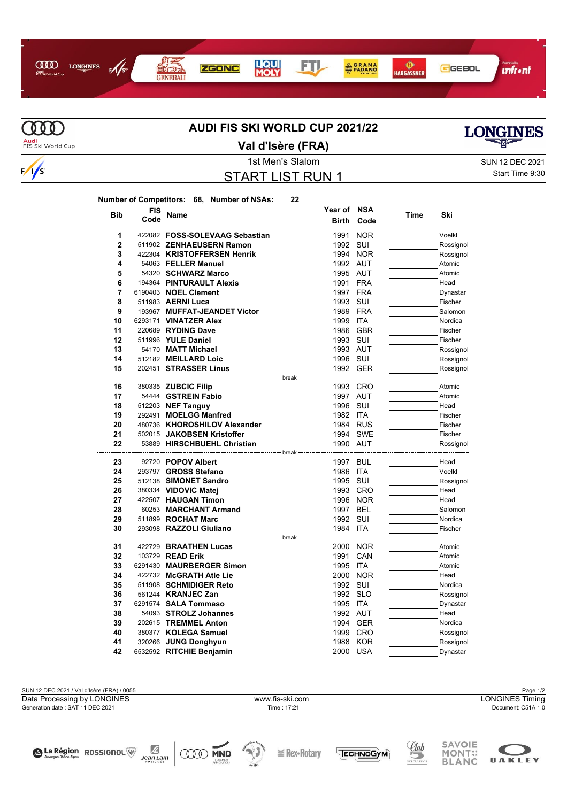



# **AUDI FIS SKI WORLD CUP 2021/22**



Audi<br>FIS Ski World Cup

La Région ROSSIGNOL

Ø

 $Jean Lain$ 

**COOD MND** 

#### **Val d'Isère (FRA)**

# START LIST RUN 1

**Year of NSA**

1st Men's Slalom Sun 12 DEC 2021 Start Time 9:30

| <b>Bib</b>     | FIS  | Name                           | Year of      | NSA        | Time | Ski                |
|----------------|------|--------------------------------|--------------|------------|------|--------------------|
|                | Code |                                | <b>Birth</b> | Code       |      |                    |
| 1              |      | 422082 FOSS-SOLEVAAG Sebastian | 1991         | <b>NOR</b> |      | Voelkl             |
| $\overline{2}$ |      | 511902 ZENHAEUSERN Ramon       | 1992         | SUI        |      | Rossignol          |
| 3              |      | 422304 KRISTOFFERSEN Henrik    | 1994         | <b>NOR</b> |      | Rossignol          |
| 4              |      | 54063 FELLER Manuel            |              | 1992 AUT   |      | Atomic             |
| 5              |      | 54320 SCHWARZ Marco            | 1995 AUT     |            |      | Atomic             |
| 6              |      | 194364 PINTURAULT Alexis       | 1991         | <b>FRA</b> |      | Head               |
| 7              |      | 6190403 NOEL Clement           | 1997         | FRA        |      | Dynastar           |
| 8              |      | 511983 AERNI Luca              | 1993         | SUI        |      | Fischer            |
| 9              |      | 193967 MUFFAT-JEANDET Victor   |              | 1989 FRA   |      | Salomon            |
| 10             |      | 6293171 VINATZER Alex          | 1999         | <b>ITA</b> |      | Nordica            |
| 11             |      | 220689 RYDING Dave             | 1986         | <b>GBR</b> |      | Fischer            |
| 12             |      | 511996 YULE Daniel             | 1993 SUI     |            |      | Fischer            |
| 13             |      | 54170 MATT Michael             | 1993 AUT     |            |      | Rossignol          |
| 14             |      | 512182 MEILLARD Loic           | 1996 SUI     |            |      | Rossignol          |
| 15             |      | 202451 STRASSER Linus          |              | 1992 GER   |      | Rossignol          |
|                |      | --------------------- break    |              |            |      |                    |
| 16             |      | 380335 ZUBCIC Filip            | 1993         | CRO        |      | Atomic             |
| 17             |      | 54444 GSTREIN Fabio            | 1997 AUT     |            |      | Atomic             |
| 18             |      | 512203 NEF Tanguy              | 1996         | SUI        |      | Head               |
| 19             |      | 292491 MOELGG Manfred          | 1982 ITA     |            |      | Fischer            |
| 20             |      | 480736 KHOROSHILOV Alexander   |              | 1984 RUS   |      | Fischer            |
| 21             |      | 502015 JAKOBSEN Kristoffer     |              | 1994 SWE   |      | Fischer            |
| 22             |      | 53889 HIRSCHBUEHL Christian    | 1990 AUT     |            |      | Rossignol          |
|                |      |                                |              |            |      |                    |
| 23             |      | 92720 POPOV Albert             | 1997 BUL     |            |      | Head               |
| 24             |      | 293797 GROSS Stefano           | 1986         | ITA        |      | Voelkl             |
| 25             |      | 512138 SIMONET Sandro          | 1995         | SUI        |      | Rossignol          |
| 26             |      | 380334 VIDOVIC Matej           | 1996         | 1993 CRO   |      | Head               |
| 27             |      | 422507 HAUGAN Timon            |              | <b>NOR</b> |      | Head               |
| 28<br>29       |      | 60253 MARCHANT Armand          | 1997 BEL     |            |      | Salomon            |
| 30             |      | 511899 ROCHAT Marc             | 1992 SUI     | <b>ITA</b> |      | Nordica<br>Fischer |
|                |      | 293098 RAZZOLI Giuliano        | 1984         |            |      |                    |
| 31             |      | 422729 BRAATHEN Lucas          |              | 2000 NOR   |      | Atomic             |
| 32             |      | 103729 READ Erik               | 1991         | CAN        |      | Atomic             |
| 33             |      | 6291430 MAURBERGER Simon       | 1995         | <b>ITA</b> |      | Atomic             |
| 34             |      | 422732 McGRATH Atle Lie        | 2000         | <b>NOR</b> |      | Head               |
| 35             |      | 511908 SCHMIDIGER Reto         | 1992 SUI     |            |      | Nordica            |
| 36             |      | 561244 <b>KRANJEC Zan</b>      | 1992 SLO     |            |      | Rossignol          |
| 37             |      | 6291574 SALA Tommaso           | 1995 ITA     |            |      | Dynastar           |
| 38             |      | 54093 STROLZ Johannes          | 1992 AUT     |            |      | Head               |
| 39             |      | 202615 TREMMEL Anton           |              | 1994 GER   |      | Nordica            |
| 40             |      | 380377 KOLEGA Samuel           | 1999         | <b>CRO</b> |      | Rossignol          |
| 41             |      | 320266 JUNG Donghyun           | 1988         | KOR        |      | Rossignol          |
| 42             |      | 6532592 RITCHIE Benjamin       | 2000 USA     |            |      | Dynastar           |

SUN 12 DEC 2021 / Val d'Isère (FRA) / 0055 Page 1/2<br>Data Processing by LONGINES **Page 1/2**<br>Data Processing by LONGINES Timing Generation date : SAT 11 DEC 2021 Time : 17:21 Document: C51A 1.0 Data Processing by LONGINES www.fis-ski.com

 $\geq$  Rex-Rotary





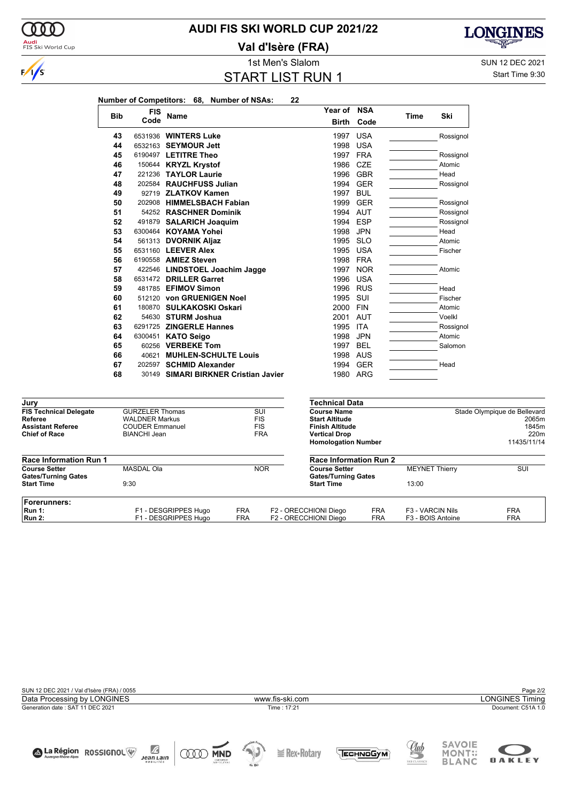

**Val d'Isère (FRA)**



000



Start Time 9:30

**LONGINES** 

দ্ম

|            |            | Number of Competitors: 68, Number of NSAs: | 22           |            |      |           |
|------------|------------|--------------------------------------------|--------------|------------|------|-----------|
| <b>Bib</b> | <b>FIS</b> |                                            | Year of NSA  |            |      | Ski       |
|            | Code       | Name                                       | <b>Birth</b> | Code       | Time |           |
| 43         |            | 6531936 WINTERS Luke                       | 1997         | <b>USA</b> |      | Rossignol |
| 44         |            | 6532163 SEYMOUR Jett                       | 1998         | <b>USA</b> |      |           |
| 45         |            | 6190497 LETITRE Theo                       | 1997         | <b>FRA</b> |      | Rossignol |
| 46         |            | 150644 KRYZL Krystof                       | 1986         | <b>CZE</b> |      | Atomic    |
| 47         |            | 221236 TAYLOR Laurie                       | 1996         | <b>GBR</b> |      | Head      |
| 48         |            | 202584 RAUCHFUSS Julian                    | 1994         | <b>GER</b> |      | Rossignol |
| 49         |            | 92719 ZLATKOV Kamen                        | 1997         | <b>BUL</b> |      |           |
| 50         |            | 202908 HIMMELSBACH Fabian                  | 1999         | <b>GER</b> |      | Rossignol |
| 51         |            | 54252 RASCHNER Dominik                     | 1994         | AUT        |      | Rossignol |
| 52         |            | 491879 SALARICH Joaquim                    | 1994         | <b>ESP</b> |      | Rossignol |
| 53         |            | 6300464 KOYAMA Yohei                       | 1998         | <b>JPN</b> |      | Head      |
| 54         |            | 561313 DVORNIK Aljaz                       | 1995         | <b>SLO</b> |      | Atomic    |
| 55         |            | 6531160 LEEVER Alex                        | 1995         | <b>USA</b> |      | Fischer   |
| 56         |            | 6190558 AMIEZ Steven                       | 1998         | <b>FRA</b> |      |           |
| 57         |            | 422546 LINDSTOEL Joachim Jagge             | 1997         | <b>NOR</b> |      | Atomic    |
| 58         |            | 6531472 DRILLER Garret                     | 1996         | <b>USA</b> |      |           |
| 59         |            | 481785 EFIMOV Simon                        | 1996         | <b>RUS</b> |      | Head      |
| 60         |            | 512120 von GRUENIGEN Noel                  | 1995         | SUI        |      | Fischer   |
| 61         |            | 180870 SULKAKOSKI Oskari                   | 2000         | <b>FIN</b> |      | Atomic    |
| 62         |            | 54630 STURM Joshua                         | 2001         | AUT        |      | Voelkl    |
| 63         |            | 6291725 ZINGERLE Hannes                    | 1995         | <b>ITA</b> |      | Rossignol |
| 64         |            | 6300451 KATO Seigo                         | 1998         | <b>JPN</b> |      | Atomic    |
| 65         |            | 60256 VERBEKE Tom                          | 1997         | <b>BEL</b> |      | Salomon   |
| 66         | 40621      | <b>MUHLEN-SCHULTE Louis</b>                | 1998         | AUS        |      |           |
| 67         |            | 202597 SCHMID Alexander                    | 1994         | <b>GER</b> |      | Head      |
| 68         |            | 30149 SIMARI BIRKNER Cristian Javier       | 1980         | ARG        |      |           |

| Jury                          |                        |            | Technical Data                       |            |                              |             |  |
|-------------------------------|------------------------|------------|--------------------------------------|------------|------------------------------|-------------|--|
| <b>FIS Technical Delegate</b> | <b>GURZELER Thomas</b> |            | SUI<br><b>Course Name</b>            |            | Stade Olympique de Bellevard |             |  |
| Referee                       | <b>WALDNER Markus</b>  |            | <b>FIS</b><br><b>Start Altitude</b>  |            |                              | 2065m       |  |
| <b>Assistant Referee</b>      | <b>COUDER Emmanuel</b> |            | <b>FIS</b><br><b>Finish Altitude</b> |            |                              | 1845m       |  |
| <b>Chief of Race</b>          | BIANCHI Jean           |            | <b>FRA</b><br><b>Vertical Drop</b>   |            |                              | 220m        |  |
|                               |                        |            | <b>Homologation Number</b>           |            |                              | 11435/11/14 |  |
| <b>Race Information Run 1</b> |                        |            | <b>Race Information Run 2</b>        |            |                              |             |  |
| <b>Course Setter</b>          | <b>MASDAL Ola</b>      |            | <b>NOR</b><br><b>Course Setter</b>   |            | <b>MEYNET Thierry</b>        | SUI         |  |
| <b>Gates/Turning Gates</b>    |                        |            | <b>Gates/Turning Gates</b>           |            |                              |             |  |
| <b>Start Time</b>             | 9:30                   |            | <b>Start Time</b>                    |            | 13:00                        |             |  |
| Forerunners:                  |                        |            |                                      |            |                              |             |  |
| Run 1:                        | F1 - DESGRIPPES Hugo   | <b>FRA</b> | F2 - ORECCHIONI Diego                | <b>FRA</b> | F3 - VARCIN Nils             | <b>FRA</b>  |  |
| <b>Run 2:</b>                 | F1 - DESGRIPPES Hugo   | <b>FRA</b> | F2 - ORECCHIONI Diego                | <b>FRA</b> | F3 - BOIS Antoine            | <b>FRA</b>  |  |
|                               |                        |            |                                      |            |                              |             |  |



 $\cong$  **Rex-Rotary** 

MONT:

**OAKLEY** 

**ODD MND**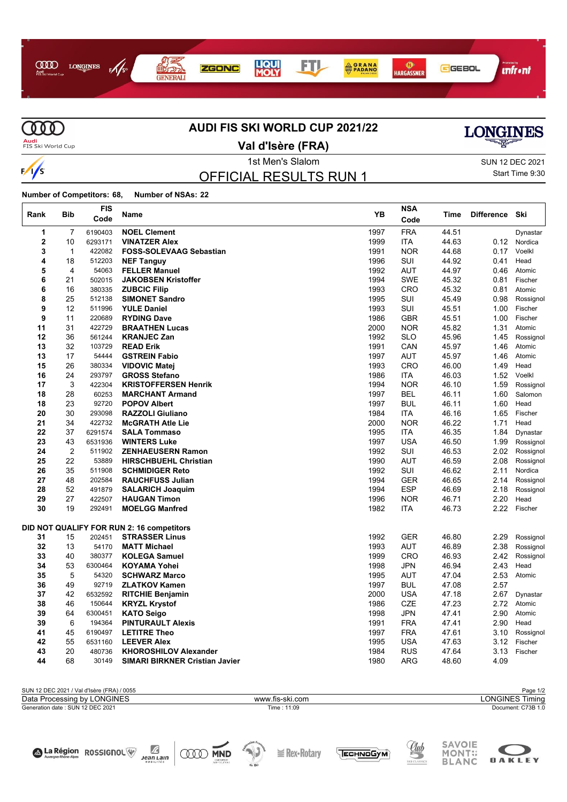



### **AUDI FIS SKI WORLD CUP 2021/22**

**Audi**<br>FIS Ski World Cup

**Val d'Isère (FRA)**



Start Time 9:30

1st Men's Slalom Sun 12 DEC 2021

**SAVOIE** 

MONT:;<br>BLANC

**OAKLEY** 

OFFICIAL RESULTS RUN 1

**Number of Competitors: 68, Number of NSAs: 22**  $\overline{1}$ 

A La Région ROSSIGNOL

 $\mathbb{Z}$ <br>Jean Lain

**OOD MND** 

| Rank           | <b>Bib</b>     | <b>FIS</b><br>Code | Name                                           | YB           | <b>NSA</b><br>Code       | Time           | <b>Difference</b> | Ski               |
|----------------|----------------|--------------------|------------------------------------------------|--------------|--------------------------|----------------|-------------------|-------------------|
| 1              | $\overline{7}$ | 6190403            | <b>NOEL Clement</b>                            | 1997         | <b>FRA</b>               | 44.51          |                   | Dynastar          |
| $\overline{2}$ | 10             | 6293171            | <b>VINATZER Alex</b>                           | 1999         | <b>ITA</b>               | 44.63          | 0.12              | Nordica           |
| 3              | $\mathbf{1}$   | 422082             | <b>FOSS-SOLEVAAG Sebastian</b>                 | 1991         | <b>NOR</b>               | 44.68          | 0.17              | Voelkl            |
| 4              | 18             | 512203             | <b>NEF Tanguy</b>                              | 1996         | SUI                      | 44.92          | 0.41              | Head              |
| 5              | 4              | 54063              | <b>FELLER Manuel</b>                           | 1992         | <b>AUT</b>               | 44.97          | 0.46              | Atomic            |
| 6              | 21             | 502015             | <b>JAKOBSEN Kristoffer</b>                     | 1994         | <b>SWE</b>               | 45.32          | 0.81              | Fischer           |
| 6              | 16             | 380335             | <b>ZUBCIC Filip</b>                            | 1993         | <b>CRO</b>               | 45.32          | 0.81              | Atomic            |
| 8              | 25             | 512138             | <b>SIMONET Sandro</b>                          | 1995         | SUI                      | 45.49          | 0.98              | Rossignol         |
| 9              | 12             | 511996             | <b>YULE Daniel</b>                             | 1993         | SUI                      | 45.51          | 1.00              | Fischer           |
| 9              | 11             | 220689             | <b>RYDING Dave</b>                             | 1986         | <b>GBR</b>               | 45.51          | 1.00              | Fischer           |
| 11             | 31             | 422729             | <b>BRAATHEN Lucas</b>                          | 2000         | <b>NOR</b>               | 45.82          | 1.31              | Atomic            |
| 12             | 36             | 561244             | <b>KRANJEC Zan</b>                             | 1992         | <b>SLO</b>               | 45.96          | 1.45              | Rossignol         |
| 13             | 32             | 103729             | <b>READ Erik</b>                               | 1991         | CAN                      | 45.97          | 1.46              | Atomic            |
| 13             | 17             | 54444              | <b>GSTREIN Fabio</b>                           | 1997         | <b>AUT</b>               | 45.97          | 1.46              | Atomic            |
| 15             | 26             | 380334             | <b>VIDOVIC Matei</b>                           | 1993         | <b>CRO</b>               | 46.00          | 1.49              | Head              |
| 16             | 24             | 293797             | <b>GROSS Stefano</b>                           | 1986         | <b>ITA</b>               | 46.03          | 1.52              | Voelkl            |
| 17             | 3              | 422304             | <b>KRISTOFFERSEN Henrik</b>                    | 1994         | <b>NOR</b>               | 46.10          | 1.59              | Rossignol         |
| 18             | 28             | 60253              | <b>MARCHANT Armand</b>                         | 1997         | <b>BEL</b>               | 46.11          | 1.60              | Salomon           |
| 18             | 23             | 92720              | <b>POPOV Albert</b>                            | 1997         | <b>BUL</b>               | 46.11          | 1.60              | Head              |
| 20             | 30             | 293098             | <b>RAZZOLI Giuliano</b>                        | 1984         | <b>ITA</b>               | 46.16          | 1.65              | Fischer           |
| 21             | 34             | 422732             | <b>McGRATH Atle Lie</b>                        | 2000         | <b>NOR</b>               | 46.22          | 1.71              | Head              |
| 22             | 37             | 6291574            | <b>SALA Tommaso</b>                            | 1995         | ITA                      | 46.35          | 1.84              | Dynastar          |
| 23             | 43             | 6531936            | <b>WINTERS Luke</b>                            | 1997         | <b>USA</b>               | 46.50          | 1.99              | Rossignol         |
| 24             | $\overline{2}$ | 511902             | <b>ZENHAEUSERN Ramon</b>                       | 1992         | SUI                      | 46.53          | 2.02              | Rossignol         |
| 25<br>26       | 22<br>35       | 53889              | <b>HIRSCHBUEHL Christian</b>                   | 1990         | <b>AUT</b>               | 46.59          | 2.08              | Rossignol         |
|                |                | 511908<br>202584   | <b>SCHMIDIGER Reto</b>                         | 1992         | SUI                      | 46.62          | 2.11              | Nordica           |
| 27             | 48             |                    | <b>RAUCHFUSS Julian</b>                        | 1994         | <b>GER</b>               | 46.65          | 2.14              | Rossignol         |
| 28<br>29       | 52<br>27       | 491879<br>422507   | <b>SALARICH Joaquim</b><br><b>HAUGAN Timon</b> | 1994<br>1996 | <b>ESP</b><br><b>NOR</b> | 46.69<br>46.71 | 2.18<br>2.20      | Rossignol<br>Head |
| 30             | 19             | 292491             | <b>MOELGG Manfred</b>                          | 1982         | <b>ITA</b>               | 46.73          | 2.22              | Fischer           |
|                |                |                    |                                                |              |                          |                |                   |                   |
|                |                |                    | DID NOT QUALIFY FOR RUN 2: 16 competitors      |              |                          |                |                   |                   |
| 31             | 15             | 202451             | <b>STRASSER Linus</b>                          | 1992         | <b>GER</b>               | 46.80          | 2.29              | Rossignol         |
| 32             | 13             | 54170              | <b>MATT Michael</b>                            | 1993         | <b>AUT</b>               | 46.89          | 2.38              | Rossignol         |
| 33             | 40             | 380377             | <b>KOLEGA Samuel</b>                           | 1999         | <b>CRO</b>               | 46.93          | 2.42              | Rossignol         |
| 34             | 53             | 6300464            | <b>KOYAMA Yohei</b>                            | 1998         | <b>JPN</b>               | 46.94          | 2.43              | Head              |
| 35             | 5              | 54320              | <b>SCHWARZ Marco</b>                           | 1995         | <b>AUT</b>               | 47.04          | 2.53              | Atomic            |
| 36             | 49             | 92719              | <b>ZLATKOV Kamen</b>                           | 1997         | <b>BUL</b>               | 47.08          | 2.57              |                   |
| 37             | 42             | 6532592            | <b>RITCHIE Benjamin</b>                        | 2000         | <b>USA</b>               | 47.18          | 2.67              | Dynastar          |
| 38             | 46             | 150644             | <b>KRYZL Krystof</b>                           | 1986         | <b>CZE</b>               | 47.23          | 2.72              | Atomic            |
| 39             | 64             | 6300451            | <b>KATO Seigo</b>                              | 1998         | <b>JPN</b>               | 47.41          | 2.90              | Atomic            |
| 39             | 6              | 194364             | <b>PINTURAULT Alexis</b>                       | 1991         | <b>FRA</b>               | 47.41          | 2.90              | Head              |
| 41             | 45             | 6190497            | <b>LETITRE Theo</b>                            | 1997         | <b>FRA</b>               | 47.61          | 3.10              | Rossignol         |
| 42             | 55             | 6531160            | <b>LEEVER Alex</b>                             | 1995         | <b>USA</b>               | 47.63          | 3.12              | Fischer           |
| 43             | 20             | 480736             | <b>KHOROSHILOV Alexander</b>                   | 1984         | <b>RUS</b>               | 47.64          | 3.13              | Fischer           |
| 44             | 68             | 30149              | SIMARI BIRKNER Cristian Javier                 | 1980         | <b>ARG</b>               | 48.60          | 4.09              |                   |

| SUN 12 DEC 2021 / Val d'Isère (FRA) / 0055 |                 | Page 1/2           |
|--------------------------------------------|-----------------|--------------------|
| Data Processing by LONGINES                | www.fis-ski.com | LONGINES Timing    |
| Generation date: SUN 12 DEC 2021           | Time: 11:09     | Document: C73B 1.0 |
|                                            |                 |                    |
|                                            |                 |                    |
|                                            |                 |                    |

**E** Rex•Rotary

TECHNOGYM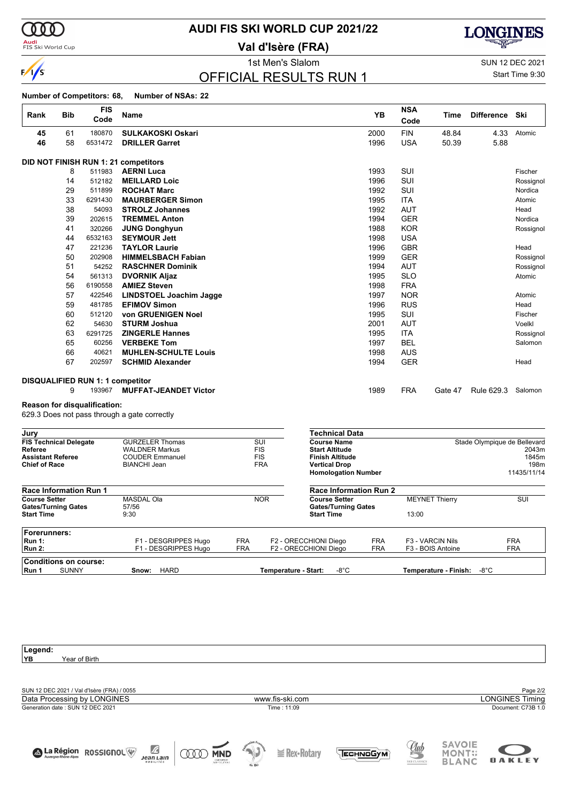

 $\mathsf{r}$ 

**Audi**<br>FIS Ski World Cup

## **AUDI FIS SKI WORLD CUP 2021/22**

**Val d'Isère (FRA)**



1st Men's Slalom SUN 12 DEC 2021 Start Time 9:30

# OFFICIAL RESULTS RUN 1

**Number of Competitors: 68, Number of NSAs: 22**

| Rank | <b>Bib</b> | <b>FIS</b><br>Code                      | Name                                 | <b>YB</b> | <b>NSA</b><br>Code | Time    | <b>Difference</b> | Ski       |
|------|------------|-----------------------------------------|--------------------------------------|-----------|--------------------|---------|-------------------|-----------|
| 45   | 61         | 180870                                  | <b>SULKAKOSKI Oskari</b>             | 2000      | <b>FIN</b>         | 48.84   | 4.33              | Atomic    |
| 46   | 58         | 6531472                                 | <b>DRILLER Garret</b>                | 1996      | <b>USA</b>         | 50.39   | 5.88              |           |
|      |            |                                         |                                      |           |                    |         |                   |           |
|      |            |                                         | DID NOT FINISH RUN 1: 21 competitors |           |                    |         |                   |           |
|      | 8          | 511983                                  | <b>AERNI Luca</b>                    | 1993      | SUI                |         |                   | Fischer   |
|      | 14         | 512182                                  | <b>MEILLARD Loic</b>                 | 1996      | SUI                |         |                   | Rossignol |
|      | 29         | 511899                                  | <b>ROCHAT Marc</b>                   | 1992      | SUI                |         |                   | Nordica   |
|      | 33         | 6291430                                 | <b>MAURBERGER Simon</b>              | 1995      | <b>ITA</b>         |         |                   | Atomic    |
|      | 38         | 54093                                   | <b>STROLZ Johannes</b>               | 1992      | <b>AUT</b>         |         |                   | Head      |
|      | 39         | 202615                                  | <b>TREMMEL Anton</b>                 | 1994      | <b>GER</b>         |         |                   | Nordica   |
|      | 41         | 320266                                  | <b>JUNG Donghyun</b>                 | 1988      | <b>KOR</b>         |         |                   | Rossignol |
|      | 44         | 6532163                                 | <b>SEYMOUR Jett</b>                  | 1998      | <b>USA</b>         |         |                   |           |
|      | 47         | 221236                                  | <b>TAYLOR Laurie</b>                 | 1996      | <b>GBR</b>         |         |                   | Head      |
|      | 50         | 202908                                  | <b>HIMMELSBACH Fabian</b>            | 1999      | <b>GER</b>         |         |                   | Rossignol |
|      | 51         | 54252                                   | <b>RASCHNER Dominik</b>              | 1994      | <b>AUT</b>         |         |                   | Rossignol |
|      | 54         | 561313                                  | <b>DVORNIK Aljaz</b>                 | 1995      | <b>SLO</b>         |         |                   | Atomic    |
|      | 56         | 6190558                                 | <b>AMIEZ Steven</b>                  | 1998      | <b>FRA</b>         |         |                   |           |
|      | 57         | 422546                                  | <b>LINDSTOEL Joachim Jagge</b>       | 1997      | <b>NOR</b>         |         |                   | Atomic    |
|      | 59         | 481785                                  | <b>EFIMOV Simon</b>                  | 1996      | <b>RUS</b>         |         |                   | Head      |
|      | 60         | 512120                                  | von GRUENIGEN Noel                   | 1995      | SUI                |         |                   | Fischer   |
|      | 62         | 54630                                   | <b>STURM Joshua</b>                  | 2001      | <b>AUT</b>         |         |                   | Voelkl    |
|      | 63         | 6291725                                 | <b>ZINGERLE Hannes</b>               | 1995      | <b>ITA</b>         |         |                   | Rossignol |
|      | 65         | 60256                                   | <b>VERBEKE Tom</b>                   | 1997      | <b>BEL</b>         |         |                   | Salomon   |
|      | 66         | 40621                                   | <b>MUHLEN-SCHULTE Louis</b>          | 1998      | <b>AUS</b>         |         |                   |           |
|      | 67         | 202597                                  | <b>SCHMID Alexander</b>              | 1994      | <b>GER</b>         |         |                   | Head      |
|      |            |                                         |                                      |           |                    |         |                   |           |
|      |            | <b>DISQUALIFIED RUN 1: 1 competitor</b> |                                      |           |                    |         |                   |           |
|      | 9          | 193967                                  | <b>MUFFAT-JEANDET Victor</b>         | 1989      | <b>FRA</b>         | Gate 47 | Rule 629.3        | Salomon   |

#### **Reason for disqualification:**

629.3 Does not pass through a gate correctly

| Jury                          |                        |            |                      | Technical Data                |            |                       |                              |
|-------------------------------|------------------------|------------|----------------------|-------------------------------|------------|-----------------------|------------------------------|
| <b>FIS Technical Delegate</b> | <b>GURZELER Thomas</b> |            | SUI                  | <b>Course Name</b>            |            |                       | Stade Olympique de Bellevard |
| Referee                       | <b>WALDNER Markus</b>  |            | <b>FIS</b>           | <b>Start Altitude</b>         |            |                       | 2043m                        |
| <b>Assistant Referee</b>      | <b>COUDER Emmanuel</b> |            | <b>FIS</b>           | <b>Finish Altitude</b>        |            |                       | 1845m                        |
| <b>Chief of Race</b>          | <b>BIANCHI Jean</b>    |            | <b>FRA</b>           | <b>Vertical Drop</b>          |            |                       | 198m                         |
|                               |                        |            |                      | <b>Homologation Number</b>    |            |                       | 11435/11/14                  |
| <b>Race Information Run 1</b> |                        |            |                      | <b>Race Information Run 2</b> |            |                       |                              |
| <b>Course Setter</b>          | <b>MASDAL Ola</b>      |            | <b>NOR</b>           | <b>Course Setter</b>          |            | <b>MEYNET Thierry</b> | SUI                          |
| <b>Gates/Turning Gates</b>    | 57/56                  |            |                      | <b>Gates/Turning Gates</b>    |            |                       |                              |
| <b>Start Time</b>             | 9:30                   |            |                      | <b>Start Time</b>             |            | 13:00                 |                              |
| Forerunners:                  |                        |            |                      |                               |            |                       |                              |
| <b>Run 1:</b>                 | F1 - DESGRIPPES Hugo   | <b>FRA</b> |                      | F2 - ORECCHIONI Diego         | <b>FRA</b> | F3 - VARCIN Nils      | <b>FRA</b>                   |
| Run 2:                        | F1 - DESGRIPPES Hugo   | <b>FRA</b> |                      | F2 - ORECCHIONI Diego         | <b>FRA</b> | F3 - BOIS Antoine     | <b>FRA</b>                   |
| <b>Conditions on course:</b>  |                        |            |                      |                               |            |                       |                              |
| <b>SUNNY</b><br>Run 1         | <b>HARD</b><br>Snow:   |            | Temperature - Start: | -8°C                          |            | Temperature - Finish: | -8°C                         |

| Legend:                                                         |        |                   |                         |              |               |                    |
|-----------------------------------------------------------------|--------|-------------------|-------------------------|--------------|---------------|--------------------|
| YB<br>Year of Birth                                             |        |                   |                         |              |               |                    |
|                                                                 |        |                   |                         |              |               |                    |
|                                                                 |        |                   |                         |              |               |                    |
| SUN 12 DEC 2021 / Val d'Isère (FRA) / 0055                      |        |                   |                         |              |               |                    |
|                                                                 |        |                   |                         |              |               | Page 2/2           |
| Data Processing by LONGINES                                     |        | www.fis-ski.com   |                         |              |               | LONGINES Timing    |
| Generation date: SUN 12 DEC 2021                                |        | Time: 11:09       |                         |              |               | Document: C73B 1.0 |
|                                                                 |        |                   |                         |              |               |                    |
|                                                                 |        |                   |                         |              |               |                    |
|                                                                 |        |                   |                         |              |               |                    |
|                                                                 |        |                   |                         |              | <b>SAVOIE</b> |                    |
| $\mathbb Z$<br><b>ROSSIGNOL</b><br>La Région<br>w<br><b>MND</b> |        | $\geq$ Rex-Rotary | <b>ПЕСН<u>МО</u>GУМ</b> | <u>Uub</u>   | <b>MONT::</b> |                    |
| Jean Lain<br>CNENRELET<br>SVAPSOUTIONS                          |        |                   |                         |              | <b>BLANC</b>  | <b>OAKLEY</b>      |
|                                                                 | de Ski |                   |                         | SKI CLASSICS |               |                    |
|                                                                 |        |                   |                         |              |               |                    |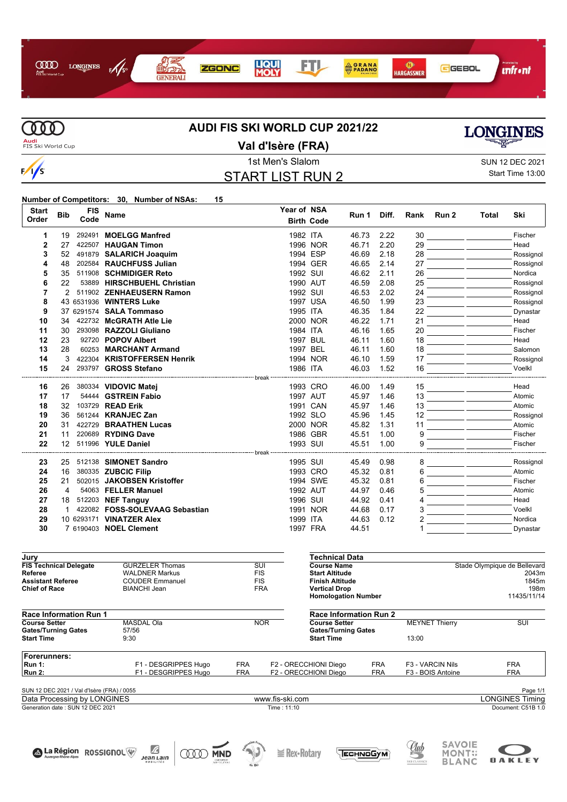



# **AUDI FIS SKI WORLD CUP 2021/22**



**Val d'Isère (FRA)**

# START LIST RUN 2

1st Men's Slalom Sun 12 DEC 2021 Start Time 13:00

**Number of Competitors: 30, Number of NSAs: 15**

| <b>Start</b>                                    |                  | <b>FIS</b> |                                                                                                 |                 | Year of NSA           |                        |                               |            |                      |                                                                                                                                                                                                   |       |                              |
|-------------------------------------------------|------------------|------------|-------------------------------------------------------------------------------------------------|-----------------|-----------------------|------------------------|-------------------------------|------------|----------------------|---------------------------------------------------------------------------------------------------------------------------------------------------------------------------------------------------|-------|------------------------------|
| Order                                           | <b>Bib</b>       | Code       | <b>Name</b>                                                                                     |                 |                       | <b>Birth Code</b>      | Run 1                         | Diff.      | Rank                 | Run 2                                                                                                                                                                                             | Total | Ski                          |
|                                                 |                  |            | 292491 MOELGG Manfred                                                                           |                 | 1982 ITA              |                        |                               | 2.22       |                      |                                                                                                                                                                                                   |       | Fischer                      |
| 1                                               | 19               |            |                                                                                                 |                 |                       |                        | 46.73                         |            | 30<br>29             | <u> The Common School School School School School School School School School School School School School School School School School School School School School School School School School</u> |       |                              |
| 2                                               | 27               |            | 422507 HAUGAN Timon                                                                             |                 |                       | 1996 NOR               | 46.71                         | 2.20       |                      |                                                                                                                                                                                                   |       | Head                         |
| 3                                               | 52               |            | 491879 SALARICH Joaquim                                                                         |                 |                       | 1994 ESP               | 46.69                         | 2.18       | 28                   | <u> 1999 - André Maria III (m. 19</u>                                                                                                                                                             |       | Rossignol                    |
| 4                                               | 48               |            | 202584 RAUCHFUSS Julian                                                                         |                 |                       | 1994 GER               | 46.65                         | 2.14       | 27                   |                                                                                                                                                                                                   |       | Rossignol                    |
| 5                                               | 35               |            | 511908 SCHMIDIGER Reto                                                                          |                 | 1992 SUI              |                        | 46.62                         | 2.11       | 26                   | <u> 1999 - Andrea Sta</u>                                                                                                                                                                         |       | Nordica                      |
| 6                                               | 22               |            | 53889 HIRSCHBUEHL Christian                                                                     |                 |                       | 1990 AUT               | 46.59                         | 2.08       | 25                   |                                                                                                                                                                                                   |       | Rossignol                    |
| 7                                               | 2                |            | 511902 ZENHAEUSERN Ramon                                                                        |                 | 1992 SUI              |                        | 46.53                         | 2.02       | 24                   |                                                                                                                                                                                                   |       | Rossignol                    |
| 8                                               |                  |            | 43 6531936 WINTERS Luke                                                                         |                 |                       | 1997 USA               | 46.50                         | 1.99       | 23                   |                                                                                                                                                                                                   |       | Rossignol                    |
| 9                                               |                  |            | 37 6291574 <b>SALA Tommaso</b>                                                                  |                 | 1995 ITA              |                        | 46.35                         | 1.84       | 22                   |                                                                                                                                                                                                   |       | Dynastar                     |
| 10                                              | 34               |            | 422732 McGRATH Atle Lie                                                                         |                 |                       | 2000 NOR               | 46.22                         | 1.71       | 21                   |                                                                                                                                                                                                   |       | Head                         |
| 11                                              | 30               |            | 293098 RAZZOLI Giuliano                                                                         |                 | 1984 ITA              |                        | 46.16                         | 1.65       | 20                   | المستنقل المتعادلات                                                                                                                                                                               |       | Fischer                      |
| 12                                              | 23               |            | 92720 POPOV Albert                                                                              |                 |                       | 1997 BUL               | 46.11                         | 1.60       | 18                   | <u> 1999 - Jan James Barnett, politik politik politik (</u>                                                                                                                                       |       | Head                         |
| 13                                              | 28               |            | 60253 MARCHANT Armand                                                                           |                 | 1997 BEL              |                        | 46.11                         | 1.60       | 18                   |                                                                                                                                                                                                   |       | Salomon                      |
| 14                                              | 3                |            | 422304 KRISTOFFERSEN Henrik                                                                     |                 |                       | 1994 NOR               | 46.10                         | 1.59       | 17                   | <u> 1999 - Jan Jawa</u>                                                                                                                                                                           |       | Rossignol                    |
| 15                                              | 24               |            | 293797 GROSS Stefano                                                                            |                 | 1986 ITA              |                        | 46.03                         | 1.52       | 16                   |                                                                                                                                                                                                   |       | Voelkl                       |
| 16                                              | 26               |            | 380334 VIDOVIC Matej                                                                            |                 |                       | 1993 CRO               | 46.00                         | 1.49       | 15                   |                                                                                                                                                                                                   |       | Head                         |
| 17                                              | 17               |            | 54444 GSTREIN Fabio                                                                             |                 |                       | 1997 AUT               | 45.97                         | 1.46       | 13                   | the company of the                                                                                                                                                                                |       | Atomic                       |
| 18                                              | 32               |            | 103729 READ Erik                                                                                |                 |                       | 1991 CAN               | 45.97                         | 1.46       | 13                   |                                                                                                                                                                                                   |       | Atomic                       |
| 19                                              | 36               |            | 561244 KRANJEC Zan                                                                              |                 |                       | 1992 SLO               | 45.96                         | 1.45       | 12                   |                                                                                                                                                                                                   |       | Rossignol                    |
| 20                                              | 31               |            | 422729 BRAATHEN Lucas                                                                           |                 |                       | 2000 NOR               | 45.82                         | 1.31       | 11                   |                                                                                                                                                                                                   |       | Atomic                       |
| 21                                              | 11               |            | 220689 RYDING Dave                                                                              |                 |                       | 1986 GBR               | 45.51                         | 1.00       | 9                    | المستنا المستنبط والمنازل                                                                                                                                                                         |       | Fischer                      |
| 22                                              | 12 <sup>12</sup> |            | 511996 YULE Daniel                                                                              |                 | 1993 SUI              |                        | 45.51                         | 1.00       | 9                    |                                                                                                                                                                                                   |       | Fischer                      |
|                                                 |                  |            |                                                                                                 |                 |                       |                        |                               |            |                      |                                                                                                                                                                                                   |       |                              |
| 23                                              | 25               |            | 512138 SIMONET Sandro                                                                           |                 | 1995 SUI              |                        | 45.49                         | 0.98       | 8                    |                                                                                                                                                                                                   |       | Rossignol                    |
| 24                                              | 16               |            | 380335 ZUBCIC Filip                                                                             |                 |                       | 1993 CRO               | 45.32                         | 0.81       | 6                    |                                                                                                                                                                                                   |       | Atomic                       |
| 25                                              | 21               |            | 502015 JAKOBSEN Kristoffer                                                                      |                 |                       | 1994 SWE               | 45.32                         | 0.81       | 6                    |                                                                                                                                                                                                   |       | Fischer                      |
| 26                                              | 4                |            | 54063 FELLER Manuel                                                                             |                 |                       | 1992 AUT               | 44.97                         | 0.46       | 5                    |                                                                                                                                                                                                   |       | Atomic                       |
| 27                                              | 18               |            | 512203 NEF Tanguy                                                                               |                 | 1996 SUI              |                        | 44.92                         | 0.41       | 4                    |                                                                                                                                                                                                   |       | Head                         |
| 28                                              | $\mathbf{1}$     |            | 422082 FOSS-SOLEVAAG Sebastian                                                                  |                 |                       | 1991 NOR               | 44.68                         | 0.17       | 3                    |                                                                                                                                                                                                   |       | Voelkl                       |
| 29                                              |                  |            | 10 6293171 VINATZER Alex                                                                        |                 | 1999 ITA              |                        | 44.63                         | 0.12       | 2                    |                                                                                                                                                                                                   |       | Nordica                      |
| 30                                              |                  |            | 7 6190403 NOEL Clement                                                                          |                 |                       | 1997 FRA               | 44.51                         |            | 1                    |                                                                                                                                                                                                   |       | Dynastar                     |
|                                                 |                  |            |                                                                                                 |                 |                       |                        |                               |            |                      |                                                                                                                                                                                                   |       |                              |
| Jury                                            |                  |            |                                                                                                 |                 |                       |                        | Technical Data                |            |                      |                                                                                                                                                                                                   |       |                              |
| <b>FIS Technical Delegate</b>                   |                  |            | <b>GURZELER Thomas</b>                                                                          | SUI             |                       | <b>Course Name</b>     |                               |            |                      |                                                                                                                                                                                                   |       | Stade Olympique de Bellevard |
| Referee                                         |                  |            | <b>WALDNER Markus</b>                                                                           | <b>FIS</b>      |                       | <b>Start Altitude</b>  |                               |            |                      |                                                                                                                                                                                                   |       | 2043m                        |
| <b>Assistant Referee</b>                        |                  |            | <b>COUDER Emmanuel</b>                                                                          | <b>FIS</b>      |                       | <b>Finish Altitude</b> |                               |            |                      |                                                                                                                                                                                                   |       | 1845m                        |
| <b>Chief of Race</b>                            |                  |            | <b>BIANCHI Jean</b>                                                                             | <b>FRA</b>      |                       | <b>Vertical Drop</b>   | <b>Homologation Number</b>    |            |                      |                                                                                                                                                                                                   |       | 198m<br>11435/11/14          |
|                                                 |                  |            |                                                                                                 |                 |                       |                        |                               |            |                      |                                                                                                                                                                                                   |       |                              |
| <b>Race Information Run 1</b>                   |                  |            |                                                                                                 |                 |                       |                        | <b>Race Information Run 2</b> |            |                      |                                                                                                                                                                                                   |       |                              |
| <b>Course Setter</b>                            |                  |            | <b>MASDAL Ola</b>                                                                               | <b>NOR</b>      |                       | <b>Course Setter</b>   |                               |            |                      | <b>MEYNET Thierry</b>                                                                                                                                                                             |       | SUI                          |
| <b>Gates/Turning Gates</b><br><b>Start Time</b> |                  |            | 57/56<br>9:30                                                                                   |                 |                       | <b>Start Time</b>      | <b>Gates/Turning Gates</b>    |            | 13:00                |                                                                                                                                                                                                   |       |                              |
|                                                 |                  |            |                                                                                                 |                 |                       |                        |                               |            |                      |                                                                                                                                                                                                   |       |                              |
| Forerunners:                                    |                  |            |                                                                                                 |                 |                       |                        |                               |            |                      |                                                                                                                                                                                                   |       |                              |
| <b>Run 1:</b>                                   |                  |            | F1 - DESGRIPPES Hugo                                                                            | <b>FRA</b>      | F2 - ORECCHIONI Diego |                        |                               | <b>FRA</b> |                      | F3 - VARCIN Nils                                                                                                                                                                                  |       | <b>FRA</b>                   |
| <b>Run 2:</b>                                   |                  |            | F1 - DESGRIPPES Hugo                                                                            | <b>FRA</b>      | F2 - ORECCHIONI Diego |                        |                               | <b>FRA</b> |                      | F3 - BOIS Antoine                                                                                                                                                                                 |       | <b>FRA</b>                   |
|                                                 |                  |            | SUN 12 DEC 2021 / Val d'Isère (FRA) / 0055                                                      |                 |                       |                        |                               |            |                      |                                                                                                                                                                                                   |       | Page 1/1                     |
| Data Processing by LONGINES                     |                  |            |                                                                                                 | www.fis-ski.com |                       |                        |                               |            |                      |                                                                                                                                                                                                   |       | <b>LONGINES Timing</b>       |
| Generation date: SUN 12 DEC 2021                |                  |            |                                                                                                 |                 | Time: 11:10           |                        |                               |            |                      |                                                                                                                                                                                                   |       | Document: C51B 1.0           |
|                                                 |                  |            |                                                                                                 |                 |                       |                        |                               |            |                      | <b>SAVOIE</b>                                                                                                                                                                                     |       |                              |
|                                                 |                  |            | £<br>La Région ROSSIGNOL<br>ŒŒ<br><b>MND</b><br><b>Jean Lain</b><br>CNEOMBELET<br>WAY SOLUTIONS |                 | <b>E</b> Rex-Rotary   |                        | ЕСН ОБУМ                      |            | Llub<br>SKI CLASSICS | <b>MONT::</b><br><b>BLANC</b>                                                                                                                                                                     |       | OAKLEY                       |

 $\frac{d}{d\phi}$  Ski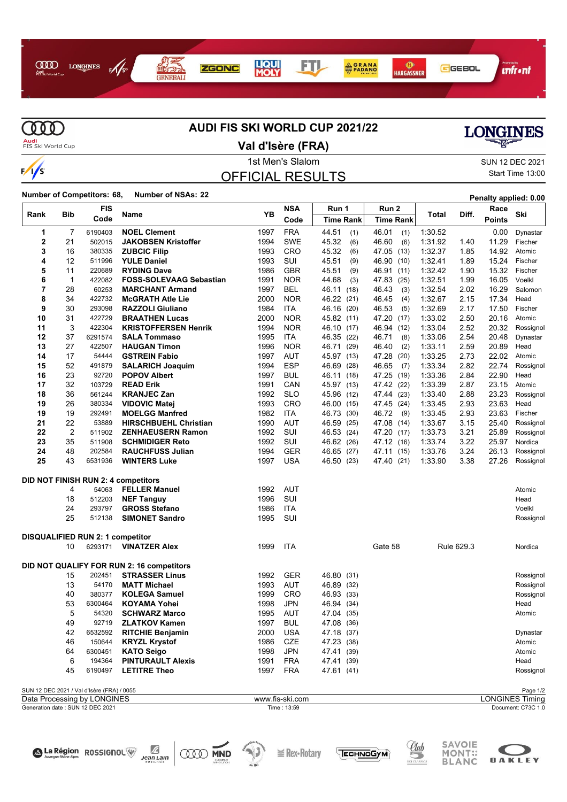



# **AUDI FIS SKI WORLD CUP 2021/22**

# **LONGINES**

**Audi**<br>FIS Ski World Cup

#### **Val d'Isère (FRA)**

# OFFICIAL RESULTS

#### 1st Men's Slalom Sun 12 DEC 2021 Start Time 13:00

**Number of Competitors: 68, Number of NSAs: <sup>22</sup> Penalty applied: 0.00**

|      |                                                        | <b>FIS</b>                       |                                           | YB   | <b>NSA</b>      | Run 1            | Run 2         |         |            | Race          | Ski                    |
|------|--------------------------------------------------------|----------------------------------|-------------------------------------------|------|-----------------|------------------|---------------|---------|------------|---------------|------------------------|
| Rank | <b>Bib</b>                                             | Code                             | Name                                      |      | Code            | <b>Time Rank</b> | Time Rank     | Total   | Diff.      | <b>Points</b> |                        |
| 1    | 7                                                      | 6190403                          | <b>NOEL Clement</b>                       | 1997 | <b>FRA</b>      | 44.51<br>(1)     | 46.01<br>(1)  | 1:30.52 |            | 0.00          | Dynastar               |
| 2    | 21                                                     | 502015                           | <b>JAKOBSEN Kristoffer</b>                | 1994 | <b>SWE</b>      | 45.32<br>(6)     | 46.60<br>(6)  | 1:31.92 | 1.40       | 11.29         | Fischer                |
| 3    | 16                                                     | 380335                           | <b>ZUBCIC Filip</b>                       | 1993 | CRO             | 45.32<br>(6)     | 47.05 (13)    | 1:32.37 | 1.85       | 14.92         | Atomic                 |
| 4    | 12                                                     | 511996                           | <b>YULE Daniel</b>                        | 1993 | SUI             | 45.51<br>(9)     | 46.90 (10)    | 1:32.41 | 1.89       | 15.24         | Fischer                |
| 5    | 11                                                     | 220689                           | <b>RYDING Dave</b>                        | 1986 | <b>GBR</b>      | 45.51<br>(9)     | 46.91 (11)    | 1:32.42 | 1.90       | 15.32         | Fischer                |
| 6    | $\mathbf 1$                                            | 422082                           | <b>FOSS-SOLEVAAG Sebastian</b>            | 1991 | <b>NOR</b>      | 44.68<br>(3)     | 47.83<br>(25) | 1:32.51 | 1.99       | 16.05         | Voelkl                 |
| 7    | 28                                                     | 60253                            | <b>MARCHANT Armand</b>                    | 1997 | <b>BEL</b>      | 46.11<br>(18)    | 46.43<br>(3)  | 1:32.54 | 2.02       | 16.29         | Salomon                |
| 8    | 34                                                     | 422732                           | <b>McGRATH Atle Lie</b>                   | 2000 | <b>NOR</b>      | 46.22<br>(21)    | 46.45<br>(4)  | 1:32.67 | 2.15       | 17.34         | Head                   |
| 9    | 30                                                     | 293098                           | <b>RAZZOLI Giuliano</b>                   | 1984 | ITA             | 46.16<br>(20)    | 46.53<br>(5)  | 1:32.69 | 2.17       | 17.50         | Fischer                |
| 10   | 31                                                     | 422729                           | <b>BRAATHEN Lucas</b>                     | 2000 | <b>NOR</b>      | 45.82 (11)       | 47.20<br>(17) | 1:33.02 | 2.50       | 20.16         | Atomic                 |
| 11   | 3                                                      | 422304                           | <b>KRISTOFFERSEN Henrik</b>               | 1994 | <b>NOR</b>      | 46.10<br>(17)    | 46.94<br>(12) | 1:33.04 | 2.52       | 20.32         | Rossignol              |
| 12   | 37                                                     | 6291574                          | <b>SALA Tommaso</b>                       | 1995 | ITA             | 46.35<br>(22)    | 46.71<br>(8)  | 1:33.06 | 2.54       | 20.48         | Dynastar               |
| 13   | 27                                                     | 422507                           | <b>HAUGAN Timon</b>                       | 1996 | <b>NOR</b>      | 46.71<br>(29)    | 46.40<br>(2)  | 1:33.11 | 2.59       | 20.89         | Head                   |
| 14   | 17                                                     | 54444                            | <b>GSTREIN Fabio</b>                      | 1997 | AUT             | 45.97<br>(13)    | 47.28<br>(20) | 1:33.25 | 2.73       | 22.02         | Atomic                 |
| 15   | 52                                                     | 491879                           | <b>SALARICH Joaquim</b>                   | 1994 | <b>ESP</b>      | 46.69<br>(28)    | 46.65<br>(7)  | 1:33.34 | 2.82       | 22.74         | Rossignol              |
| 16   | 23                                                     | 92720                            | <b>POPOV Albert</b>                       | 1997 | <b>BUL</b>      | 46.11<br>(18)    | 47.25 (19)    | 1:33.36 | 2.84       | 22.90         | Head                   |
| 17   | 32                                                     | 103729                           | <b>READ Erik</b>                          | 1991 | CAN             | 45.97<br>(13)    | 47.42<br>(22) | 1:33.39 | 2.87       | 23.15         | Atomic                 |
| 18   | 36                                                     | 561244                           | <b>KRANJEC Zan</b>                        | 1992 | <b>SLO</b>      | 45.96<br>(12)    | 47.44 (23)    | 1:33.40 | 2.88       | 23.23         | Rossignol              |
| 19   | 26                                                     | 380334                           | <b>VIDOVIC Matej</b>                      | 1993 | CRO             | 46.00<br>(15)    | 47.45 (24)    | 1:33.45 | 2.93       | 23.63         | Head                   |
| 19   | 19                                                     | 292491                           | <b>MOELGG Manfred</b>                     | 1982 | ITA             | 46.73<br>(30)    | 46.72<br>(9)  | 1:33.45 | 2.93       | 23.63         | Fischer                |
| 21   | 22                                                     | 53889                            | <b>HIRSCHBUEHL Christian</b>              | 1990 | <b>AUT</b>      | 46.59<br>(25)    | 47.08 (14)    | 1:33.67 | 3.15       | 25.40         | Rossignol              |
| 22   | 2                                                      | 511902                           | <b>ZENHAEUSERN Ramon</b>                  | 1992 | SUI             | 46.53<br>(24)    | 47.20 (17)    | 1:33.73 | 3.21       | 25.89         | Rossignol              |
| 23   | 35                                                     | 511908                           | <b>SCHMIDIGER Reto</b>                    | 1992 | SUI             | 46.62<br>(26)    | 47.12 (16)    | 1:33.74 | 3.22       | 25.97         | Nordica                |
| 24   | 48                                                     | 202584                           | <b>RAUCHFUSS Julian</b>                   | 1994 | GER             | 46.65<br>(27)    | 47.11 (15)    | 1:33.76 | 3.24       | 26.13         | Rossignol              |
| 25   | 43                                                     | 6531936                          | <b>WINTERS Luke</b>                       | 1997 | <b>USA</b>      | 46.50 (23)       | 47.40 (21)    | 1:33.90 | 3.38       | 27.26         | Rossignol              |
|      |                                                        |                                  | DID NOT FINISH RUN 2: 4 competitors       |      |                 |                  |               |         |            |               |                        |
|      | 4                                                      | 54063                            | <b>FELLER Manuel</b>                      | 1992 | AUT             |                  |               |         |            |               | Atomic                 |
|      | 18                                                     | 512203                           | <b>NEF Tanguy</b>                         | 1996 | SUI             |                  |               |         |            |               | Head                   |
|      | 24                                                     | 293797                           | <b>GROSS Stefano</b>                      | 1986 | ITA             |                  |               |         |            |               | Voelkl                 |
|      | 25                                                     | 512138                           | <b>SIMONET Sandro</b>                     | 1995 | SUI             |                  |               |         |            |               | Rossignol              |
|      |                                                        |                                  |                                           |      |                 |                  |               |         |            |               |                        |
|      |                                                        | DISQUALIFIED RUN 2: 1 competitor |                                           |      |                 |                  |               |         |            |               |                        |
|      | 10                                                     | 6293171                          | <b>VINATZER Alex</b>                      | 1999 | <b>ITA</b>      |                  | Gate 58       |         | Rule 629.3 |               | Nordica                |
|      |                                                        |                                  | DID NOT QUALIFY FOR RUN 2: 16 competitors |      |                 |                  |               |         |            |               |                        |
|      | 15                                                     | 202451                           | <b>STRASSER Linus</b>                     | 1992 | GER             | 46.80<br>(31)    |               |         |            |               | Rossignol              |
|      | 13                                                     | 54170                            | <b>MATT Michael</b>                       | 1993 | AUT             | 46.89 (32)       |               |         |            |               | Rossignol              |
|      | 40                                                     | 380377                           | <b>KOLEGA Samuel</b>                      | 1999 | <b>CRO</b>      | 46.93 (33)       |               |         |            |               | Rossignol              |
|      | 53                                                     | 6300464                          | <b>KOYAMA Yohei</b>                       | 1998 | <b>JPN</b>      | 46.94 (34)       |               |         |            |               | Head                   |
|      | 5                                                      | 54320                            | <b>SCHWARZ Marco</b>                      | 1995 | AUT             | 47.04<br>(35)    |               |         |            |               | Atomic                 |
|      | 49                                                     | 92719                            | <b>ZLATKOV Kamen</b>                      | 1997 | <b>BUL</b>      | 47.08 (36)       |               |         |            |               |                        |
|      | 42                                                     | 6532592                          | <b>RITCHIE Benjamin</b>                   | 2000 | USA             | 47.18 (37)       |               |         |            |               | Dynastar               |
|      | 46                                                     | 150644                           | <b>KRYZL Krystof</b>                      | 1986 | CZE             | 47.23 (38)       |               |         |            |               | Atomic                 |
|      | 64                                                     | 6300451                          | <b>KATO Seigo</b>                         | 1998 | <b>JPN</b>      | 47.41 (39)       |               |         |            |               | Atomic                 |
|      | 6                                                      | 194364                           | <b>PINTURAULT Alexis</b>                  | 1991 | <b>FRA</b>      | 47.41 (39)       |               |         |            |               | Head                   |
|      | 45                                                     | 6190497                          | <b>LETITRE Theo</b>                       | 1997 | <b>FRA</b>      | 47.61 (41)       |               |         |            |               | Rossignol              |
|      |                                                        |                                  |                                           |      |                 |                  |               |         |            |               |                        |
|      | SUN 12 DEC 2021 / Val d'Isère (FRA) / 0055<br>Page 1/2 |                                  |                                           |      |                 |                  |               |         |            |               |                        |
|      |                                                        | Data Processing by LONGINES      |                                           |      | www.fis-ski.com |                  |               |         |            |               | <b>LONGINES Timing</b> |
|      |                                                        | Generation date: SUN 12 DEC 2021 |                                           |      | Time: 13:59     |                  |               |         |            |               | Document: C73C 1.0     |



 $\sum_{\substack{\text{year} \\ \text{no} \text{square}} }$ 



**E** Rex• Rotary





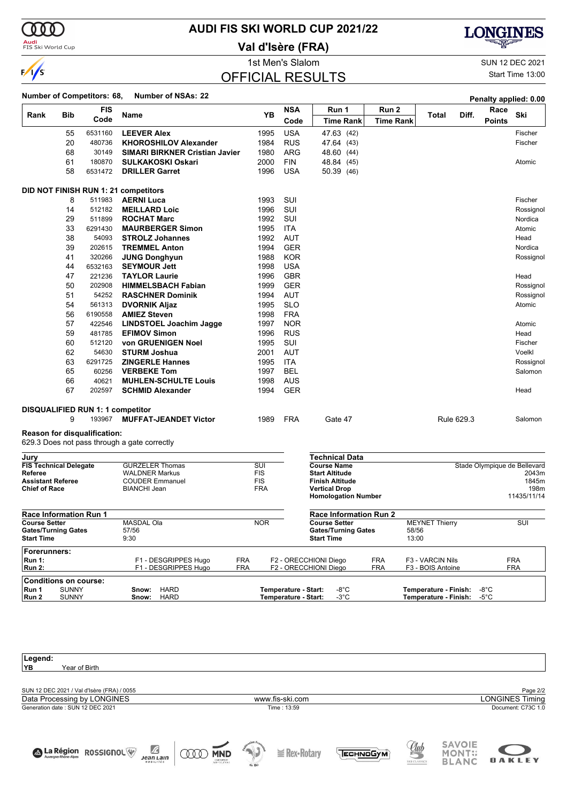

# **AUDI FIS SKI WORLD CUP 2021/22**

**Val d'Isère (FRA)**



1st Men's Slalom SUN 12 DEC 2021 Start Time 13:00

### OFFICIAL RESULTS

#### **Number of Competitors: 68, Number of NSAs: <sup>22</sup> Penalty applied: 0.00**

| Rank                                     | <b>Bib</b> | <b>FIS</b>                       | <b>Name</b>                                     | YB                | <b>NSA</b> | Run 1<br>Run 2                              |                  | Total                 | Diff.      | Race          | Ski                                   |
|------------------------------------------|------------|----------------------------------|-------------------------------------------------|-------------------|------------|---------------------------------------------|------------------|-----------------------|------------|---------------|---------------------------------------|
|                                          |            | Code                             |                                                 |                   | Code       | <b>Time Rank</b>                            | <b>Time Rank</b> |                       |            | <b>Points</b> |                                       |
|                                          | 55         | 6531160                          | <b>LEEVER Alex</b>                              | 1995              | <b>USA</b> | 47.63 (42)                                  |                  |                       |            |               | Fischer                               |
|                                          | 20         | 480736                           | <b>KHOROSHILOV Alexander</b>                    | 1984              | <b>RUS</b> | 47.64 (43)                                  |                  |                       |            |               | Fischer                               |
|                                          | 68         | 30149                            | <b>SIMARI BIRKNER Cristian Javier</b>           | 1980              | <b>ARG</b> | 48.60 (44)                                  |                  |                       |            |               |                                       |
|                                          | 61         | 180870                           | <b>SULKAKOSKI Oskari</b>                        | 2000              | <b>FIN</b> | 48.84 (45)                                  |                  |                       |            |               | Atomic                                |
|                                          | 58         | 6531472                          | <b>DRILLER Garret</b>                           | 1996              | <b>USA</b> | 50.39 (46)                                  |                  |                       |            |               |                                       |
|                                          |            |                                  | DID NOT FINISH RUN 1: 21 competitors            |                   |            |                                             |                  |                       |            |               |                                       |
|                                          | 8          | 511983                           | <b>AERNI Luca</b>                               | 1993              | SUI        |                                             |                  |                       |            |               | Fischer                               |
|                                          | 14         | 512182                           | <b>MEILLARD Loic</b>                            | 1996              | SUI        |                                             |                  |                       |            |               | Rossignol                             |
|                                          | 29         | 511899                           | <b>ROCHAT Marc</b>                              | 1992              | SUI        |                                             |                  |                       |            |               | Nordica                               |
|                                          | 33         | 6291430                          | <b>MAURBERGER Simon</b>                         | 1995              | <b>ITA</b> |                                             |                  |                       |            |               | Atomic                                |
|                                          | 38         | 54093                            | <b>STROLZ Johannes</b>                          | 1992              | AUT        |                                             |                  |                       |            |               | Head                                  |
|                                          | 39         | 202615                           | <b>TREMMEL Anton</b>                            | 1994              | <b>GER</b> |                                             |                  |                       |            |               | Nordica                               |
|                                          | 41         | 320266                           | <b>JUNG Donghyun</b>                            | 1988              | <b>KOR</b> |                                             |                  |                       |            |               | Rossignol                             |
|                                          | 44         | 6532163                          | <b>SEYMOUR Jett</b>                             | 1998              | <b>USA</b> |                                             |                  |                       |            |               |                                       |
|                                          | 47         | 221236                           | <b>TAYLOR Laurie</b>                            | 1996              | <b>GBR</b> |                                             |                  |                       |            |               | Head                                  |
|                                          | 50         | 202908                           | <b>HIMMELSBACH Fabian</b>                       | 1999              | <b>GER</b> |                                             |                  |                       |            |               | Rossignol                             |
|                                          | 51         | 54252                            | <b>RASCHNER Dominik</b>                         | 1994              | <b>AUT</b> |                                             |                  |                       |            |               | Rossignol                             |
|                                          | 54         | 561313                           | <b>DVORNIK Aljaz</b>                            | 1995              | <b>SLO</b> |                                             |                  |                       |            |               | Atomic                                |
|                                          | 56         | 6190558                          | <b>AMIEZ Steven</b>                             | 1998              | <b>FRA</b> |                                             |                  |                       |            |               |                                       |
|                                          | 57         | 422546                           | <b>LINDSTOEL Joachim Jagge</b>                  | 1997              | <b>NOR</b> |                                             |                  |                       |            |               | Atomic                                |
|                                          | 59         | 481785                           | <b>EFIMOV Simon</b>                             | 1996              | <b>RUS</b> |                                             |                  |                       |            |               | Head                                  |
|                                          | 60         | 512120                           | von GRUENIGEN Noel                              | 1995              | SUI        |                                             |                  |                       |            |               | Fischer                               |
|                                          | 62         | 54630                            | <b>STURM Joshua</b>                             | 2001              | <b>AUT</b> |                                             |                  |                       |            |               | Voelkl                                |
|                                          | 63         | 6291725                          | <b>ZINGERLE Hannes</b>                          | 1995              | <b>ITA</b> |                                             |                  |                       |            |               | Rossignol                             |
|                                          | 65         | 60256                            | <b>VERBEKE Tom</b>                              | 1997              | <b>BEL</b> |                                             |                  |                       |            |               | Salomon                               |
|                                          | 66         | 40621                            | <b>MUHLEN-SCHULTE Louis</b>                     | 1998              | <b>AUS</b> |                                             |                  |                       |            |               |                                       |
|                                          | 67         | 202597                           | <b>SCHMID Alexander</b>                         | 1994              | <b>GER</b> |                                             |                  |                       |            |               | Head                                  |
|                                          |            | DISQUALIFIED RUN 1: 1 competitor |                                                 |                   |            |                                             |                  |                       |            |               |                                       |
|                                          | 9          | 193967                           | <b>MUFFAT-JEANDET Victor</b>                    | 1989              | <b>FRA</b> | Gate 47                                     |                  |                       | Rule 629.3 |               | Salomon                               |
|                                          |            | Reason for disqualification:     |                                                 |                   |            |                                             |                  |                       |            |               |                                       |
|                                          |            |                                  | 629.3 Does not pass through a gate correctly    |                   |            |                                             |                  |                       |            |               |                                       |
| Jury                                     |            |                                  |                                                 |                   |            | <b>Technical Data</b>                       |                  |                       |            |               |                                       |
| <b>FIS Technical Delegate</b><br>Referee |            |                                  | <b>GURZELER Thomas</b><br><b>WALDNER Markus</b> | SUI<br><b>FIS</b> |            | <b>Course Name</b><br><b>Start Altitude</b> |                  |                       |            |               | Stade Olympique de Bellevard<br>2043m |
| <b>Assistant Referee</b>                 |            |                                  | <b>COUDER Emmanuel</b>                          | <b>FIS</b>        |            | <b>Finish Altitude</b>                      |                  |                       |            |               | 1845m                                 |
| <b>Chief of Race</b>                     |            |                                  | <b>BIANCHI Jean</b>                             | <b>FRA</b>        |            | <b>Vertical Drop</b>                        |                  |                       |            |               | 198m                                  |
|                                          |            |                                  |                                                 |                   |            | <b>Homologation Number</b>                  |                  |                       |            |               | 11435/11/14                           |
| <b>Race Information Run 1</b>            |            |                                  |                                                 |                   |            | <b>Race Information Run 2</b>               |                  |                       |            |               |                                       |
| <b>Course Setter</b>                     |            |                                  | <b>MASDAL Ola</b>                               | <b>NOR</b>        |            | <b>Course Setter</b>                        |                  | <b>MEYNET Thierry</b> |            |               | SUI                                   |

| <b>Gates/Turning Gates</b><br><b>Start Time</b> | 57/56<br>9:30        |            | <b>Gates/Turning Gates</b><br><b>Start Time</b> |            | 58/56<br>13:00             |            |
|-------------------------------------------------|----------------------|------------|-------------------------------------------------|------------|----------------------------|------------|
| Forerunners:                                    |                      |            |                                                 |            |                            |            |
| <b>Run 1:</b>                                   | F1 - DESGRIPPES Hugo | FRA        | F2 - ORECCHIONI Diego                           | <b>FRA</b> | F3 - VARCIN Nils           | <b>FRA</b> |
| Run 2:                                          | F1 - DESGRIPPES Hugo | <b>FRA</b> | F2 - ORECCHIONI Diego                           | <b>FRA</b> | F3 - BOIS Antoine          | <b>FRA</b> |
| Conditions on course:                           |                      |            |                                                 |            |                            |            |
| <b>SUNNY</b><br>l Run 1                         | HARD<br>Snow:        |            | Temperature - Start:<br>-8°C                    |            | Temperature - Finish: -8°C |            |
| Run 2<br><b>SUNNY</b>                           | Snow: HARD           |            | Temperature - Start:<br>-3°C                    |            | Temperature - Finish: -5°C |            |

| Legend:                                                    |                   |                                |                               |
|------------------------------------------------------------|-------------------|--------------------------------|-------------------------------|
| YB<br>Year of Birth                                        |                   |                                |                               |
|                                                            |                   |                                |                               |
| SUN 12 DEC 2021 / Val d'Isère (FRA) / 0055                 |                   |                                | Page 2/2                      |
| Data Processing by LONGINES                                | www.fis-ski.com   |                                | <b>LONGINES Timing</b>        |
| Generation date: SUN 12 DEC 2021                           | Time: 13:59       |                                | Document: C73C 1.0            |
|                                                            |                   |                                |                               |
|                                                            |                   |                                |                               |
|                                                            |                   |                                | <b>SAVOIE</b>                 |
| $\mathbb Z$<br>ALa Région ROSSIGNOL<br><b>MND</b><br>000   | $\geq$ Rex-Rotary | <u>Uub</u><br><b>TECHNOGYM</b> | <b>MONT::</b>                 |
| <b>Jean Lain</b><br>CNENRELET<br>SVAPSOLUTORS<br>HOBILITÉS | de Ski            | SKI CLASSICS                   | <b>OAKLEY</b><br><b>BLANC</b> |
|                                                            |                   |                                |                               |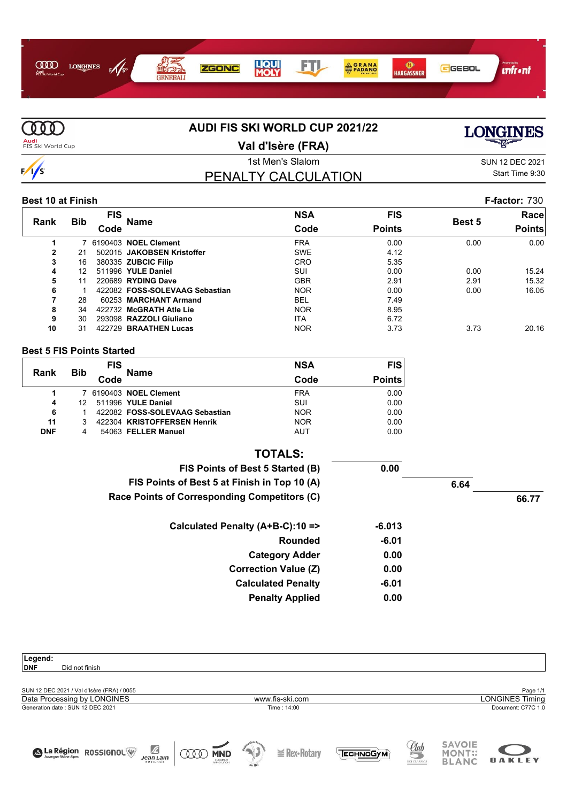



# **AUDI FIS SKI WORLD CUP 2021/22**

**Val d'Isère (FRA)**

# **LONGINES**

# PENALTY CALCULATION

1st Men's Slalom Sun 12 DEC 2021 Start Time 9:30

#### **Best 10 at Finish F-factor:** 730

|              |            | FIS  |                                | <b>NSA</b> | <b>FIS</b>    |        | Racel         |
|--------------|------------|------|--------------------------------|------------|---------------|--------|---------------|
| Rank         | <b>Bib</b> | Code | <b>Name</b>                    | Code       | <b>Points</b> | Best 5 | <b>Points</b> |
|              |            |      | 7 6190403 NOEL Clement         | <b>FRA</b> | 0.00          | 0.00   | 0.00          |
| $\mathbf{2}$ | 21         |      | 502015 JAKOBSEN Kristoffer     | <b>SWE</b> | 4.12          |        |               |
| 3            | 16         |      | 380335 ZUBCIC Filip            | CRO        | 5.35          |        |               |
| 4            | 12         |      | 511996 YULE Daniel             | SUI        | 0.00          | 0.00   | 15.24         |
| 5            | 11         |      | 220689 RYDING Dave             | <b>GBR</b> | 2.91          | 2.91   | 15.32         |
| 6            |            |      | 422082 FOSS-SOLEVAAG Sebastian | <b>NOR</b> | 0.00          | 0.00   | 16.05         |
|              | 28         |      | 60253 MARCHANT Armand          | <b>BEL</b> | 7.49          |        |               |
| 8            | 34         |      | 422732 McGRATH Atle Lie        | <b>NOR</b> | 8.95          |        |               |
| 9            | 30         |      | 293098 RAZZOLI Giuliano        | <b>ITA</b> | 6.72          |        |               |
| 10           | 31         |      | 422729 BRAATHEN Lucas          | <b>NOR</b> | 3.73          | 3.73   | 20.16         |

#### **Best 5 FIS Points Started**

| Rank       | <b>Bib</b> | <b>FIS</b> | <b>Name</b>                    | <b>NSA</b> | <b>FIS</b>    |
|------------|------------|------------|--------------------------------|------------|---------------|
|            | Code       |            |                                | Code       | <b>Points</b> |
|            |            |            | 7 6190403 NOEL Clement         | <b>FRA</b> | 0.00          |
| 4          | 12         |            | 511996 YULE Daniel             | SUI        | 0.00          |
| 6          |            |            | 422082 FOSS-SOLEVAAG Sebastian | <b>NOR</b> | 0.00          |
| 11         |            |            | 422304 KRISTOFFERSEN Henrik    | <b>NOR</b> | 0.00          |
| <b>DNF</b> | 4          |            | 54063 FELLER Manuel            | <b>AUT</b> | 0.00          |

| <b>TOTALS:</b>                               |      |       |
|----------------------------------------------|------|-------|
| 0.00<br>FIS Points of Best 5 Started (B)     |      |       |
| FIS Points of Best 5 at Finish in Top 10 (A) | 6.64 |       |
| Race Points of Corresponding Competitors (C) |      | 66.77 |
| Calculated Penalty (A+B-C):10 =><br>$-6.013$ |      |       |
| <b>Rounded</b><br>$-6.01$                    |      |       |
| 0.00<br><b>Category Adder</b>                |      |       |
| 0.00<br><b>Correction Value (Z)</b>          |      |       |
| <b>Calculated Penalty</b><br>$-6.01$         |      |       |
| 0.00<br><b>Penalty Applied</b>               |      |       |

| Legend:                                    |                                       |                 |                                               |                        |
|--------------------------------------------|---------------------------------------|-----------------|-----------------------------------------------|------------------------|
| <b>DNF</b><br>Did not finish               |                                       |                 |                                               |                        |
|                                            |                                       |                 |                                               |                        |
| SUN 12 DEC 2021 / Val d'Isère (FRA) / 0055 |                                       |                 |                                               | Page 1/1               |
| Data Processing by LONGINES                | www.fis-ski.com                       |                 |                                               | <b>LONGINES Timing</b> |
| Generation date: SUN 12 DEC 2021           | Time: 14:00                           |                 |                                               | Document: C77C 1.0     |
|                                            |                                       |                 |                                               |                        |
|                                            |                                       |                 |                                               |                        |
| $\mathbb Z$<br>A La Région ROSSIGNOL<br>UV | J.<br>$\geq$ Rex-Rotary<br><b>MND</b> | <b>ЕСН ОСУМ</b> | <b>SAVOIE</b><br>SKICLASSICS<br><b>MONT::</b> |                        |
| <b>Jean Lain</b><br>MOBILITÉS              | CNEOMERIES<br>de Ski                  |                 | <b>BLANC</b>                                  | <b>OAKLEY</b>          |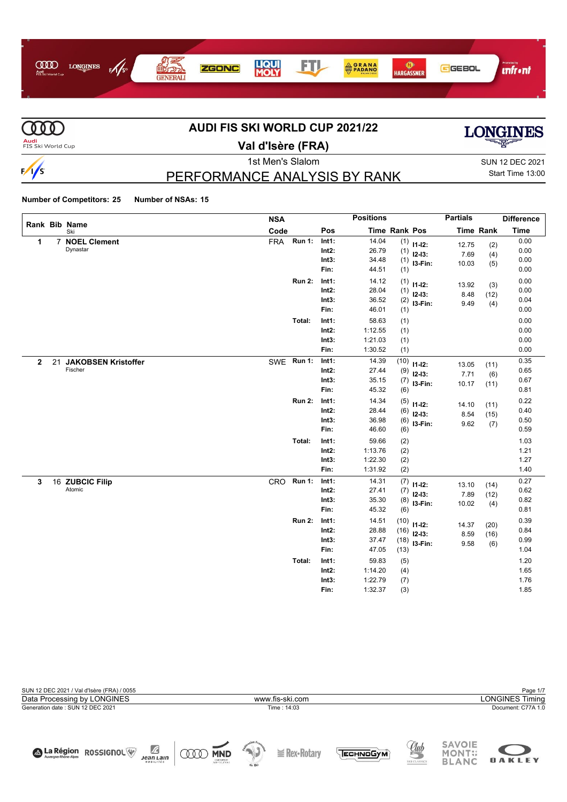



# **AUDI FIS SKI WORLD CUP 2021/22**



**OAKLEY** 

**Val d'Isère (FRA)**

1st Men's Slalom Sun 12 DEC 2021 Start Time 13:00

# PERFORMANCE ANALYSIS BY RANK

#### **Number of Competitors: 25 Number of NSAs: 15**

|              |    | Rank Bib Name              | <b>NSA</b> |               |          | <b>Positions</b> |                      |              | <b>Partials</b> |                  | <b>Difference</b> |
|--------------|----|----------------------------|------------|---------------|----------|------------------|----------------------|--------------|-----------------|------------------|-------------------|
|              |    | Ski                        | Code       |               | Pos      |                  | <b>Time Rank Pos</b> |              |                 | <b>Time Rank</b> | <b>Time</b>       |
| 1            | 7  | <b>NOEL Clement</b>        | <b>FRA</b> | <b>Run 1:</b> | Int1:    | 14.04            |                      | $(1)$ 11-12: | 12.75           | (2)              | 0.00              |
|              |    | Dynastar                   |            |               | Int2:    | 26.79            | (1)                  | $12-13:$     | 7.69            | (4)              | 0.00              |
|              |    |                            |            |               | Int3:    | 34.48            | (1)                  | I3-Fin:      | 10.03           | (5)              | 0.00              |
|              |    |                            |            |               | Fin:     | 44.51            | (1)                  |              |                 |                  | 0.00              |
|              |    |                            |            | <b>Run 2:</b> | Int1:    | 14.12            | (1)                  | $11 - 12$ :  | 13.92           | (3)              | 0.00              |
|              |    |                            |            |               | Int2:    | 28.04            | (1)                  | $12-13:$     | 8.48            | (12)             | 0.00              |
|              |    |                            |            |               | Int3:    | 36.52            | (2)                  | I3-Fin:      | 9.49            | (4)              | 0.04              |
|              |    |                            |            |               | Fin:     | 46.01            | (1)                  |              |                 |                  | 0.00              |
|              |    |                            |            | Total:        | Int1:    | 58.63            | (1)                  |              |                 |                  | 0.00              |
|              |    |                            |            |               | $Int2$ : | 1:12.55          | (1)                  |              |                 |                  | 0.00              |
|              |    |                            |            |               | Int3:    | 1:21.03          | (1)                  |              |                 |                  | 0.00              |
|              |    |                            |            |               | Fin:     | 1:30.52          | (1)                  |              |                 |                  | 0.00              |
| $\mathbf{2}$ | 21 | <b>JAKOBSEN Kristoffer</b> |            | SWE Run 1:    | Int1:    | 14.39            | (10)                 | $11 - 12$ :  | 13.05           | (11)             | 0.35              |
|              |    | Fischer                    |            |               | Int2:    | 27.44            | (9)                  | $12-13:$     | 7.71            | (6)              | 0.65              |
|              |    |                            |            |               | Int3:    | 35.15            | (7)                  | I3-Fin:      | 10.17           | (11)             | 0.67              |
|              |    |                            |            |               | Fin:     | 45.32            | (6)                  |              |                 |                  | 0.81              |
|              |    |                            |            | <b>Run 2:</b> | Int1:    | 14.34            | (5)                  | $11 - 12$ :  | 14.10           | (11)             | 0.22              |
|              |    |                            |            |               | $Int2$ : | 28.44            | (6)                  | $12 - 13$ :  | 8.54            | (15)             | 0.40              |
|              |    |                            |            |               | Int3:    | 36.98            | (6)                  | I3-Fin:      | 9.62            | (7)              | 0.50              |
|              |    |                            |            |               | Fin:     | 46.60            | (6)                  |              |                 |                  | 0.59              |
|              |    |                            |            | Total:        | Int1:    | 59.66            | (2)                  |              |                 |                  | 1.03              |
|              |    |                            |            |               | $Int2$ : | 1:13.76          | (2)                  |              |                 |                  | 1.21              |
|              |    |                            |            |               | Int3:    | 1:22.30          | (2)                  |              |                 |                  | 1.27              |
|              |    |                            |            |               | Fin:     | 1:31.92          | (2)                  |              |                 |                  | 1.40              |
| 3            |    | 16 ZUBCIC Filip            | CRO        | <b>Run 1:</b> | Int1:    | 14.31            | (7)                  | $11 - 12$ :  | 13.10           | (14)             | 0.27              |
|              |    | Atomic                     |            |               | $Int2$ : | 27.41            | (7)                  | $12 - 13:$   | 7.89            | (12)             | 0.62              |
|              |    |                            |            |               | Int3:    | 35.30            | (8)                  | I3-Fin:      | 10.02           | (4)              | 0.82              |
|              |    |                            |            |               | Fin:     | 45.32            | (6)                  |              |                 |                  | 0.81              |
|              |    |                            |            | <b>Run 2:</b> | Int1:    | 14.51            | (10)                 | $11 - 12$ :  | 14.37           | (20)             | 0.39              |
|              |    |                            |            |               | $Int2$ : | 28.88            | (16)                 | $12 - 13:$   | 8.59            | (16)             | 0.84              |
|              |    |                            |            |               | Int3:    | 37.47            | (18)                 | I3-Fin:      | 9.58            | (6)              | 0.99              |
|              |    |                            |            |               | Fin:     | 47.05            | (13)                 |              |                 |                  | 1.04              |
|              |    |                            |            | Total:        | Int1:    | 59.83            | (5)                  |              |                 |                  | 1.20              |
|              |    |                            |            |               | Int2:    | 1:14.20          | (4)                  |              |                 |                  | 1.65              |
|              |    |                            |            |               | Int3:    | 1:22.79          | (7)                  |              |                 |                  | 1.76              |
|              |    |                            |            |               | Fin:     | 1:32.37          | (3)                  |              |                 |                  | 1.85              |



JeanLain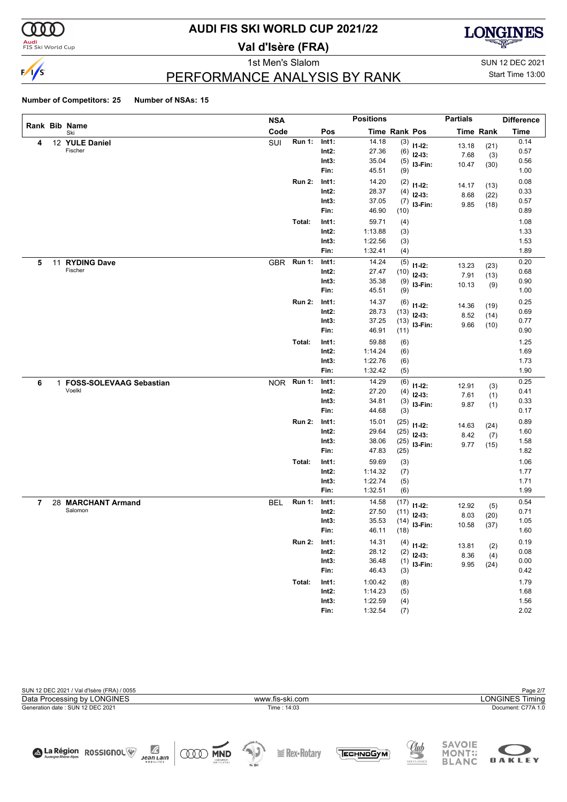

**Audi**<br>FIS Ski World Cup

# **AUDI FIS SKI WORLD CUP 2021/22**

**Val d'Isère (FRA)**



1st Men's Slalom Sun 12 DEC 2021

### PERFORMANCE ANALYSIS BY RANK

Start Time 13:00

|   |    |                           | <b>NSA</b> |               |          | <b>Positions</b>     |      |              | <b>Partials</b> |                  | <b>Difference</b> |
|---|----|---------------------------|------------|---------------|----------|----------------------|------|--------------|-----------------|------------------|-------------------|
|   |    | Rank Bib Name<br>Ski      | Code       |               | Pos      | <b>Time Rank Pos</b> |      |              |                 | <b>Time Rank</b> | <b>Time</b>       |
| 4 |    | 12 YULE Daniel            | SUI        | <b>Run 1:</b> | Int1:    | 14.18                |      | $(3)$ 11-12: | 13.18           | (21)             | 0.14              |
|   |    | Fischer                   |            |               | Int2:    | 27.36                | (6)  | $12-13:$     | 7.68            | (3)              | 0.57              |
|   |    |                           |            |               | Int3:    | 35.04                | (5)  | I3-Fin:      | 10.47           | (30)             | 0.56              |
|   |    |                           |            |               | Fin:     | 45.51                | (9)  |              |                 |                  | 1.00              |
|   |    |                           |            | <b>Run 2:</b> | Int1:    | 14.20                | (2)  | $11 - 12$ :  | 14.17           | (13)             | 0.08              |
|   |    |                           |            |               | Int2:    | 28.37                | (4)  | $12 - 13:$   | 8.68            | (22)             | 0.33              |
|   |    |                           |            |               | Int3:    | 37.05                | (7)  | I3-Fin:      | 9.85            | (18)             | 0.57              |
|   |    |                           |            |               | Fin:     | 46.90                | (10) |              |                 |                  | 0.89              |
|   |    |                           |            | Total:        | Int1:    | 59.71                | (4)  |              |                 |                  | 1.08              |
|   |    |                           |            |               | $Int2$ : | 1:13.88              | (3)  |              |                 |                  | 1.33              |
|   |    |                           |            |               | Int3:    | 1:22.56              | (3)  |              |                 |                  | 1.53              |
|   |    |                           |            |               | Fin:     | 1:32.41              | (4)  |              |                 |                  | 1.89              |
| 5 | 11 | <b>RYDING Dave</b>        | <b>GBR</b> | <b>Run 1:</b> | Int1:    | 14.24                | (5)  | $11 - 12$ :  | 13.23           | (23)             | 0.20              |
|   |    | Fischer                   |            |               | Int2:    | 27.47                | (10) | $12-13:$     | 7.91            | (13)             | 0.68              |
|   |    |                           |            |               | Int3:    | 35.38                | (9)  | I3-Fin:      | 10.13           | (9)              | 0.90              |
|   |    |                           |            |               | Fin:     | 45.51                | (9)  |              |                 |                  | 1.00              |
|   |    |                           |            | <b>Run 2:</b> | Int1:    | 14.37                | (6)  | $11 - 12$ :  | 14.36           | (19)             | 0.25              |
|   |    |                           |            |               | Int2:    | 28.73                | (13) | $12-13:$     | 8.52            | (14)             | 0.69              |
|   |    |                           |            |               | Int3:    | 37.25                | (13) | I3-Fin:      | 9.66            | (10)             | 0.77              |
|   |    |                           |            |               | Fin:     | 46.91                | (11) |              |                 |                  | 0.90              |
|   |    |                           |            | Total:        | Int1:    | 59.88                | (6)  |              |                 |                  | 1.25              |
|   |    |                           |            |               | $Int2$ : | 1:14.24              | (6)  |              |                 |                  | 1.69              |
|   |    |                           |            |               | Int3:    | 1:22.76              | (6)  |              |                 |                  | 1.73              |
|   |    |                           |            |               | Fin:     | 1:32.42              | (5)  |              |                 |                  | 1.90              |
| 6 |    | 1 FOSS-SOLEVAAG Sebastian | <b>NOR</b> | <b>Run 1:</b> | Int1:    | 14.29                | (6)  | $11 - 12$ :  | 12.91           | (3)              | 0.25              |
|   |    | Voelkl                    |            |               | Int2:    | 27.20                | (4)  | $12-13:$     | 7.61            | (1)              | 0.41              |
|   |    |                           |            |               | Int3:    | 34.81                | (3)  | I3-Fin:      | 9.87            | (1)              | 0.33              |
|   |    |                           |            |               | Fin:     | 44.68                | (3)  |              |                 |                  | 0.17              |
|   |    |                           |            | <b>Run 2:</b> | Int1:    | 15.01                | (25) | $11 - 12$ :  | 14.63           | (24)             | 0.89              |
|   |    |                           |            |               | $Int2$ : | 29.64                | (25) | $12-13:$     | 8.42            | (7)              | 1.60              |
|   |    |                           |            |               | Int3:    | 38.06                | (25) | I3-Fin:      | 9.77            | (15)             | 1.58              |
|   |    |                           |            |               | Fin:     | 47.83                | (25) |              |                 |                  | 1.82              |
|   |    |                           |            | Total:        | Int1:    | 59.69                | (3)  |              |                 |                  | 1.06              |
|   |    |                           |            |               | $Int2$ : | 1:14.32              | (7)  |              |                 |                  | 1.77              |
|   |    |                           |            |               | Int3:    | 1:22.74              | (5)  |              |                 |                  | 1.71              |
|   |    |                           |            |               | Fin:     | 1:32.51              | (6)  |              |                 |                  | 1.99              |
| 7 |    | 28 MARCHANT Armand        | <b>BEL</b> | <b>Run 1:</b> | Int1:    | 14.58                | (17) | $11 - 12$ :  | 12.92           | (5)              | 0.54              |
|   |    | Salomon                   |            |               | $Int2$ : | 27.50                | (11) | $12-13:$     | 8.03            | (20)             | 0.71              |
|   |    |                           |            |               | Int3:    | 35.53                | (14) | I3-Fin:      | 10.58           | (37)             | 1.05              |
|   |    |                           |            |               | Fin:     | 46.11                | (18) |              |                 |                  | 1.60              |
|   |    |                           |            | <b>Run 2:</b> | Int1:    | 14.31                | (4)  | $11 - 12$ :  | 13.81           | (2)              | 0.19              |
|   |    |                           |            |               | $Int2$ : | 28.12                | (2)  | $12-13:$     | 8.36            | (4)              | 0.08              |
|   |    |                           |            |               | Int3:    | 36.48                | (1)  | I3-Fin:      | 9.95            | (24)             | 0.00              |
|   |    |                           |            |               | Fin:     | 46.43                | (3)  |              |                 |                  | 0.42              |
|   |    |                           |            | Total:        | Int1:    | 1:00.42              | (8)  |              |                 |                  | 1.79              |
|   |    |                           |            |               | $Int2$ : | 1:14.23              | (5)  |              |                 |                  | 1.68              |
|   |    |                           |            |               | Int3:    | 1:22.59              | (4)  |              |                 |                  | 1.56              |
|   |    |                           |            |               | Fin:     | 1:32.54              | (7)  |              |                 |                  | 2.02              |

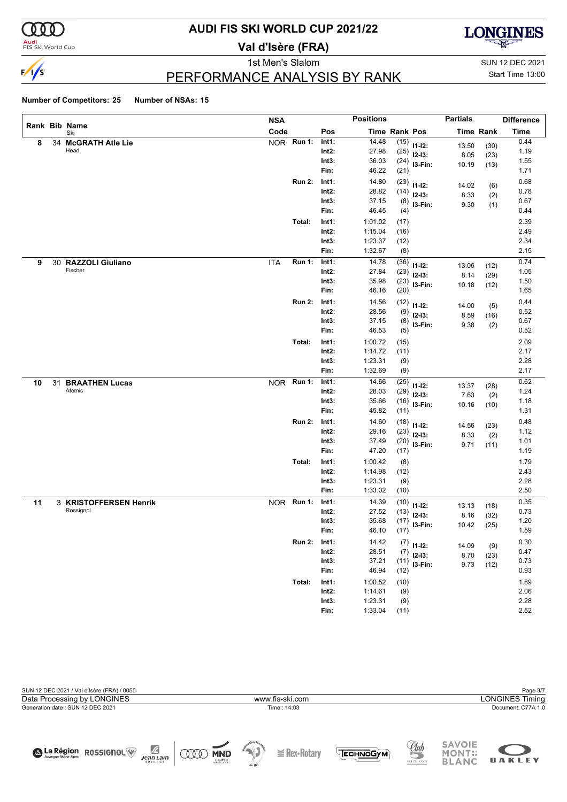

# **AUDI FIS SKI WORLD CUP 2021/22**

**Val d'Isère (FRA)**



1st Men's Slalom SUN 12 DEC 2021

### PERFORMANCE ANALYSIS BY RANK

# Start Time 13:00

|    |                             | <b>NSA</b> |               |                   | <b>Positions</b>     |              |              | <b>Partials</b> |                  | <b>Difference</b> |
|----|-----------------------------|------------|---------------|-------------------|----------------------|--------------|--------------|-----------------|------------------|-------------------|
|    | Rank Bib Name<br>Ski        | Code       |               | Pos               | <b>Time Rank Pos</b> |              |              |                 | <b>Time Rank</b> | <b>Time</b>       |
| 8  | 34 McGRATH Atle Lie         | NOR Run 1: |               | Int1:             | 14.48                | (15)         | $11 - 12$ :  | 13.50           | (30)             | 0.44              |
|    | Head                        |            |               | $Int2$ :          | 27.98                | (25)         | $12-13:$     | 8.05            | (23)             | 1.19              |
|    |                             |            |               | Int3:             | 36.03                | (24)         | I3-Fin:      | 10.19           | (13)             | 1.55              |
|    |                             |            |               | Fin:              | 46.22                | (21)         |              |                 |                  | 1.71              |
|    |                             |            | <b>Run 2:</b> | Int1:             | 14.80                | (23)         | $11 - 12$ :  | 14.02           | (6)              | 0.68              |
|    |                             |            |               | $Int2$ :          | 28.82                | (14)         | $12-13:$     | 8.33            | (2)              | 0.78              |
|    |                             |            |               | Int3:             | 37.15                | (8)          | I3-Fin:      | 9.30            | (1)              | 0.67              |
|    |                             |            |               | Fin:              | 46.45                | (4)          |              |                 |                  | 0.44              |
|    |                             |            | Total:        | Int1:             | 1:01.02              | (17)         |              |                 |                  | 2.39              |
|    |                             |            |               | $Int2$ :          | 1:15.04              | (16)         |              |                 |                  | 2.49              |
|    |                             |            |               | Int3:             | 1:23.37              | (12)         |              |                 |                  | 2.34              |
|    |                             |            |               | Fin:              | 1:32.67              | (8)          |              |                 |                  | 2.15              |
| 9  | 30 RAZZOLI Giuliano         | ITA        | <b>Run 1:</b> | Int1:             | 14.78                | (36)         | $11 - 12$ :  | 13.06           | (12)             | 0.74              |
|    | Fischer                     |            |               | $Int2$ :          | 27.84                | (23)         | $12-13:$     | 8.14            | (29)             | 1.05              |
|    |                             |            |               | Int3:             | 35.98                | (23)         | I3-Fin:      | 10.18           | (12)             | 1.50              |
|    |                             |            |               | Fin:              | 46.16                | (20)         |              |                 |                  | 1.65              |
|    |                             |            | <b>Run 2:</b> | Int1:             | 14.56                | (12)         | $11 - 12$ :  | 14.00           | (5)              | 0.44              |
|    |                             |            |               | $Int2$ :          | 28.56                | (9)          | $12-13:$     | 8.59            | (16)             | 0.52              |
|    |                             |            |               | Int3:<br>Fin:     | 37.15<br>46.53       | (8)          | I3-Fin:      | 9.38            | (2)              | 0.67<br>0.52      |
|    |                             |            |               |                   |                      | (5)          |              |                 |                  |                   |
|    |                             |            | Total:        | Int1:             | 1:00.72              | (15)         |              |                 |                  | 2.09              |
|    |                             |            |               | $Int2$ :          | 1:14.72              | (11)         |              |                 |                  | 2.17<br>2.28      |
|    |                             |            |               | Int3:<br>Fin:     | 1:23.31<br>1:32.69   | (9)<br>(9)   |              |                 |                  | 2.17              |
|    |                             |            | <b>Run 1:</b> |                   | 14.66                |              |              |                 |                  | 0.62              |
| 10 | 31 BRAATHEN Lucas<br>Atomic | <b>NOR</b> |               | Int1:<br>$Int2$ : | 28.03                | (25)<br>(29) | $11 - 12$ :  | 13.37           | (28)             | 1.24              |
|    |                             |            |               | Int3:             | 35.66                | (16)         | $12-13:$     | 7.63            | (2)              | 1.18              |
|    |                             |            |               | Fin:              | 45.82                | (11)         | I3-Fin:      | 10.16           | (10)             | 1.31              |
|    |                             |            | <b>Run 2:</b> | Int1:             | 14.60                | (18)         |              |                 |                  | 0.48              |
|    |                             |            |               | $Int2$ :          | 29.16                | (23)         | $11 - 12$ :  | 14.56           | (23)             | 1.12              |
|    |                             |            |               | Int3:             | 37.49                | (20)         | $12-13:$     | 8.33            | (2)              | 1.01              |
|    |                             |            |               | Fin:              | 47.20                | (17)         | I3-Fin:      | 9.71            | (11)             | 1.19              |
|    |                             |            | Total:        | Int1:             | 1:00.42              | (8)          |              |                 |                  | 1.79              |
|    |                             |            |               | $Int2$ :          | 1:14.98              | (12)         |              |                 |                  | 2.43              |
|    |                             |            |               | Int3:             | 1:23.31              | (9)          |              |                 |                  | 2.28              |
|    |                             |            |               | Fin:              | 1:33.02              | (10)         |              |                 |                  | 2.50              |
| 11 | 3 KRISTOFFERSEN Henrik      | NOR Run 1: |               | Int1:             | 14.39                | (10)         | $11 - 12$ :  | 13.13           | (18)             | 0.35              |
|    | Rossignol                   |            |               | Int2:             | 27.52                | (13)         | $12-13:$     | 8.16            | (32)             | 0.73              |
|    |                             |            |               | Int3:             | 35.68                | (17)         | I3-Fin:      | 10.42           | (25)             | 1.20              |
|    |                             |            |               | Fin:              | 46.10                | (17)         |              |                 |                  | 1.59              |
|    |                             |            | <b>Run 2:</b> | Int1:             | 14.42                |              | $(7)$ 11-12: | 14.09           | (9)              | 0.30              |
|    |                             |            |               | Int2:             | 28.51                | (7)          | $12-13:$     | 8.70            | (23)             | 0.47              |
|    |                             |            |               | Int3:             | 37.21                | (11)         | $13-Fin:$    | 9.73            | (12)             | 0.73              |
|    |                             |            |               | Fin:              | 46.94                | (12)         |              |                 |                  | 0.93              |
|    |                             |            | Total:        | Int1:             | 1:00.52              | (10)         |              |                 |                  | 1.89              |
|    |                             |            |               | $Int2$ :          | 1:14.61              | (9)          |              |                 |                  | 2.06              |
|    |                             |            |               | Int3:             | 1:23.31              | (9)          |              |                 |                  | 2.28              |
|    |                             |            |               | Fin:              | 1:33.04              | (11)         |              |                 |                  | 2.52              |

| SUN 12 DEC 2021 / Val d'Isère (FRA) / 0055                                              |                                                                                                                                                             | Page 3/7                                                                                      |  |  |  |  |
|-----------------------------------------------------------------------------------------|-------------------------------------------------------------------------------------------------------------------------------------------------------------|-----------------------------------------------------------------------------------------------|--|--|--|--|
| Data Processing by LONGINES                                                             | <b>LONGINES Timing</b><br>www.fis-ski.com                                                                                                                   |                                                                                               |  |  |  |  |
| Generation date: SUN 12 DEC 2021                                                        | Time : 14:03                                                                                                                                                | Document: C77A 1.0                                                                            |  |  |  |  |
| Ŀ<br>A La Région ROSSIGNOL<br><b>MND</b><br><b>Jean Lain</b><br>CNEOMERIES<br>MOBILITÉS | $\frac{1}{\sqrt{2}}\int_{0}^{\sqrt{2}}\frac{1}{\sqrt{2}}\left( \frac{1}{\sqrt{2}}\right) ^{2}d\mu d\nu$<br>$\geq$ Rex-Rotary<br><b>Чесннобум.</b><br>de Ski | <b>SAVOIE</b><br><u>Club</u><br><b>MONT::</b><br><b>OAKLEY</b><br><b>BLANC</b><br>SKI CLASSIC |  |  |  |  |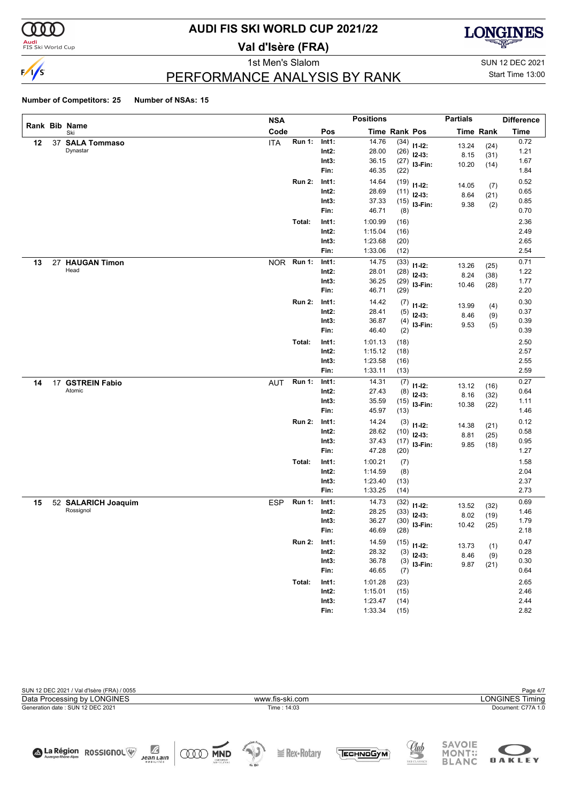

**Audi**<br>FIS Ski World Cup

# **AUDI FIS SKI WORLD CUP 2021/22**

**Val d'Isère (FRA)**



1st Men's Slalom Sun 12 DEC 2021

Start Time 13:00

### PERFORMANCE ANALYSIS BY RANK

|    |                      | <b>NSA</b> |               |          | <b>Positions</b>     |      |               | <b>Partials</b> |                  | <b>Difference</b> |
|----|----------------------|------------|---------------|----------|----------------------|------|---------------|-----------------|------------------|-------------------|
|    | Rank Bib Name<br>Ski | Code       |               | Pos      | <b>Time Rank Pos</b> |      |               |                 | <b>Time Rank</b> | <b>Time</b>       |
| 12 | 37 SALA Tommaso      | <b>ITA</b> | <b>Run 1:</b> | Int1:    | 14.76                | (34) | $11-12:$      | 13.24           | (24)             | 0.72              |
|    | Dynastar             |            |               | $Int2$ : | 28.00                | (26) | $12-13:$      | 8.15            | (31)             | 1.21              |
|    |                      |            |               | Int3:    | 36.15                | (27) | I3-Fin:       | 10.20           | (14)             | 1.67              |
|    |                      |            |               | Fin:     | 46.35                | (22) |               |                 |                  | 1.84              |
|    |                      |            | <b>Run 2:</b> | Int1:    | 14.64                | (19) | $11 - 12$ :   | 14.05           | (7)              | 0.52              |
|    |                      |            |               | $Int2$ : | 28.69                | (11) | $12-13:$      | 8.64            | (21)             | 0.65              |
|    |                      |            |               | Int3:    | 37.33                | (15) | I3-Fin:       | 9.38            | (2)              | 0.85              |
|    |                      |            |               | Fin:     | 46.71                | (8)  |               |                 |                  | 0.70              |
|    |                      |            | Total:        | Int1:    | 1:00.99              | (16) |               |                 |                  | 2.36              |
|    |                      |            |               | $Int2$ : | 1:15.04              | (16) |               |                 |                  | 2.49              |
|    |                      |            |               | Int3:    | 1:23.68              | (20) |               |                 |                  | 2.65              |
|    |                      |            |               | Fin:     | 1:33.06              | (12) |               |                 |                  | 2.54              |
| 13 | 27 HAUGAN Timon      | <b>NOR</b> | <b>Run 1:</b> | Int1:    | 14.75                | (33) | $11 - 12$ :   | 13.26           | (25)             | 0.71              |
|    | Head                 |            |               | $Int2$ : | 28.01                | (28) | $12 - 13$ :   | 8.24            | (38)             | 1.22              |
|    |                      |            |               | Int3:    | 36.25                | (29) | I3-Fin:       | 10.46           | (28)             | 1.77              |
|    |                      |            |               | Fin:     | 46.71                | (29) |               |                 |                  | 2.20              |
|    |                      |            | <b>Run 2:</b> | Int1:    | 14.42                | (7)  | $11 - 12$ :   | 13.99           | (4)              | 0.30              |
|    |                      |            |               | $Int2$ : | 28.41                | (5)  | $12 - 13$ :   | 8.46            | (9)              | 0.37              |
|    |                      |            |               | Int3:    | 36.87                | (4)  | I3-Fin:       | 9.53            | (5)              | 0.39              |
|    |                      |            |               | Fin:     | 46.40                | (2)  |               |                 |                  | 0.39              |
|    |                      |            | Total:        | Int1:    | 1:01.13              | (18) |               |                 |                  | 2.50              |
|    |                      |            |               | $Int2$ : | 1:15.12              | (18) |               |                 |                  | 2.57              |
|    |                      |            |               | Int3:    | 1:23.58              | (16) |               |                 |                  | 2.55              |
|    |                      |            |               | Fin:     | 1:33.11              | (13) |               |                 |                  | 2.59              |
| 14 | 17 GSTREIN Fabio     | <b>AUT</b> | <b>Run 1:</b> | Int1:    | 14.31                | (7)  | $11 - 12$ :   | 13.12           | (16)             | 0.27              |
|    | Atomic               |            |               | $Int2$ : | 27.43                | (8)  | $12 - 13$ :   | 8.16            | (32)             | 0.64              |
|    |                      |            |               | Int3:    | 35.59                | (15) | I3-Fin:       | 10.38           | (22)             | 1.11              |
|    |                      |            |               | Fin:     | 45.97                | (13) |               |                 |                  | 1.46              |
|    |                      |            | <b>Run 2:</b> | Int1:    | 14.24                | (3)  | $11 - 12$ :   | 14.38           | (21)             | 0.12              |
|    |                      |            |               | $Int2$ : | 28.62                | (10) | $12 - 13$ :   | 8.81            | (25)             | 0.58              |
|    |                      |            |               | Int3:    | 37.43                | (17) | I3-Fin:       | 9.85            | (18)             | 0.95              |
|    |                      |            |               | Fin:     | 47.28                | (20) |               |                 |                  | 1.27              |
|    |                      |            | Total:        | Int1:    | 1:00.21              | (7)  |               |                 |                  | 1.58              |
|    |                      |            |               | $Int2$ : | 1:14.59              | (8)  |               |                 |                  | 2.04              |
|    |                      |            |               | Int3:    | 1:23.40              | (13) |               |                 |                  | 2.37              |
|    |                      |            |               | Fin:     | 1:33.25              | (14) |               |                 |                  | 2.73              |
| 15 | 52 SALARICH Joaquim  | <b>ESP</b> | <b>Run 1:</b> | Int1:    | 14.73                | (32) | $11 - 12$ :   | 13.52           | (32)             | 0.69              |
|    | Rossignol            |            |               | Int2:    | 28.25                | (33) | $12 - 13$ :   | 8.02            | (19)             | 1.46              |
|    |                      |            |               | Int3:    | 36.27                | (30) | I3-Fin:       | 10.42           | (25)             | 1.79              |
|    |                      |            |               | Fin:     | 46.69                | (28) |               |                 |                  | 2.18              |
|    |                      |            | <b>Run 2:</b> | Int1:    | 14.59                |      | $(15)$ 11-12: | 13.73           | (1)              | 0.47              |
|    |                      |            |               | $Int2$ : | 28.32                | (3)  | $12-13:$      | 8.46            | (9)              | 0.28              |
|    |                      |            |               | Int3:    | 36.78                | (3)  | $13-Fin:$     | 9.87            | (21)             | 0.30              |
|    |                      |            |               | Fin:     | 46.65                | (7)  |               |                 |                  | 0.64              |
|    |                      |            | Total:        | Int1:    | 1:01.28              | (23) |               |                 |                  | 2.65              |
|    |                      |            |               | $Int2$ : | 1:15.01              | (15) |               |                 |                  | 2.46              |
|    |                      |            |               | Int3:    | 1:23.47              | (14) |               |                 |                  | 2.44              |
|    |                      |            |               | Fin:     | 1:33.34              | (15) |               |                 |                  | 2.82              |

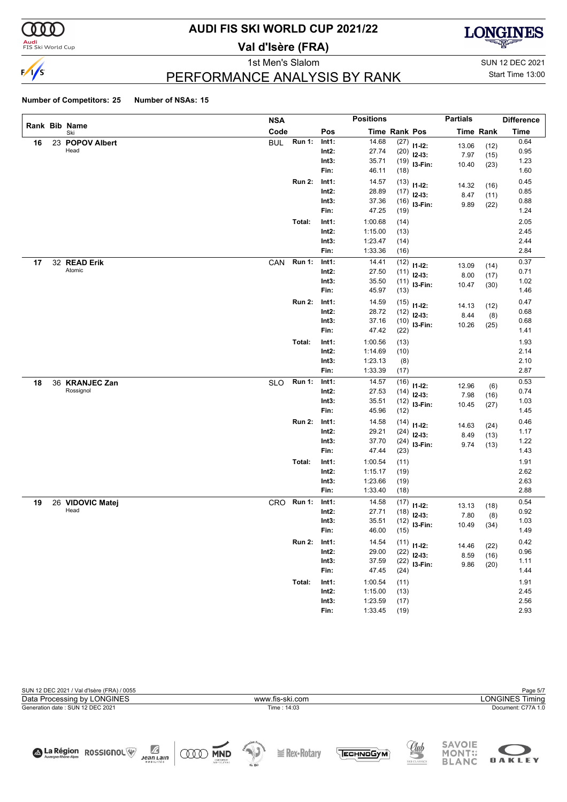

# **AUDI FIS SKI WORLD CUP 2021/22**

**Val d'Isère (FRA)**



1st Men's Slalom SUN 12 DEC 2021

# PERFORMANCE ANALYSIS BY RANK

Start Time 13:00

|    |                             | <b>NSA</b> |               |                   | <b>Positions</b>   |               |                            | <b>Partials</b> |              | <b>Difference</b> |
|----|-----------------------------|------------|---------------|-------------------|--------------------|---------------|----------------------------|-----------------|--------------|-------------------|
|    | Rank Bib Name<br>Ski        | Code       |               | Pos               |                    | Time Rank Pos |                            |                 | Time Rank    | <b>Time</b>       |
| 16 | 23 POPOV Albert             | <b>BUL</b> | <b>Run 1:</b> | Int1:             | 14.68              | (27)          | $11 - 12$ :                | 13.06           | (12)         | 0.64              |
|    | Head                        |            |               | $Int2$ :          | 27.74              | (20)          | $12-13:$                   | 7.97            | (15)         | 0.95              |
|    |                             |            |               | Int3:             | 35.71              | (19)          | I3-Fin:                    | 10.40           | (23)         | 1.23              |
|    |                             |            |               | Fin:              | 46.11              | (18)          |                            |                 |              | 1.60              |
|    |                             |            | <b>Run 2:</b> | Int1:             | 14.57              | (13)          | $11 - 12$ :                | 14.32           | (16)         | 0.45              |
|    |                             |            |               | $Int2$ :          | 28.89              | (17)          | $12-13:$                   | 8.47            | (11)         | 0.85              |
|    |                             |            |               | Int3:             | 37.36              | (16)          | I3-Fin:                    | 9.89            | (22)         | 0.88              |
|    |                             |            |               | Fin:              | 47.25              | (19)          |                            |                 |              | 1.24              |
|    |                             |            | Total:        | Int1:             | 1:00.68            | (14)          |                            |                 |              | 2.05              |
|    |                             |            |               | $Int2$ :          | 1:15.00            | (13)          |                            |                 |              | 2.45              |
|    |                             |            |               | Int3:             | 1:23.47            | (14)          |                            |                 |              | 2.44              |
|    |                             |            |               | Fin:              | 1:33.36            | (16)          |                            |                 |              | 2.84              |
| 17 | 32 READ Erik                | CAN        | Run 1:        | Int1:             | 14.41              | (12)          | $11 - 12$ :                | 13.09           | (14)         | 0.37              |
|    | Atomic                      |            |               | $Int2$ :          | 27.50              | (11)          | $12 - 13$ :                | 8.00            | (17)         | 0.71              |
|    |                             |            |               | Int3:<br>Fin:     | 35.50<br>45.97     | (11)          | I3-Fin:                    | 10.47           | (30)         | 1.02<br>1.46      |
|    |                             |            |               |                   |                    | (13)          |                            |                 |              |                   |
|    |                             |            | <b>Run 2:</b> | Int1:             | 14.59              | (15)          | $11 - 12$ :                | 14.13           | (12)         | 0.47              |
|    |                             |            |               | Int2:             | 28.72              | (12)          | $12 - 13$ :                | 8.44            | (8)          | 0.68              |
|    |                             |            |               | Int3:<br>Fin:     | 37.16<br>47.42     | (10)          | I3-Fin:                    | 10.26           | (25)         | 0.68<br>1.41      |
|    |                             |            |               |                   |                    | (22)          |                            |                 |              |                   |
|    |                             |            | Total:        | Int1:             | 1:00.56            | (13)          |                            |                 |              | 1.93              |
|    |                             |            |               | $Int2$ :          | 1:14.69            | (10)          |                            |                 |              | 2.14              |
|    |                             |            |               | Int3:<br>Fin:     | 1:23.13<br>1:33.39 | (8)<br>(17)   |                            |                 |              | 2.10<br>2.87      |
|    |                             |            |               |                   |                    |               |                            |                 |              |                   |
| 18 | 36 KRANJEC Zan<br>Rossignol | <b>SLO</b> | Run 1:        | Int1:<br>$Int2$ : | 14.57<br>27.53     | (16)          | $11 - 12$ :                | 12.96           | (6)          | 0.53<br>0.74      |
|    |                             |            |               | Int3:             | 35.51              | (14)          | $12 - 13$ :                | 7.98            | (16)         | 1.03              |
|    |                             |            |               | Fin:              | 45.96              | (12)<br>(12)  | I3-Fin:                    | 10.45           | (27)         | 1.45              |
|    |                             |            | <b>Run 2:</b> | Int1:             | 14.58              |               |                            |                 |              | 0.46              |
|    |                             |            |               | $Int2$ :          | 29.21              | (14)<br>(24)  | $11 - 12$ :                | 14.63           | (24)         | 1.17              |
|    |                             |            |               | Int3:             | 37.70              | (24)          | $12 - 13$ :                | 8.49            | (13)         | 1.22              |
|    |                             |            |               | Fin:              | 47.44              | (23)          | I3-Fin:                    | 9.74            | (13)         | 1.43              |
|    |                             |            | Total:        | Int1:             | 1:00.54            | (11)          |                            |                 |              | 1.91              |
|    |                             |            |               | $Int2$ :          | 1:15.17            | (19)          |                            |                 |              | 2.62              |
|    |                             |            |               | Int3:             | 1:23.66            | (19)          |                            |                 |              | 2.63              |
|    |                             |            |               | Fin:              | 1:33.40            | (18)          |                            |                 |              | 2.88              |
| 19 | 26 VIDOVIC Matej            | CRO.       | <b>Run 1:</b> | Int1:             | 14.58              | (17)          |                            |                 |              | 0.54              |
|    | Head                        |            |               | Int2:             | 27.71              | (18)          | $11 - 12$ :<br>$12 - 13$ : | 13.13           | (18)         | 0.92              |
|    |                             |            |               | Int3:             | 35.51              | (12)          | I3-Fin:                    | 7.80<br>10.49   | (8)          | 1.03              |
|    |                             |            |               | Fin:              | 46.00              | (15)          |                            |                 | (34)         | 1.49              |
|    |                             |            | <b>Run 2:</b> | Int1:             | 14.54              |               | $(11)$ 11-12:              |                 |              | 0.42              |
|    |                             |            |               | $Int2$ :          | 29.00              | (22)          | $12-13:$                   | 14.46<br>8.59   | (22)<br>(16) | 0.96              |
|    |                             |            |               | Int3:             | 37.59              | (22)          | I3-Fin:                    | 9.86            | (20)         | 1.11              |
|    |                             |            |               | Fin:              | 47.45              | (24)          |                            |                 |              | 1.44              |
|    |                             |            | Total:        | Int1:             | 1:00.54            | (11)          |                            |                 |              | 1.91              |
|    |                             |            |               | $Int2$ :          | 1:15.00            | (13)          |                            |                 |              | 2.45              |
|    |                             |            |               | Int3:             | 1:23.59            | (17)          |                            |                 |              | 2.56              |
|    |                             |            |               | Fin:              | 1:33.45            | (19)          |                            |                 |              | 2.93              |

| SUN 12 DEC 2021 / Val d'Isère (FRA) / 0055                    |                                                   |                                                       | Page 5/7                                                        |
|---------------------------------------------------------------|---------------------------------------------------|-------------------------------------------------------|-----------------------------------------------------------------|
| Data Processing by LONGINES                                   | www.fis-ski.com                                   |                                                       | <b>LONGINES Timing</b>                                          |
| Generation date: SUN 12 DEC 2021                              | Time: 14:03                                       |                                                       | Document: C77A 1.0                                              |
|                                                               |                                                   |                                                       |                                                                 |
|                                                               |                                                   |                                                       |                                                                 |
| A La Région ROSSIGNOL<br><b>Jean Lain</b><br><b>MOBILITÉS</b> | <b>MND</b><br>CNENRELET<br>SVAPSOLUTONS<br>de Ski | Club<br>$\geq$ Rex-Rotary<br>ЕСН ОБУМ<br>SKI CLASSICS | <b>SAVOIE</b><br><b>MONT::</b><br><b>OAKLEY</b><br><b>BLANC</b> |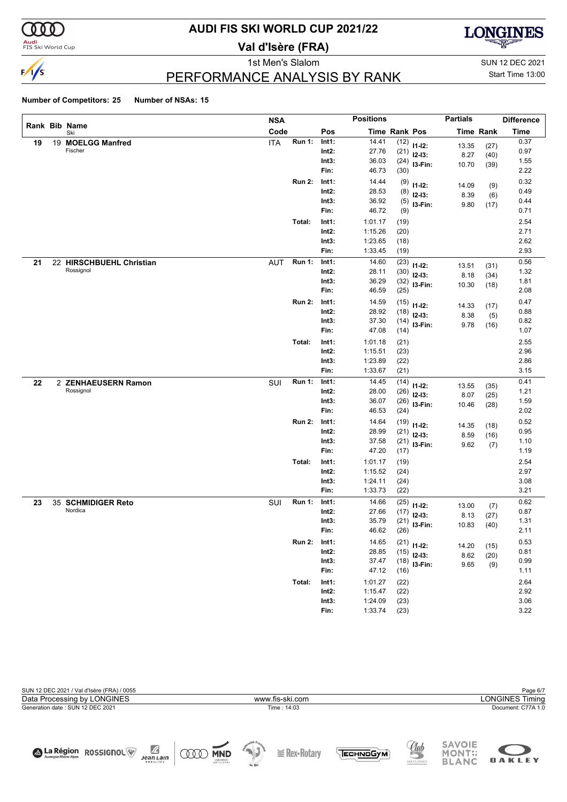

# **AUDI FIS SKI WORLD CUP 2021/22**

**Val d'Isère (FRA)**



1st Men's Slalom SUN 12 DEC 2021

# PERFORMANCE ANALYSIS BY RANK

Start Time 13:00

|    |                                       | <b>NSA</b> |               |                   | <b>Positions</b>   |                      |                | <b>Partials</b> |                  | <b>Difference</b> |
|----|---------------------------------------|------------|---------------|-------------------|--------------------|----------------------|----------------|-----------------|------------------|-------------------|
|    | Rank Bib Name<br>Ski                  | Code       |               | Pos               |                    | <b>Time Rank Pos</b> |                |                 | <b>Time Rank</b> | <b>Time</b>       |
| 19 | 19 MOELGG Manfred                     | <b>ITA</b> | <b>Run 1:</b> | Int1:             | 14.41              | (12)                 | $11 - 12$ :    | 13.35           | (27)             | 0.37              |
|    | Fischer                               |            |               | $Int2$ :          | 27.76              | (21)                 | $12-13:$       | 8.27            | (40)             | 0.97              |
|    |                                       |            |               | Int3:             | 36.03              | (24)                 | I3-Fin:        | 10.70           | (39)             | 1.55              |
|    |                                       |            |               | Fin:              | 46.73              | (30)                 |                |                 |                  | 2.22              |
|    |                                       |            | <b>Run 2:</b> | Int1:             | 14.44              | (9)                  | $11 - 12$ :    | 14.09           | (9)              | 0.32              |
|    |                                       |            |               | $Int2$ :          | 28.53              | (8)                  | $12-13:$       | 8.39            | (6)              | 0.49              |
|    |                                       |            |               | Int3:             | 36.92              | (5)                  | I3-Fin:        | 9.80            | (17)             | 0.44              |
|    |                                       |            |               | Fin:              | 46.72              | (9)                  |                |                 |                  | 0.71              |
|    |                                       | Total:     |               | Int1:             | 1:01.17            | (19)                 |                |                 |                  | 2.54              |
|    |                                       |            |               | $Int2$ :          | 1:15.26            | (20)                 |                |                 |                  | 2.71              |
|    |                                       |            |               | Int3:             | 1:23.65            | (18)                 |                |                 |                  | 2.62<br>2.93      |
|    |                                       |            |               | Fin:              | 1:33.45            | (19)                 |                |                 |                  |                   |
| 21 | 22 HIRSCHBUEHL Christian<br>Rossignol | <b>AUT</b> | <b>Run 1:</b> | Int1:             | 14.60              | (23)                 | $11 - 12$ :    | 13.51           | (31)             | 0.56              |
|    |                                       |            |               | $Int2$ :          | 28.11              | (30)                 | $12-13:$       | 8.18            | (34)             | 1.32              |
|    |                                       |            |               | Int3:<br>Fin:     | 36.29<br>46.59     | (32)<br>(25)         | I3-Fin:        | 10.30           | (18)             | 1.81<br>2.08      |
|    |                                       |            |               |                   |                    |                      |                |                 |                  |                   |
|    |                                       |            | <b>Run 2:</b> | Int1:             | 14.59              | (15)                 | $11 - 12$ :    | 14.33           | (17)             | 0.47              |
|    |                                       |            |               | $Int2$ :<br>Int3: | 28.92<br>37.30     | (18)                 | $12-13:$       | 8.38            | (5)              | 0.88<br>0.82      |
|    |                                       |            |               | Fin:              | 47.08              | (14)<br>(14)         | I3-Fin:        | 9.78            | (16)             | 1.07              |
|    |                                       | Total:     |               | Int1:             |                    |                      |                |                 |                  | 2.55              |
|    |                                       |            |               | $Int2$ :          | 1:01.18<br>1:15.51 | (21)<br>(23)         |                |                 |                  | 2.96              |
|    |                                       |            |               | Int3:             | 1:23.89            | (22)                 |                |                 |                  | 2.86              |
|    |                                       |            |               | Fin:              | 1:33.67            | (21)                 |                |                 |                  | 3.15              |
| 22 | 2 ZENHAEUSERN Ramon                   | SUI        | <b>Run 1:</b> | Int1:             | 14.45              | (14)                 |                |                 |                  | 0.41              |
|    | Rossignol                             |            |               | $Int2$ :          | 28.00              | (26)                 | $11 - 12$ :    | 13.55           | (35)             | 1.21              |
|    |                                       |            |               | Int3:             | 36.07              | (26)                 | $12-13:$       | 8.07            | (25)             | 1.59              |
|    |                                       |            |               | Fin:              | 46.53              | (24)                 | I3-Fin:        | 10.46           | (28)             | 2.02              |
|    |                                       |            | <b>Run 2:</b> | Int1:             | 14.64              | (19)                 | $11 - 12$ :    |                 |                  | 0.52              |
|    |                                       |            |               | $Int2$ :          | 28.99              | (21)                 | $12-13:$       | 14.35<br>8.59   | (18)             | 0.95              |
|    |                                       |            |               | Int3:             | 37.58              |                      | $(21)$ 13-Fin: | 9.62            | (16)<br>(7)      | 1.10              |
|    |                                       |            |               | Fin:              | 47.20              | (17)                 |                |                 |                  | 1.19              |
|    |                                       | Total:     |               | Int1:             | 1:01.17            | (19)                 |                |                 |                  | 2.54              |
|    |                                       |            |               | $Int2$ :          | 1:15.52            | (24)                 |                |                 |                  | 2.97              |
|    |                                       |            |               | Int3:             | 1:24.11            | (24)                 |                |                 |                  | 3.08              |
|    |                                       |            |               | Fin:              | 1:33.73            | (22)                 |                |                 |                  | 3.21              |
| 23 | 35 SCHMIDIGER Reto                    | SUI        | <b>Run 1:</b> | Int1:             | 14.66              | (25)                 | $11 - 12$ :    | 13.00           | (7)              | 0.62              |
|    | Nordica                               |            |               | $Int2$ :          | 27.66              | (17)                 | $12-13:$       | 8.13            | (27)             | 0.87              |
|    |                                       |            |               | Int3:             | 35.79              | (21)                 | I3-Fin:        | 10.83           | (40)             | 1.31              |
|    |                                       |            |               | Fin:              | 46.62              | (26)                 |                |                 |                  | 2.11              |
|    |                                       |            | <b>Run 2:</b> | Int1:             | 14.65              |                      | $(21)$ 11-12:  | 14.20           | (15)             | 0.53              |
|    |                                       |            |               | Int2:             | 28.85              | (15)                 | $12-13:$       | 8.62            | (20)             | 0.81              |
|    |                                       |            |               | Int3:             | 37.47              |                      | $(18)$ 13-Fin: | 9.65            | (9)              | 0.99              |
|    |                                       |            |               | Fin:              | 47.12              | (16)                 |                |                 |                  | 1.11              |
|    |                                       | Total:     |               | Int1:             | 1:01.27            | (22)                 |                |                 |                  | 2.64              |
|    |                                       |            |               | $Int2$ :          | 1:15.47            | (22)                 |                |                 |                  | 2.92              |
|    |                                       |            |               | Int3:             | 1:24.09            | (23)                 |                |                 |                  | $3.06\,$          |
|    |                                       |            |               | Fin:              | 1:33.74            | (23)                 |                |                 |                  | 3.22              |

| SUN 12 DEC 2021 / Val d'Isère (FRA) / 0055 |                                                                                                                                | Page 6/7                                                                                      |
|--------------------------------------------|--------------------------------------------------------------------------------------------------------------------------------|-----------------------------------------------------------------------------------------------|
| Data Processing by LONGINES                | www.fis-ski.com                                                                                                                | <b>LONGINES Timing</b>                                                                        |
| Generation date: SUN 12 DEC 2021           | Time: 14:03                                                                                                                    | Document: C77A 1.0                                                                            |
|                                            |                                                                                                                                |                                                                                               |
|                                            |                                                                                                                                |                                                                                               |
| A Région ROSSIGNOL                         | Ŀ<br>中国<br>$\geq$ Rex-Rotary<br>ЕСН ПОСУМ<br><b>MND</b><br><b>Jean Lain</b><br>CNENRELET<br>SVAPSOUTIONS<br>MOBILITÉS<br>de Sk | <b>SAVOIE</b><br><u>Club</u><br><b>MONT#</b><br>SKI CLASSICS<br><b>OAKLEY</b><br><b>BLANC</b> |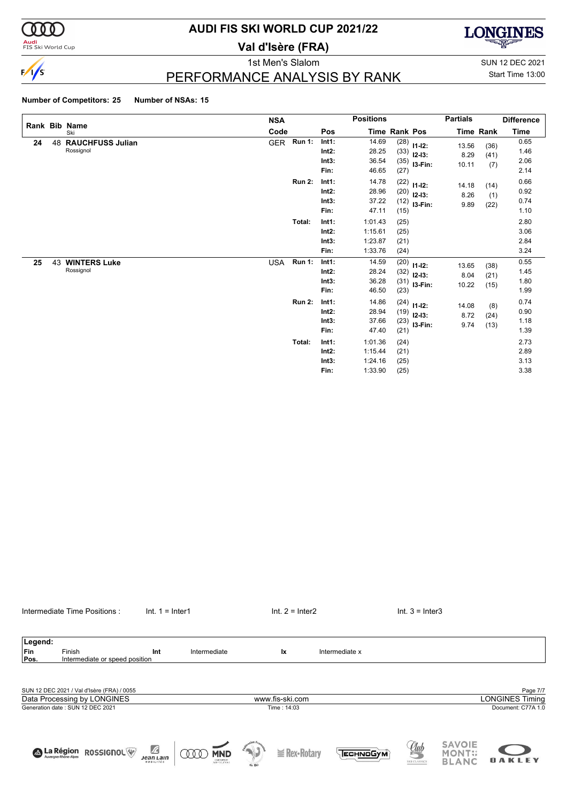

# **AUDI FIS SKI WORLD CUP 2021/22**

**Val d'Isère (FRA)**

**LONGINES** 

1st Men's Slalom SUN 12 DEC 2021

Start Time 13:00

# PERFORMANCE ANALYSIS BY RANK

#### **Number of Competitors: 25 Number of NSAs: 15**

|    |    |                                      | <b>NSA</b> |               |                                    | <b>Positions</b>                         |                              |                                         | <b>Partials</b>        |                      | <b>Difference</b>            |
|----|----|--------------------------------------|------------|---------------|------------------------------------|------------------------------------------|------------------------------|-----------------------------------------|------------------------|----------------------|------------------------------|
|    |    | Rank Bib Name<br>Ski                 | Code       |               | Pos                                |                                          | Time Rank Pos                |                                         |                        | Time Rank            | Time                         |
| 24 | 48 | <b>RAUCHFUSS Julian</b><br>Rossignol | <b>GER</b> | <b>Run 1:</b> | Int1:<br>Int2:<br>Int3:<br>Fin:    | 14.69<br>28.25<br>36.54<br>46.65         | (28)<br>(33)<br>(35)<br>(27) | $11 - 12$ :<br>$12 - 13:$<br>I3-Fin:    | 13.56<br>8.29<br>10.11 | (36)<br>(41)<br>(7)  | 0.65<br>1.46<br>2.06<br>2.14 |
|    |    |                                      |            | <b>Run 2:</b> | Int1:<br>Int2:<br>Int3:<br>Fin:    | 14.78<br>28.96<br>37.22<br>47.11         | (22)<br>(12)<br>(15)         | $11 - 12$ :<br>$(20)$ 12-13:<br>I3-Fin: | 14.18<br>8.26<br>9.89  | (14)<br>(1)<br>(22)  | 0.66<br>0.92<br>0.74<br>1.10 |
|    |    |                                      |            | Total:        | Int1:<br>$Int2$ :<br>Int3:<br>Fin: | 1:01.43<br>1:15.61<br>1:23.87<br>1:33.76 | (25)<br>(25)<br>(21)<br>(24) |                                         |                        |                      | 2.80<br>3.06<br>2.84<br>3.24 |
| 25 | 43 | <b>WINTERS Luke</b><br>Rossignol     | <b>USA</b> | <b>Run 1:</b> | Int1:<br>Int2:<br>Int3:<br>Fin:    | 14.59<br>28.24<br>36.28<br>46.50         | (20)<br>(32)<br>(31)<br>(23) | $11 - 12$ :<br>$12 - 13:$<br>I3-Fin:    | 13.65<br>8.04<br>10.22 | (38)<br>(21)<br>(15) | 0.55<br>1.45<br>1.80<br>1.99 |
|    |    |                                      |            | <b>Run 2:</b> | Int1:<br>Int2:<br>Int3:<br>Fin:    | 14.86<br>28.94<br>37.66<br>47.40         | (24)<br>(23)<br>(21)         | $11 - 12$ :<br>$(19)$ 12-13:<br>I3-Fin: | 14.08<br>8.72<br>9.74  | (8)<br>(24)<br>(13)  | 0.74<br>0.90<br>1.18<br>1.39 |
|    |    |                                      |            | Total:        | Int1:<br>Int2:<br>Int3:<br>Fin:    | 1:01.36<br>1:15.44<br>1:24.16<br>1:33.90 | (24)<br>(21)<br>(25)<br>(25) |                                         |                        |                      | 2.73<br>2.89<br>3.13<br>3.38 |

| Legend: |                                            |                                                      |                          |        |                   |                    |              |                               |                        |
|---------|--------------------------------------------|------------------------------------------------------|--------------------------|--------|-------------------|--------------------|--------------|-------------------------------|------------------------|
| Fin     | Finish                                     | Int                                                  | Intermediate             |        | lx.               | Intermediate x     |              |                               |                        |
| Pos.    | Intermediate or speed position             |                                                      |                          |        |                   |                    |              |                               |                        |
|         |                                            |                                                      |                          |        |                   |                    |              |                               |                        |
|         | SUN 12 DEC 2021 / Val d'Isère (FRA) / 0055 |                                                      |                          |        |                   |                    |              |                               | Page 7/7               |
|         | Data Processing by LONGINES                |                                                      |                          |        | www.fis-ski.com   |                    |              |                               | <b>LONGINES Timing</b> |
|         | Generation date: SUN 12 DEC 2021           |                                                      |                          |        | Time: 14:03       |                    |              |                               | Document: C77A 1.0     |
|         |                                            |                                                      |                          |        |                   |                    | <u>Uub</u>   | <b>SAVOIE</b>                 |                        |
|         | <b>A La Région</b><br><b>ROSSIGNOL</b>     | $\mathbb{Z}$<br><b>Jean Lain</b><br><b>MOBILITÉS</b> | <b>MND</b><br>CNEOMERIES | de Ski | $\geq$ Rex-Rotary | Песн <u>мо</u> бум | SKI CLASSICS | <b>MONT::</b><br><b>BLANC</b> | <b>OAKLEY</b>          |

Intermediate Time Positions : Int. 1 = Inter1 Internetiate Time Positions : Int. 1 = Inter1 Int. 2 = Inter2 Int. 3 = Inter3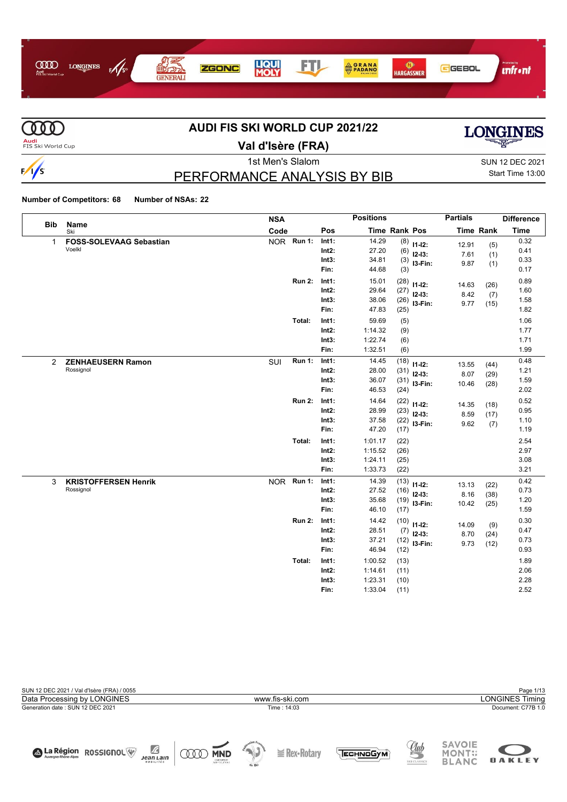



# **AUDI FIS SKI WORLD CUP 2021/22**



**Val d'Isère (FRA)**

# PERFORMANCE ANALYSIS BY BIB

1st Men's Slalom Sun 12 DEC 2021 Start Time 13:00

**Number of Competitors: 68 Number of NSAs: 22**

| <b>Bib</b>     | Name                           | <b>NSA</b> |               |          | <b>Positions</b> |                      |                | <b>Partials</b> |                  | <b>Difference</b> |
|----------------|--------------------------------|------------|---------------|----------|------------------|----------------------|----------------|-----------------|------------------|-------------------|
|                | Ski                            | Code       |               | Pos      |                  | <b>Time Rank Pos</b> |                |                 | <b>Time Rank</b> | <b>Time</b>       |
| $\mathbf{1}$   | <b>FOSS-SOLEVAAG Sebastian</b> |            | NOR Run 1:    | Int1:    | 14.29            | (8)                  | $11-12:$       | 12.91           | (5)              | 0.32              |
|                | Voelkl                         |            |               | Int2:    | 27.20            | (6)                  | $12-13:$       | 7.61            | (1)              | 0.41              |
|                |                                |            |               | Int3:    | 34.81            | (3)                  | I3-Fin:        | 9.87            | (1)              | 0.33              |
|                |                                |            |               | Fin:     | 44.68            | (3)                  |                |                 |                  | 0.17              |
|                |                                |            | <b>Run 2:</b> | Int1:    | 15.01            | (28)                 | $11 - 12$ :    | 14.63           | (26)             | 0.89              |
|                |                                |            |               | Int2:    | 29.64            | (27)                 | $12 - 13$ :    | 8.42            | (7)              | 1.60              |
|                |                                |            |               | Int3:    | 38.06            | (26)                 | I3-Fin:        | 9.77            | (15)             | 1.58              |
|                |                                |            |               | Fin:     | 47.83            | (25)                 |                |                 |                  | 1.82              |
|                |                                |            | Total:        | Int1:    | 59.69            | (5)                  |                |                 |                  | 1.06              |
|                |                                |            |               | Int2:    | 1:14.32          | (9)                  |                |                 |                  | 1.77              |
|                |                                |            |               | Int3:    | 1:22.74          | (6)                  |                |                 |                  | 1.71              |
|                |                                |            |               | Fin:     | 1:32.51          | (6)                  |                |                 |                  | 1.99              |
| $\overline{2}$ | <b>ZENHAEUSERN Ramon</b>       | SUI        | <b>Run 1:</b> | Int1:    | 14.45            | (18)                 | $11 - 12$ :    | 13.55           | (44)             | 0.48              |
|                | Rossignol                      |            |               | $Int2$ : | 28.00            | (31)                 | $12-13:$       | 8.07            | (29)             | 1.21              |
|                |                                |            |               | Int3:    | 36.07            | (31)                 | I3-Fin:        | 10.46           | (28)             | 1.59              |
|                |                                |            |               | Fin:     | 46.53            | (24)                 |                |                 |                  | 2.02              |
|                |                                |            | <b>Run 2:</b> | Int1:    | 14.64            | (22)                 | $11 - 12$ :    | 14.35           | (18)             | 0.52              |
|                |                                |            |               | Int2:    | 28.99            | (23)                 | $12-13:$       | 8.59            |                  | (17)              |
|                |                                |            |               | Int3:    | 37.58            | (22)                 | I3-Fin:        | 9.62            | (7)              | 1.10              |
|                |                                |            |               | Fin:     | 47.20            | (17)                 |                |                 |                  | 1.19              |
|                |                                |            | Total:        | Int1:    | 1:01.17          | (22)                 |                |                 |                  | 2.54              |
|                |                                |            |               | Int2:    | 1:15.52          | (26)                 |                |                 |                  | 2.97              |
|                |                                |            |               | Int3:    | 1:24.11          | (25)                 |                |                 |                  | 3.08              |
|                |                                |            |               | Fin:     | 1:33.73          | (22)                 |                |                 |                  | 3.21              |
| 3              | <b>KRISTOFFERSEN Henrik</b>    |            | NOR Run 1:    | Int1:    | 14.39            | (13)                 | $11 - 12$ :    | 13.13           | (22)             | 0.42              |
|                | Rossignol                      |            |               | Int2:    | 27.52            | (16)                 | $12 - 13:$     | 8.16            | (38)             | 0.73              |
|                |                                |            |               | Int3:    | 35.68            | (19)                 | I3-Fin:        | 10.42           | (25)             | 1.20              |
|                |                                |            |               | Fin:     | 46.10            | (17)                 |                |                 |                  | 1.59              |
|                |                                |            | <b>Run 2:</b> | Int1:    | 14.42            |                      | $(10)$ 11-12:  | 14.09           | (9)              | 0.30              |
|                |                                |            |               | Int2:    | 28.51            | (7)                  | $12 - 13$ :    | 8.70            | (24)             | 0.47              |
|                |                                |            |               | Int3:    | 37.21            |                      | $(12)$ 13-Fin: | 9.73            | (12)             | 0.73              |
|                |                                |            |               | Fin:     | 46.94            | (12)                 |                |                 |                  | 0.93              |
|                |                                |            | Total:        | Int1:    | 1:00.52          | (13)                 |                |                 |                  | 1.89              |
|                |                                |            |               | $Int2$ : | 1:14.61          | (11)                 |                |                 |                  | 2.06              |
|                |                                |            |               | Int3:    | 1:23.31          | (10)                 |                |                 |                  | 2.28              |
|                |                                |            |               | Fin:     | 1:33.04          | (11)                 |                |                 |                  | 2.52              |

|  |                 | Page 1/13 |                        |  |  |  |  |  |  |
|--|-----------------|-----------|------------------------|--|--|--|--|--|--|
|  | www.fis-ski.com |           | <b>LONGINES Timing</b> |  |  |  |  |  |  |
|  | Time: 14:03     |           | Document: C77B 1.0     |  |  |  |  |  |  |
|  |                 |           |                        |  |  |  |  |  |  |
|  |                 |           |                        |  |  |  |  |  |  |
|  |                 | CAVOIE    |                        |  |  |  |  |  |  |
|  |                 | $\bigcap$ |                        |  |  |  |  |  |  |

 $\cong$  **Rex-Rotary** 

**QOO MND** 

 $\sqrt{2}$ <br>Jean Lain

A La Région ROSSIGNOL



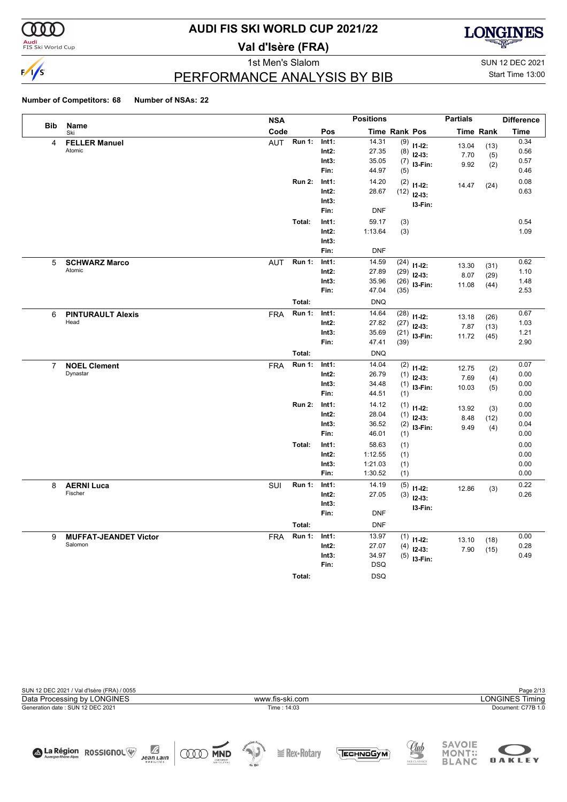

#### **Audi**<br>FIS Ski World Cup

# **AUDI FIS SKI WORLD CUP 2021/22**

**Val d'Isère (FRA)**



1st Men's Slalom Sun 12 DEC 2021 PERFORMANCE ANALYSIS BY BIB

Start Time 13:00

**OAKLEY** 

|                |                                         | <b>NSA</b>                            |                                    | <b>Positions</b>                                    |                              |                                           | <b>Partials</b>        |                      | <b>Difference</b>            |
|----------------|-----------------------------------------|---------------------------------------|------------------------------------|-----------------------------------------------------|------------------------------|-------------------------------------------|------------------------|----------------------|------------------------------|
| <b>Bib</b>     | Name<br>Ski                             | Code                                  | Pos                                |                                                     | Time Rank Pos                |                                           | <b>Time Rank</b>       |                      | Time                         |
| 4              | <b>FELLER Manuel</b><br>Atomic          | <b>Run 1:</b><br><b>AUT</b>           | Int1:<br>$Int2$ :<br>Int3:<br>Fin: | 14.31<br>27.35<br>35.05<br>44.97                    | (9)<br>(8)<br>(7)<br>(5)     | $11-12:$<br>$12-13:$<br>I3-Fin:           | 13.04<br>7.70<br>9.92  | (13)<br>(5)<br>(2)   | 0.34<br>0.56<br>0.57<br>0.46 |
|                |                                         | <b>Run 2:</b>                         | Int1:<br>$Int2$ :<br>Int3:<br>Fin: | 14.20<br>28.67<br><b>DNF</b>                        | (2)                          | $11-12:$<br>$(12)$ 12-13:<br>I3-Fin:      | 14.47                  | (24)                 | 0.08<br>0.63                 |
|                |                                         | Total:                                | Int1:<br>Int2:<br>Int3:<br>Fin:    | 59.17<br>1:13.64<br><b>DNF</b>                      | (3)<br>(3)                   |                                           |                        |                      | 0.54<br>1.09                 |
| 5              | <b>SCHWARZ Marco</b><br>Atomic          | <b>Run 1:</b><br><b>AUT</b><br>Total: | Int1:<br>$Int2$ :<br>Int3:<br>Fin: | 14.59<br>27.89<br>35.96<br>47.04<br><b>DNQ</b>      | (24)<br>(29)<br>(26)<br>(35) | $11 - 12$ :<br>$12-13:$<br>I3-Fin:        | 13.30<br>8.07<br>11.08 | (31)<br>(29)<br>(44) | 0.62<br>1.10<br>1.48<br>2.53 |
| 6              | <b>PINTURAULT Alexis</b><br>Head        | <b>Run 1:</b><br><b>FRA</b><br>Total: | Int1:<br>$Int2$ :<br>Int3:<br>Fin: | 14.64<br>27.82<br>35.69<br>47.41<br><b>DNQ</b>      | (28)<br>(27)<br>(39)         | $11-12:$<br>$12-13:$<br>$(21)$ 13-Fin:    | 13.18<br>7.87<br>11.72 | (26)<br>(13)<br>(45) | 0.67<br>1.03<br>1.21<br>2.90 |
| $\overline{7}$ | <b>NOEL Clement</b><br>Dynastar         | <b>Run 1:</b><br><b>FRA</b>           | Int1:<br>$Int2$ :<br>Int3:<br>Fin: | 14.04<br>26.79<br>34.48<br>44.51                    | (2)<br>(1)<br>(1)<br>(1)     | $11 - 12$ :<br>$12-13:$<br>I3-Fin:        | 12.75<br>7.69<br>10.03 | (2)<br>(4)<br>(5)    | 0.07<br>0.00<br>0.00<br>0.00 |
|                |                                         | <b>Run 2:</b>                         | Int1:<br>$Int2$ :<br>Int3:<br>Fin: | 14.12<br>28.04<br>36.52<br>46.01                    | (1)<br>(1)<br>(1)            | $11 - 12$ :<br>$12-13:$<br>$(2)$ 13-Fin:  | 13.92<br>8.48<br>9.49  | (3)<br>(12)<br>(4)   | 0.00<br>0.00<br>0.04<br>0.00 |
|                |                                         | Total:                                | Int1:<br>Int2:<br>Int3:<br>Fin:    | 58.63<br>1:12.55<br>1:21.03<br>1:30.52              | (1)<br>(1)<br>(1)<br>(1)     |                                           |                        |                      | 0.00<br>0.00<br>0.00<br>0.00 |
| 8              | <b>AERNI Luca</b><br>Fischer            | SUI<br>Run 1:<br>Total:               | Int1:<br>$Int2$ :<br>Int3:<br>Fin: | 14.19<br>27.05<br><b>DNF</b><br><b>DNF</b>          | (5)                          | $11-12:$<br>$(3)$ 12-13:<br>I3-Fin:       | 12.86                  | (3)                  | 0.22<br>0.26                 |
| 9              | <b>MUFFAT-JEANDET Victor</b><br>Salomon | <b>Run 1:</b><br><b>FRA</b><br>Total: | Int1:<br>$Int2$ :<br>Int3:<br>Fin: | 13.97<br>27.07<br>34.97<br><b>DSQ</b><br><b>DSQ</b> | (4)                          | $(1)$ 11-12:<br>$12-13:$<br>$(5)$ 13-Fin: | 13.10<br>7.90          | (18)<br>(15)         | 0.00<br>0.28<br>0.49         |
|                |                                         |                                       |                                    |                                                     |                              |                                           |                        |                      |                              |

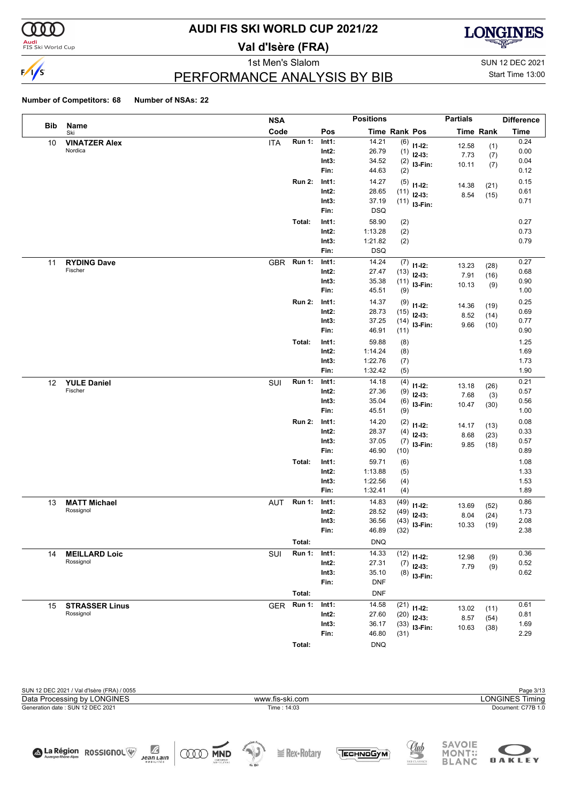

#### **Audi**<br>FIS Ski World Cup

# **AUDI FIS SKI WORLD CUP 2021/22**

**Val d'Isère (FRA)**



1st Men's Slalom Sun 12 DEC 2021

# Start Time 13:00

#### PERFORMANCE ANALYSIS BY BIB

|     |                       | <b>NSA</b> |               |                   | <b>Positions</b>     |             |                         | <b>Partials</b>  |              | <b>Difference</b> |
|-----|-----------------------|------------|---------------|-------------------|----------------------|-------------|-------------------------|------------------|--------------|-------------------|
| Bib | Name<br>Ski           | Code       |               | Pos               | <b>Time Rank Pos</b> |             |                         | <b>Time Rank</b> |              | <b>Time</b>       |
| 10  | <b>VINATZER Alex</b>  | <b>ITA</b> | <b>Run 1:</b> | Int1:             | 14.21                | (6)         | $11 - 12$ :             | 12.58            | (1)          | 0.24              |
|     | Nordica               |            |               | $Int2$ :          | 26.79                | (1)         | $12-13:$                | 7.73             | (7)          | 0.00              |
|     |                       |            |               | Int3:             | 34.52                | (2)         | I3-Fin:                 | 10.11            | (7)          | 0.04              |
|     |                       |            |               | Fin:              | 44.63                | (2)         |                         |                  |              | 0.12              |
|     |                       |            | <b>Run 2:</b> | Int1:             | 14.27                | (5)         | $11 - 12$ :             | 14.38            | (21)         | 0.15              |
|     |                       |            |               | $Int2$ :<br>Int3: | 28.65<br>37.19       | (11)        | $12-13:$                | 8.54             | (15)         | 0.61<br>0.71      |
|     |                       |            |               | Fin:              | <b>DSQ</b>           |             | $(11)$ 13-Fin:          |                  |              |                   |
|     |                       |            | Total:        | Int1:             | 58.90                | (2)         |                         |                  |              | 0.27              |
|     |                       |            |               | $Int2$ :          | 1:13.28              | (2)         |                         |                  |              | 0.73              |
|     |                       |            |               | Int3:             | 1:21.82              | (2)         |                         |                  |              | 0.79              |
|     |                       |            |               | Fin:              | <b>DSQ</b>           |             |                         |                  |              |                   |
| 11  | <b>RYDING Dave</b>    | GBR        | <b>Run 1:</b> | Int1:             | 14.24                | (7)         |                         |                  |              | 0.27              |
|     | Fischer               |            |               | $Int2$ :          | 27.47                | (13)        | $11 - 12$ :<br>$12-13:$ | 13.23            | (28)         | 0.68              |
|     |                       |            |               | Int3:             | 35.38                | (11)        | I3-Fin:                 | 7.91<br>10.13    | (16)         | 0.90              |
|     |                       |            |               | Fin:              | 45.51                | (9)         |                         |                  | (9)          | 1.00              |
|     |                       |            | <b>Run 2:</b> | Int1:             | 14.37                | (9)         | $11 - 12$ :             | 14.36            | (19)         | 0.25              |
|     |                       |            |               | Int2:             | 28.73                | (15)        | $12-13:$                | 8.52             | (14)         | 0.69              |
|     |                       |            |               | Int3:             | 37.25                | (14)        | I3-Fin:                 | 9.66             | (10)         | 0.77              |
|     |                       |            |               | Fin:              | 46.91                | (11)        |                         |                  |              | 0.90              |
|     |                       |            | Total:        | Int1:             | 59.88                | (8)         |                         |                  |              | 1.25              |
|     |                       |            |               | $Int2$ :          | 1:14.24              | (8)         |                         |                  |              | 1.69              |
|     |                       |            |               | Int3:             | 1:22.76              | (7)         |                         |                  |              | 1.73              |
|     |                       |            |               | Fin:              | 1:32.42              | (5)         |                         |                  |              | 1.90              |
| 12  | <b>YULE Daniel</b>    | SUI        | <b>Run 1:</b> | Int1:             | 14.18                | (4)         | $11 - 12$ :             | 13.18            | (26)         | 0.21              |
|     | Fischer               |            |               | $Int2$ :          | 27.36                | (9)         | $12-13:$                | 7.68             | (3)          | 0.57              |
|     |                       |            |               | Int3:             | 35.04                | (6)         | I3-Fin:                 | 10.47            | (30)         | 0.56              |
|     |                       |            |               | Fin:              | 45.51                | (9)         |                         |                  |              | 1.00              |
|     |                       |            | <b>Run 2:</b> | Int1:             | 14.20                | (2)         | $11 - 12$ :             | 14.17            | (13)         | 0.08              |
|     |                       |            |               | $Int2$ :          | 28.37                | (4)         | $12-13:$                | 8.68             | (23)         | 0.33              |
|     |                       |            |               | Int3:<br>Fin:     | 37.05<br>46.90       | (7)<br>(10) | I3-Fin:                 | 9.85             | (18)         | 0.57<br>0.89      |
|     |                       |            |               |                   |                      |             |                         |                  |              |                   |
|     |                       |            | Total:        | Int1:<br>$Int2$ : | 59.71<br>1:13.88     | (6)         |                         |                  |              | 1.08<br>1.33      |
|     |                       |            |               | Int3:             | 1:22.56              | (5)<br>(4)  |                         |                  |              | 1.53              |
|     |                       |            |               | Fin:              | 1:32.41              | (4)         |                         |                  |              | 1.89              |
| 13  | <b>MATT Michael</b>   | <b>AUT</b> | <b>Run 1:</b> | Int1:             | 14.83                | (49)        |                         |                  |              | 0.86              |
|     | Rossignol             |            |               | $Int2$ :          | 28.52                | (49)        | $11 - 12$ :<br>$12-13:$ | 13.69            | (52)         | 1.73              |
|     |                       |            |               | Int3:             | 36.56                | (43)        | I3-Fin:                 | 8.04             | (24)         | 2.08              |
|     |                       |            |               | Fin:              | 46.89                | (32)        |                         | 10.33            | (19)         | 2.38              |
|     |                       |            | Total:        |                   | DNQ                  |             |                         |                  |              |                   |
| 14  | <b>MEILLARD Loic</b>  | SUI        | Run 1:        | Int1:             | 14.33                | (12)        |                         |                  |              | 0.36              |
|     | Rossignol             |            |               | Int2:             | 27.31                | (7)         | $11 - 12$ :<br>$12-13:$ | 12.98<br>7.79    | (9)          | 0.52              |
|     |                       |            |               | Int3:             | 35.10                | (8)         | I3-Fin:                 |                  | (9)          | 0.62              |
|     |                       |            |               | Fin:              | <b>DNF</b>           |             |                         |                  |              |                   |
|     |                       |            | Total:        |                   | <b>DNF</b>           |             |                         |                  |              |                   |
| 15  | <b>STRASSER Linus</b> | <b>GER</b> | <b>Run 1:</b> | Int1:             | 14.58                | (21)        | $11 - 12$ :             |                  |              | 0.61              |
|     | Rossignol             |            |               | $Int2$ :          | 27.60                | (20)        | $12-13:$                | 13.02<br>8.57    | (11)<br>(54) | 0.81              |
|     |                       |            |               | Int3:             | 36.17                | (33)        | I3-Fin:                 | 10.63            | (38)         | 1.69              |
|     |                       |            |               | Fin:              | 46.80                | (31)        |                         |                  |              | 2.29              |
|     |                       |            | Total:        |                   | <b>DNO</b>           |             |                         |                  |              |                   |

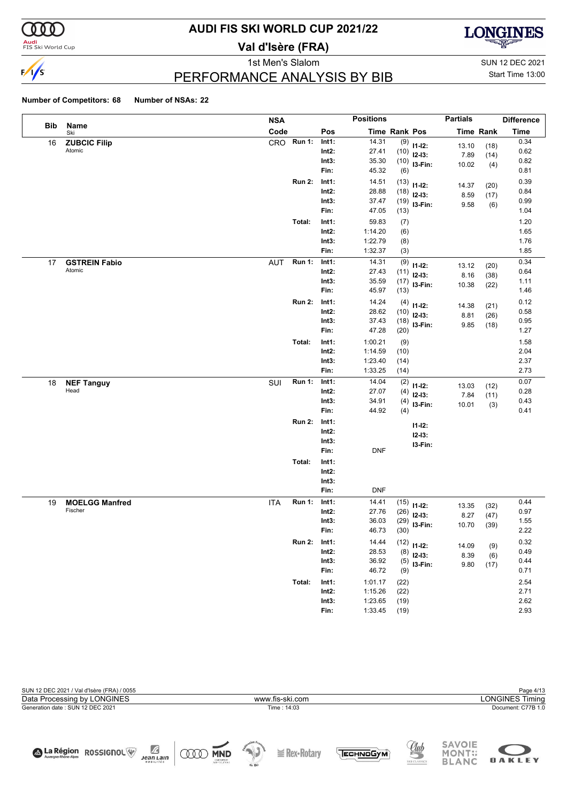

#### **Audi**<br>FIS Ski World Cup

# **AUDI FIS SKI WORLD CUP 2021/22**

**Val d'Isère (FRA)**



1st Men's Slalom Sun 12 DEC 2021

### PERFORMANCE ANALYSIS BY BIB

Start Time 13:00

|            |                                | <b>NSA</b> |               |                   | <b>Positions</b>   |              |             | <b>Partials</b> |              | <b>Difference</b> |
|------------|--------------------------------|------------|---------------|-------------------|--------------------|--------------|-------------|-----------------|--------------|-------------------|
| <b>Bib</b> | Name<br>Ski                    | Code       |               | Pos               | Time Rank Pos      |              |             |                 | Time Rank    | <b>Time</b>       |
| 16         | <b>ZUBCIC Filip</b>            | CRO        | Run 1:        | Int1:             | 14.31              | (9)          | $11 - 12$ : | 13.10           | (18)         | 0.34              |
|            | Atomic                         |            |               | $Int2$ :          | 27.41              | (10)         | $12-13:$    | 7.89            | (14)         | 0.62              |
|            |                                |            |               | Int3:             | 35.30              | (10)         | I3-Fin:     | 10.02           | (4)          | 0.82              |
|            |                                |            |               | Fin:              | 45.32              | (6)          |             |                 |              | 0.81              |
|            |                                |            | <b>Run 2:</b> | Int1:             | 14.51              | (13)         | $11 - 12$ : | 14.37           | (20)         | 0.39              |
|            |                                |            |               | $Int2$ :          | 28.88              | (18)         | $12-13:$    | 8.59            | (17)         | 0.84<br>0.99      |
|            |                                |            |               | Int3:<br>Fin:     | 37.47<br>47.05     | (19)<br>(13) | I3-Fin:     | 9.58            | (6)          | 1.04              |
|            |                                |            |               |                   |                    |              |             |                 |              | 1.20              |
|            |                                |            | Total:        | Int1:<br>$Int2$ : | 59.83<br>1:14.20   | (7)          |             |                 |              | 1.65              |
|            |                                |            |               | Int3:             | 1:22.79            | (6)<br>(8)   |             |                 |              | 1.76              |
|            |                                |            |               | Fin:              | 1:32.37            | (3)          |             |                 |              | 1.85              |
|            |                                | <b>AUT</b> | <b>Run 1:</b> | Int1:             | 14.31              | (9)          |             |                 |              | 0.34              |
| 17         | <b>GSTREIN Fabio</b><br>Atomic |            |               | $Int2$ :          | 27.43              | (11)         | $11 - 12$ : | 13.12           | (20)         | 0.64              |
|            |                                |            |               | Int3:             | 35.59              | (17)         | $12-13:$    | 8.16            | (38)         | 1.11              |
|            |                                |            |               | Fin:              | 45.97              | (13)         | I3-Fin:     | 10.38           | (22)         | 1.46              |
|            |                                |            | <b>Run 2:</b> | Int1:             | 14.24              | (4)          |             |                 |              | 0.12              |
|            |                                |            |               | $Int2$ :          | 28.62              | (10)         | $11 - 12$ : | 14.38           | (21)         | 0.58              |
|            |                                |            |               | Int3:             | 37.43              | (18)         | $12-13:$    | 8.81            | (26)         | 0.95              |
|            |                                |            |               | Fin:              | 47.28              | (20)         | I3-Fin:     | 9.85            | (18)         | 1.27              |
|            |                                |            | Total:        | Int1:             | 1:00.21            | (9)          |             |                 |              | 1.58              |
|            |                                |            |               | $Int2$ :          | 1:14.59            | (10)         |             |                 |              | 2.04              |
|            |                                |            |               | Int3:             | 1:23.40            | (14)         |             |                 |              | 2.37              |
|            |                                |            |               | Fin:              | 1:33.25            | (14)         |             |                 |              | 2.73              |
| 18         | <b>NEF Tanguy</b>              | SUI        | <b>Run 1:</b> | Int1:             | 14.04              | (2)          | $11 - 12$ : | 13.03           |              | 0.07              |
|            | Head                           |            |               | $Int2$ :          | 27.07              | (4)          | $12-13:$    | 7.84            | (12)<br>(11) | 0.28              |
|            |                                |            |               | Int3:             | 34.91              | (4)          | I3-Fin:     | 10.01           | (3)          | 0.43              |
|            |                                |            |               | Fin:              | 44.92              | (4)          |             |                 |              | 0.41              |
|            |                                |            | <b>Run 2:</b> | Int1:             |                    |              | $11 - 12$ : |                 |              |                   |
|            |                                |            |               | $Int2$ :          |                    |              | $12 - 13:$  |                 |              |                   |
|            |                                |            |               | Int3:             |                    |              | I3-Fin:     |                 |              |                   |
|            |                                |            |               | Fin:              | <b>DNF</b>         |              |             |                 |              |                   |
|            |                                |            | Total:        | Int1:             |                    |              |             |                 |              |                   |
|            |                                |            |               | $Int2$ :          |                    |              |             |                 |              |                   |
|            |                                |            |               | Int3:             |                    |              |             |                 |              |                   |
|            |                                |            |               | Fin:              | <b>DNF</b>         |              |             |                 |              |                   |
| 19         | <b>MOELGG Manfred</b>          | <b>ITA</b> | <b>Run 1:</b> | Int1:             | 14.41              | (15)         | $11 - 12$ : | 13.35           | (32)         | 0.44              |
|            | Fischer                        |            |               | Int2:             | 27.76              | (26)         | $12-13:$    | 8.27            | (47)         | 0.97              |
|            |                                |            |               | Int3:             | 36.03              | (29)         | I3-Fin:     | 10.70           | (39)         | 1.55              |
|            |                                |            |               | Fin:              | 46.73              | (30)         |             |                 |              | 2.22              |
|            |                                |            | <b>Run 2:</b> | Int1:             | 14.44              | (12)         | $11 - 12$ : | 14.09           | (9)          | 0.32              |
|            |                                |            |               | $Int2$ :          | 28.53              | (8)          | $12-13:$    | 8.39            | (6)          | 0.49              |
|            |                                |            |               | Int3:             | 36.92              | (5)          | 13-Fin:     | 9.80            | (17)         | 0.44              |
|            |                                |            |               | Fin:              | 46.72              | (9)          |             |                 |              | 0.71              |
|            |                                |            | Total:        | Int1:             | 1:01.17            | (22)         |             |                 |              | 2.54              |
|            |                                |            |               | $Int2$ :<br>Int3: | 1:15.26<br>1:23.65 | (22)         |             |                 |              | 2.71<br>2.62      |
|            |                                |            |               | Fin:              | 1:33.45            | (19)<br>(19) |             |                 |              | 2.93              |
|            |                                |            |               |                   |                    |              |             |                 |              |                   |

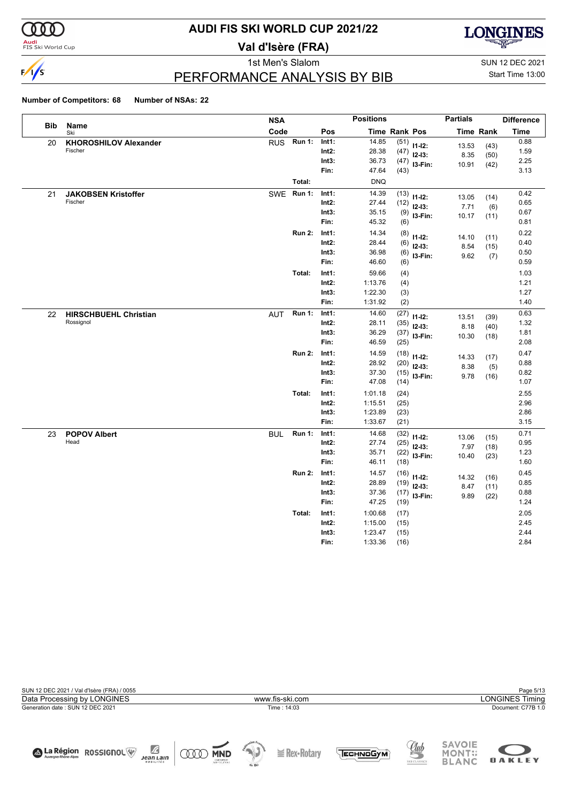

#### **Audi**<br>FIS Ski World Cup

# **AUDI FIS SKI WORLD CUP 2021/22**

**Val d'Isère (FRA)**



1st Men's Slalom Sun 12 DEC 2021

#### PERFORMANCE ANALYSIS BY BIB

# Start Time 13:00

|            |                              | <b>NSA</b> |               |                   | <b>Positions</b>   |                      |             | <b>Partials</b> |                  | <b>Difference</b> |
|------------|------------------------------|------------|---------------|-------------------|--------------------|----------------------|-------------|-----------------|------------------|-------------------|
| <b>Bib</b> | Name<br>Ski                  | Code       |               | Pos               |                    | <b>Time Rank Pos</b> |             |                 | <b>Time Rank</b> | <b>Time</b>       |
| 20         | <b>KHOROSHILOV Alexander</b> | <b>RUS</b> | Run 1:        | Int1:             | 14.85              | (51)                 | $11 - 12$ : | 13.53           | (43)             | 0.88              |
|            | Fischer                      |            |               | $Int2$ :          | 28.38              | (47)                 | $12 - 13:$  | 8.35            | (50)             | 1.59              |
|            |                              |            |               | Int3:             | 36.73              | (47)                 | I3-Fin:     | 10.91           | (42)             | 2.25              |
|            |                              |            |               | Fin:              | 47.64              | (43)                 |             |                 |                  | 3.13              |
|            |                              |            | Total:        |                   | <b>DNQ</b>         |                      |             |                 |                  |                   |
| 21         | <b>JAKOBSEN Kristoffer</b>   | SWE Run 1: |               | Int1:             | 14.39              | (13)                 | $11-12:$    | 13.05           | (14)             | 0.42              |
|            | Fischer                      |            |               | $Int2$ :          | 27.44              | (12)                 | $12-13:$    | 7.71            | (6)              | 0.65              |
|            |                              |            |               | Int3:             | 35.15              | (9)                  | $13-Fin:$   | 10.17           | (11)             | 0.67              |
|            |                              |            |               | Fin:              | 45.32              | (6)                  |             |                 |                  | 0.81              |
|            |                              |            | <b>Run 2:</b> | Int1:             | 14.34              | (8)                  | $11 - 12$ : | 14.10           | (11)             | 0.22              |
|            |                              |            |               | $Int2$ :          | 28.44              | (6)                  | $12-13:$    | 8.54            | (15)             | 0.40              |
|            |                              |            |               | Int3:<br>Fin:     | 36.98<br>46.60     | (6)                  | I3-Fin:     | 9.62            | (7)              | 0.50<br>0.59      |
|            |                              |            |               |                   |                    | (6)                  |             |                 |                  |                   |
|            |                              |            | Total:        | Int1:<br>$Int2$ : | 59.66              | (4)                  |             |                 |                  | 1.03              |
|            |                              |            |               | Int3:             | 1:13.76<br>1:22.30 | (4)<br>(3)           |             |                 |                  | 1.21<br>1.27      |
|            |                              |            |               | Fin:              | 1:31.92            | (2)                  |             |                 |                  | 1.40              |
| 22         | <b>HIRSCHBUEHL Christian</b> | AUT        | <b>Run 1:</b> | Int1:             | 14.60              | (27)                 |             |                 |                  | 0.63              |
|            | Rossignol                    |            |               | $Int2$ :          | 28.11              | (35)                 | $11-12:$    | 13.51           | (39)             | 1.32              |
|            |                              |            |               | Int3:             | 36.29              | (37)                 | $12-13:$    | 8.18            | (40)             | 1.81              |
|            |                              |            |               | Fin:              | 46.59              | (25)                 | I3-Fin:     | 10.30           | (18)             | 2.08              |
|            |                              |            | <b>Run 2:</b> | Int1:             | 14.59              | (18)                 | $11 - 12$ : |                 |                  | 0.47              |
|            |                              |            |               | $Int2$ :          | 28.92              | (20)                 | $12-13:$    | 14.33<br>8.38   | (17)<br>(5)      | 0.88              |
|            |                              |            |               | Int3:             | 37.30              | (15)                 | I3-Fin:     | 9.78            | (16)             | 0.82              |
|            |                              |            |               | Fin:              | 47.08              | (14)                 |             |                 |                  | 1.07              |
|            |                              |            | Total:        | Int1:             | 1:01.18            | (24)                 |             |                 |                  | 2.55              |
|            |                              |            |               | $Int2$ :          | 1:15.51            | (25)                 |             |                 |                  | 2.96              |
|            |                              |            |               | Int3:             | 1:23.89            | (23)                 |             |                 |                  | 2.86              |
|            |                              |            |               | Fin:              | 1:33.67            | (21)                 |             |                 |                  | 3.15              |
| 23         | <b>POPOV Albert</b>          | <b>BUL</b> | <b>Run 1:</b> | Int1:             | 14.68              | (32)                 | $11 - 12$ : | 13.06           | (15)             | 0.71              |
|            | Head                         |            |               | $Int2$ :          | 27.74              | (25)                 | $12-13:$    | 7.97            | (18)             | 0.95              |
|            |                              |            |               | Int3:<br>Fin:     | 35.71              | (22)                 | I3-Fin:     | 10.40           | (23)             | 1.23              |
|            |                              |            |               |                   | 46.11              | (18)                 |             |                 |                  | 1.60              |
|            |                              |            | <b>Run 2:</b> | Int1:             | 14.57              | (16)                 | $11 - 12$ : | 14.32           | (16)             | 0.45              |
|            |                              |            |               | $Int2$ :<br>Int3: | 28.89<br>37.36     | (19)                 | $12-13:$    | 8.47            | (11)             | 0.85<br>0.88      |
|            |                              |            |               | Fin:              | 47.25              | (17)<br>(19)         | $13-Fin:$   | 9.89            | (22)             | 1.24              |
|            |                              |            | Total:        | Int1:             | 1:00.68            | (17)                 |             |                 |                  | 2.05              |
|            |                              |            |               | $Int2$ :          | 1:15.00            | (15)                 |             |                 |                  | 2.45              |
|            |                              |            |               | Int3:             | 1:23.47            | (15)                 |             |                 |                  | 2.44              |
|            |                              |            |               | Fin:              | 1:33.36            | (16)                 |             |                 |                  | 2.84              |

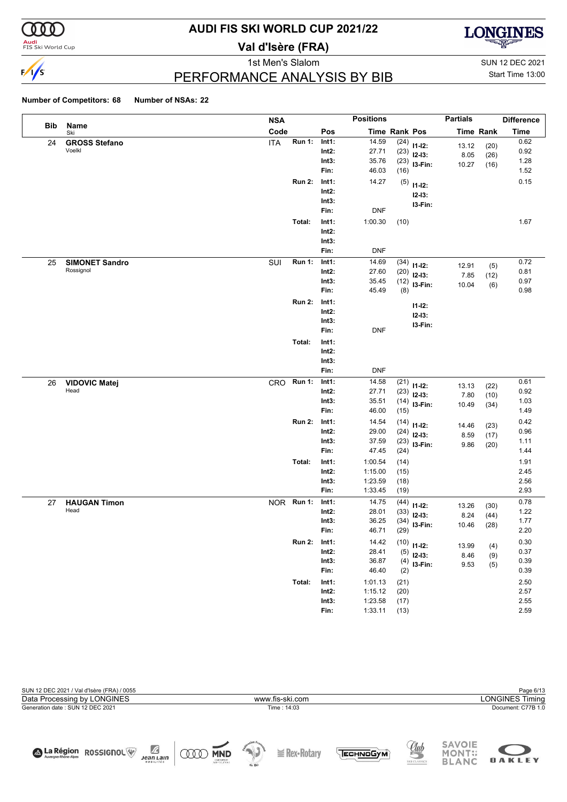

#### **Audi**<br>FIS Ski World Cup

# **AUDI FIS SKI WORLD CUP 2021/22**

**Val d'Isère (FRA)**



1st Men's Slalom Sun 12 DEC 2021 PERFORMANCE ANALYSIS BY BIB

Start Time 13:00

|            |                                    | <b>NSA</b> |               |                   | <b>Positions</b>   |              |             | <b>Partials</b> |              | <b>Difference</b> |
|------------|------------------------------------|------------|---------------|-------------------|--------------------|--------------|-------------|-----------------|--------------|-------------------|
| <b>Bib</b> | Name<br>Ski                        | Code       |               | Pos               | Time Rank Pos      |              |             | Time Rank       |              | <b>Time</b>       |
| 24         | <b>GROSS Stefano</b>               | <b>ITA</b> | <b>Run 1:</b> | Int1:             | 14.59              | (24)         | $11 - 12$ : | 13.12           | (20)         | 0.62              |
|            | Voelkl                             |            |               | $Int2$ :          | 27.71              | (23)         | $12-13:$    | 8.05            | (26)         | 0.92              |
|            |                                    |            |               | Int3:             | 35.76              | (23)         | I3-Fin:     | 10.27           | (16)         | 1.28              |
|            |                                    |            |               | Fin:              | 46.03              | (16)         |             |                 |              | 1.52              |
|            |                                    |            | <b>Run 2:</b> | Int1:             | 14.27              | (5)          | $11 - 12$ : |                 |              | 0.15              |
|            |                                    |            |               | $Int2$ :          |                    |              | $12 - 13:$  |                 |              |                   |
|            |                                    |            |               | Int3:<br>Fin:     | <b>DNF</b>         |              | I3-Fin:     |                 |              |                   |
|            |                                    |            |               |                   |                    |              |             |                 |              |                   |
|            |                                    |            | Total:        | Int1:             | 1:00.30            | (10)         |             |                 |              | 1.67              |
|            |                                    |            |               | $Int2$ :          |                    |              |             |                 |              |                   |
|            |                                    |            |               | Int3:<br>Fin:     | <b>DNF</b>         |              |             |                 |              |                   |
|            |                                    |            | <b>Run 1:</b> | Int1:             | 14.69              |              |             |                 |              | 0.72              |
| 25         | <b>SIMONET Sandro</b><br>Rossignol | SUI        |               | $Int2$ :          | 27.60              | (34)         | $11 - 12$ : | 12.91           | (5)          | 0.81              |
|            |                                    |            |               | Int3:             | 35.45              | (20)<br>(12) | $12-13:$    | 7.85            | (12)         | 0.97              |
|            |                                    |            |               | Fin:              | 45.49              | (8)          | I3-Fin:     | 10.04           | (6)          | 0.98              |
|            |                                    |            | <b>Run 2:</b> | Int1:             |                    |              |             |                 |              |                   |
|            |                                    |            |               | $Int2$ :          |                    |              | $11 - 12$ : |                 |              |                   |
|            |                                    |            |               | Int3:             |                    |              | $12 - 13:$  |                 |              |                   |
|            |                                    |            |               | Fin:              | <b>DNF</b>         |              | I3-Fin:     |                 |              |                   |
|            |                                    |            | Total:        | Int1:             |                    |              |             |                 |              |                   |
|            |                                    |            |               | $Int2$ :          |                    |              |             |                 |              |                   |
|            |                                    |            |               | Int3:             |                    |              |             |                 |              |                   |
|            |                                    |            |               | Fin:              | <b>DNF</b>         |              |             |                 |              |                   |
| 26         | <b>VIDOVIC Matej</b>               | CRO        | Run 1:        | Int1:             | 14.58              | (21)         | $11 - 12$ : |                 |              | 0.61              |
|            | Head                               |            |               | $Int2$ :          | 27.71              | (23)         | $12-13:$    | 13.13           | (22)         | 0.92              |
|            |                                    |            |               | Int3:             | 35.51              | (14)         | I3-Fin:     | 7.80<br>10.49   | (10)<br>(34) | 1.03              |
|            |                                    |            |               | Fin:              | 46.00              | (15)         |             |                 |              | 1.49              |
|            |                                    |            | <b>Run 2:</b> | Int1:             | 14.54              | (14)         | $11 - 12$ : | 14.46           | (23)         | 0.42              |
|            |                                    |            |               | $Int2$ :          | 29.00              | (24)         | $12-13:$    | 8.59            | (17)         | 0.96              |
|            |                                    |            |               | Int3:             | 37.59              | (23)         | I3-Fin:     | 9.86            | (20)         | 1.11              |
|            |                                    |            |               | Fin:              | 47.45              | (24)         |             |                 |              | 1.44              |
|            |                                    |            | Total:        | Int1:             | 1:00.54            | (14)         |             |                 |              | 1.91              |
|            |                                    |            |               | $Int2$ :          | 1:15.00            | (15)         |             |                 |              | 2.45              |
|            |                                    |            |               | Int3:             | 1:23.59            | (18)         |             |                 |              | 2.56              |
|            |                                    |            |               | Fin:              | 1:33.45            | (19)         |             |                 |              | 2.93              |
| 27         | <b>HAUGAN Timon</b>                |            | NOR Run 1:    | Int1:             | 14.75              | (44)         | $11 - 12$ : | 13.26           | (30)         | 0.78              |
|            | Head                               |            |               | Int2:             | 28.01              | (33)         | $12-13:$    | 8.24            | (44)         | 1.22              |
|            |                                    |            |               | Int3:             | 36.25              | (34)         | I3-Fin:     | 10.46           | (28)         | 1.77              |
|            |                                    |            |               | Fin:              | 46.71              | (29)         |             |                 |              | 2.20              |
|            |                                    |            | <b>Run 2:</b> | Int1:             | 14.42              | (10)         | $11 - 12$ : | 13.99           | (4)          | 0.30              |
|            |                                    |            |               | $Int2$ :          | 28.41<br>36.87     | (5)          | $12-13:$    | 8.46            | (9)          | 0.37              |
|            |                                    |            |               | Int3:<br>Fin:     | 46.40              | (4)          | $13-Fin:$   | 9.53            | (5)          | 0.39<br>0.39      |
|            |                                    |            |               |                   |                    | (2)          |             |                 |              |                   |
|            |                                    |            | Total:        | Int1:             | 1:01.13            | (21)         |             |                 |              | 2.50              |
|            |                                    |            |               | $Int2$ :<br>Int3: | 1:15.12<br>1:23.58 | (20)         |             |                 |              | 2.57<br>2.55      |
|            |                                    |            |               | Fin:              | 1:33.11            | (17)<br>(13) |             |                 |              | 2.59              |
|            |                                    |            |               |                   |                    |              |             |                 |              |                   |

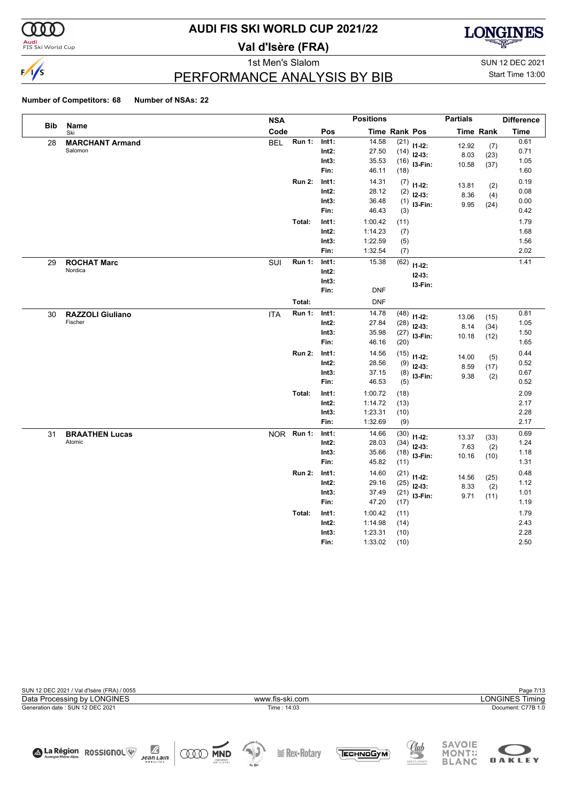

#### **Audi**<br>FIS Ski World Cup

# **AUDI FIS SKI WORLD CUP 2021/22**

**Val d'Isère (FRA)**



1st Men's Slalom Sun 12 DEC 2021 PERFORMANCE ANALYSIS BY BIB

Start Time 13:00

|            |                                    | <b>NSA</b> |               |                                    | <b>Positions</b>                         |                              |                                      | <b>Partials</b>        |                      | <b>Difference</b>            |
|------------|------------------------------------|------------|---------------|------------------------------------|------------------------------------------|------------------------------|--------------------------------------|------------------------|----------------------|------------------------------|
| <b>Bib</b> | Name<br>Ski                        | Code       |               | Pos                                |                                          | <b>Time Rank Pos</b>         |                                      |                        | <b>Time Rank</b>     | <b>Time</b>                  |
| 28         | <b>MARCHANT Armand</b><br>Salomon  | <b>BEL</b> | <b>Run 1:</b> | Int1:<br>$Int2$ :<br>Int3:<br>Fin: | 14.58<br>27.50<br>35.53<br>46.11         | (21)<br>(14)<br>(16)<br>(18) | $11-12:$<br>$12-13:$<br>$13-Fin:$    | 12.92<br>8.03<br>10.58 | (7)<br>(23)<br>(37)  | 0.61<br>0.71<br>1.05<br>1.60 |
|            |                                    |            | <b>Run 2:</b> | Int1:<br>$Int2$ :<br>Int3:<br>Fin: | 14.31<br>28.12<br>36.48<br>46.43         | (7)<br>(2)<br>(1)<br>(3)     | $11 - 12$ :<br>$12-13:$<br>I3-Fin:   | 13.81<br>8.36<br>9.95  | (2)<br>(4)<br>(24)   | 0.19<br>0.08<br>0.00<br>0.42 |
|            |                                    |            | Total:        | Int1:<br>Int2:<br>Int3:<br>Fin:    | 1:00.42<br>1:14.23<br>1:22.59<br>1:32.54 | (11)<br>(7)<br>(5)<br>(7)    |                                      |                        |                      | 1.79<br>1.68<br>1.56<br>2.02 |
| 29         | <b>ROCHAT Marc</b><br>Nordica      | SUI        | Run 1:        | Int1:<br>$Int2$ :<br>Int3:<br>Fin: | 15.38<br><b>DNF</b>                      | (62)                         | $11 - 12$ :<br>$12 - 13:$<br>I3-Fin: |                        |                      | 1.41                         |
|            |                                    |            | Total:        |                                    | <b>DNF</b>                               |                              |                                      |                        |                      |                              |
| 30         | <b>RAZZOLI Giuliano</b><br>Fischer | <b>ITA</b> | <b>Run 1:</b> | Int1:<br>$Int2$ :<br>Int3:<br>Fin: | 14.78<br>27.84<br>35.98<br>46.16         | (48)<br>(28)<br>(27)<br>(20) | $11-12:$<br>$12-13:$<br>I3-Fin:      | 13.06<br>8.14<br>10.18 | (15)<br>(34)<br>(12) | 0.81<br>1.05<br>1.50<br>1.65 |
|            |                                    |            | <b>Run 2:</b> | Int1:<br>$Int2$ :<br>Int3:<br>Fin: | 14.56<br>28.56<br>37.15<br>46.53         | (15)<br>(9)<br>(8)<br>(5)    | $11 - 12$ :<br>$12-13:$<br>I3-Fin:   | 14.00<br>8.59<br>9.38  | (5)<br>(17)<br>(2)   | 0.44<br>0.52<br>0.67<br>0.52 |
|            |                                    |            | Total:        | Int1:<br>$Int2$ :<br>Int3:<br>Fin: | 1:00.72<br>1:14.72<br>1:23.31<br>1:32.69 | (18)<br>(13)<br>(10)<br>(9)  |                                      |                        |                      | 2.09<br>2.17<br>2.28<br>2.17 |
| 31         | <b>BRAATHEN Lucas</b><br>Atomic    |            | NOR Run 1:    | Int1:<br>$Int2$ :<br>Int3:<br>Fin: | 14.66<br>28.03<br>35.66<br>45.82         | (30)<br>(34)<br>(18)<br>(11) | $11 - 12$ :<br>$12-13:$<br>I3-Fin:   | 13.37<br>7.63<br>10.16 | (33)<br>(2)<br>(10)  | 0.69<br>1.24<br>1.18<br>1.31 |
|            |                                    |            | <b>Run 2:</b> | Int1:<br>$Int2$ :<br>Int3:<br>Fin: | 14.60<br>29.16<br>37.49<br>47.20         | (21)<br>(25)<br>(21)<br>(17) | $11-12:$<br>$12-13:$<br>I3-Fin:      | 14.56<br>8.33<br>9.71  | (25)<br>(2)<br>(11)  | 0.48<br>1.12<br>1.01<br>1.19 |
|            |                                    |            | Total:        | Int1:<br>$Int2$ :<br>Int3:<br>Fin: | 1:00.42<br>1:14.98<br>1:23.31<br>1:33.02 | (11)<br>(14)<br>(10)<br>(10) |                                      |                        |                      | 1.79<br>2.43<br>2.28<br>2.50 |

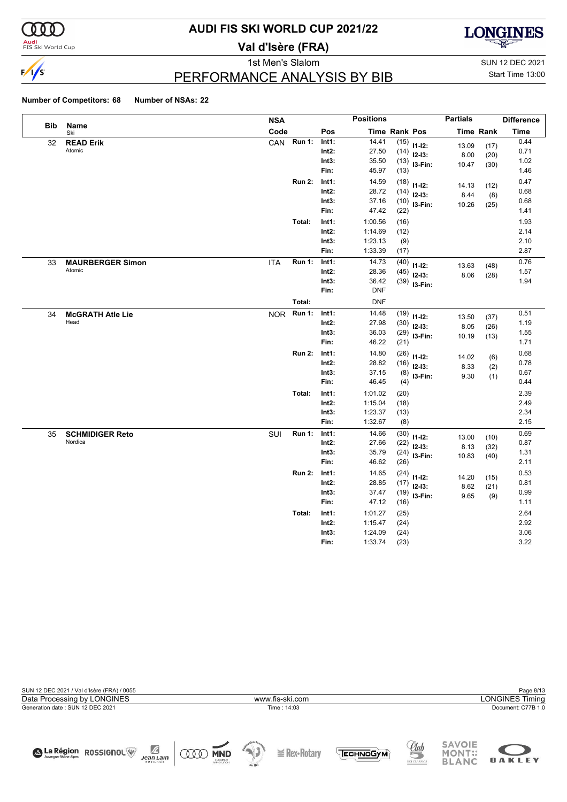

#### **Audi**<br>FIS Ski World Cup

# **AUDI FIS SKI WORLD CUP 2021/22**

**Val d'Isère (FRA)**



1st Men's Slalom Sun 12 DEC 2021

### PERFORMANCE ANALYSIS BY BIB

Start Time 13:00

|            |                                   | <b>NSA</b> |               |                   | <b>Positions</b>   |               |                | <b>Partials</b> |                  | <b>Difference</b> |
|------------|-----------------------------------|------------|---------------|-------------------|--------------------|---------------|----------------|-----------------|------------------|-------------------|
| <b>Bib</b> | Name<br>Ski                       | Code       |               | Pos               |                    | Time Rank Pos |                |                 | <b>Time Rank</b> | <b>Time</b>       |
| 32         | <b>READ Erik</b>                  | CAN        | Run 1:        | Int1:             | 14.41              | (15)          | $11-12:$       | 13.09           | (17)             | 0.44              |
|            | Atomic                            |            |               | $Int2$ :          | 27.50              |               | $(14)$ 12-13:  | 8.00            | (20)             | 0.71              |
|            |                                   |            |               | Int3:             | 35.50              | (13)          | I3-Fin:        | 10.47           | (30)             | 1.02              |
|            |                                   |            |               | Fin:              | 45.97              | (13)          |                |                 |                  | 1.46              |
|            |                                   |            | <b>Run 2:</b> | Int1:             | 14.59              | (18)          | $11 - 12$ :    | 14.13           | (12)             | 0.47              |
|            |                                   |            |               | $Int2$ :          | 28.72              |               | $(14)$ 12-13:  | 8.44            | (8)              | 0.68              |
|            |                                   |            |               | Int3:             | 37.16              | (10)          | $13-Fin:$      | 10.26           | (25)             | 0.68              |
|            |                                   |            |               | Fin:              | 47.42              | (22)          |                |                 |                  | 1.41              |
|            |                                   |            | Total:        | Int1:             | 1:00.56            | (16)          |                |                 |                  | 1.93              |
|            |                                   |            |               | $Int2$ :          | 1:14.69            | (12)          |                |                 |                  | 2.14              |
|            |                                   |            |               | Int3:             | 1:23.13            | (9)           |                |                 |                  | 2.10              |
|            |                                   |            |               | Fin:              | 1:33.39            | (17)          |                |                 |                  | 2.87              |
| 33         | <b>MAURBERGER Simon</b>           | <b>ITA</b> | Run 1:        | Int1:             | 14.73              | (40)          | $11 - 12$ :    | 13.63           | (48)             | 0.76              |
|            | Atomic                            |            |               | Int2:             | 28.36              | (45)          | $12-13:$       | 8.06            | (28)             | 1.57              |
|            |                                   |            |               | Int3:             | 36.42              |               | $(39)$ 13-Fin: |                 |                  | 1.94              |
|            |                                   |            |               | Fin:              | <b>DNF</b>         |               |                |                 |                  |                   |
|            |                                   |            | Total:        |                   | <b>DNF</b>         |               |                |                 |                  |                   |
| 34         | <b>McGRATH Atle Lie</b>           | <b>NOR</b> | <b>Run 1:</b> | Int1:             | 14.48              | (19)          | $11-12:$       | 13.50           | (37)             | 0.51              |
|            | Head                              |            |               | $Int2$ :          | 27.98              | (30)          | $12-13:$       | 8.05            | (26)             | 1.19              |
|            |                                   |            |               | Int3:             | 36.03              | (29)          | I3-Fin:        | 10.19           | (13)             | 1.55              |
|            |                                   |            |               | Fin:              | 46.22              | (21)          |                |                 |                  | 1.71              |
|            |                                   |            | <b>Run 2:</b> | Int1:             | 14.80              | (26)          | $11 - 12$ :    | 14.02           | (6)              | 0.68              |
|            |                                   |            |               | $Int2$ :          | 28.82              | (16)          | $12-13:$       | 8.33            | (2)              | 0.78              |
|            |                                   |            |               | Int3:             | 37.15              | (8)           | I3-Fin:        | 9.30            | (1)              | 0.67              |
|            |                                   |            |               | Fin:              | 46.45              | (4)           |                |                 |                  | 0.44              |
|            |                                   |            | Total:        | Int1:             | 1:01.02            | (20)          |                |                 |                  | 2.39              |
|            |                                   |            |               | $Int2$ :          | 1:15.04            | (18)          |                |                 |                  | 2.49              |
|            |                                   |            |               | Int3:<br>Fin:     | 1:23.37<br>1:32.67 | (13)<br>(8)   |                |                 |                  | 2.34<br>2.15      |
|            |                                   |            |               |                   | 14.66              |               |                |                 |                  | 0.69              |
| 35         | <b>SCHMIDIGER Reto</b><br>Nordica | SUI        | <b>Run 1:</b> | Int1:<br>$Int2$ : | 27.66              | (30)          | $11 - 12$ :    | 13.00           | (10)             | 0.87              |
|            |                                   |            |               | Int3:             | 35.79              | (22)          | $12-13:$       | 8.13            | (32)             | 1.31              |
|            |                                   |            |               | Fin:              | 46.62              | (24)<br>(26)  | I3-Fin:        | 10.83           | (40)             | 2.11              |
|            |                                   |            | <b>Run 2:</b> | Int1:             | 14.65              |               |                |                 |                  | 0.53              |
|            |                                   |            |               | $Int2$ :          | 28.85              | (24)<br>(17)  | $11 - 12$ :    | 14.20           | (15)             | 0.81              |
|            |                                   |            |               | Int3:             | 37.47              | (19)          | $12-13:$       | 8.62            | (21)             | 0.99              |
|            |                                   |            |               | Fin:              | 47.12              | (16)          | I3-Fin:        | 9.65            | (9)              | 1.11              |
|            |                                   |            | Total:        | Int1:             | 1:01.27            | (25)          |                |                 |                  | 2.64              |
|            |                                   |            |               | $Int2$ :          | 1:15.47            | (24)          |                |                 |                  | 2.92              |
|            |                                   |            |               | Int3:             | 1:24.09            | (24)          |                |                 |                  | 3.06              |
|            |                                   |            |               | Fin:              | 1:33.74            | (23)          |                |                 |                  | 3.22              |

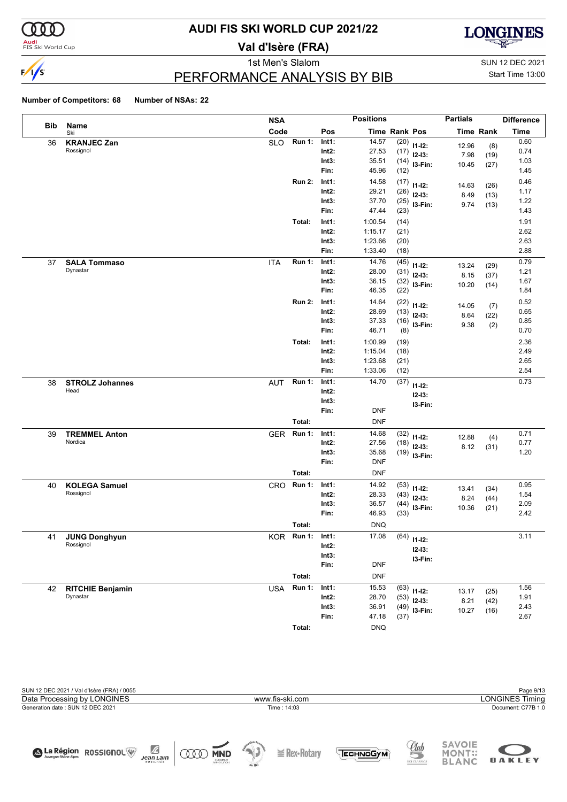

#### **Audi**<br>FIS Ski World Cup

# **AUDI FIS SKI WORLD CUP 2021/22**

**Val d'Isère (FRA)**



1st Men's Slalom Sun 12 DEC 2021

### PERFORMANCE ANALYSIS BY BIB

Start Time 13:00

#### **Number of Competitors: 68 Number of NSAs: 22**

|     |                                   | <b>NSA</b> |               |                   | <b>Positions</b>    |                      |                            | <b>Partials</b> |                  | <b>Difference</b> |
|-----|-----------------------------------|------------|---------------|-------------------|---------------------|----------------------|----------------------------|-----------------|------------------|-------------------|
| Bib | Name<br>Ski                       | Code       |               | Pos               |                     | <b>Time Rank Pos</b> |                            |                 | <b>Time Rank</b> | <b>Time</b>       |
| 36  | <b>KRANJEC Zan</b>                | <b>SLO</b> | <b>Run 1:</b> | Int1:             | 14.57               | (20)                 | $11 - 12$ :                | 12.96           | (8)              | 0.60              |
|     | Rossignol                         |            |               | $Int2$ :          | 27.53               | (17)                 | $12-13:$                   | 7.98            | (19)             | 0.74              |
|     |                                   |            |               | Int3:             | 35.51               |                      | $(14)$ 13-Fin:             | 10.45           | (27)             | 1.03              |
|     |                                   |            |               | Fin:              | 45.96               | (12)                 |                            |                 |                  | 1.45              |
|     |                                   |            | <b>Run 2:</b> | Int1:             | 14.58               | (17)                 | $11 - 12$ :                | 14.63           | (26)             | 0.46              |
|     |                                   |            |               | $Int2$ :          | 29.21<br>37.70      | (26)                 | $12-13:$                   | 8.49            | (13)             | 1.17              |
|     |                                   |            |               | Int3:<br>Fin:     | 47.44               | (25)<br>(23)         | I3-Fin:                    | 9.74            | (13)             | 1.22<br>1.43      |
|     |                                   |            | Total:        | Int1:             | 1:00.54             |                      |                            |                 |                  | 1.91              |
|     |                                   |            |               | $Int2$ :          | 1:15.17             | (14)<br>(21)         |                            |                 |                  | 2.62              |
|     |                                   |            |               | Int3:             | 1:23.66             | (20)                 |                            |                 |                  | 2.63              |
|     |                                   |            |               | Fin:              | 1:33.40             | (18)                 |                            |                 |                  | 2.88              |
| 37  | <b>SALA Tommaso</b>               | <b>ITA</b> | <b>Run 1:</b> | Int1:             | 14.76               | (45)                 |                            |                 |                  | 0.79              |
|     | Dynastar                          |            |               | $Int2$ :          | 28.00               | (31)                 | $11 - 12$ :                | 13.24           | (29)             | 1.21              |
|     |                                   |            |               | Int3:             | 36.15               | (32)                 | $12-13:$<br>I3-Fin:        | 8.15            | (37)             | 1.67              |
|     |                                   |            |               | Fin:              | 46.35               | (22)                 |                            | 10.20           | (14)             | 1.84              |
|     |                                   |            | <b>Run 2:</b> | Int1:             | 14.64               | (22)                 |                            |                 |                  | 0.52              |
|     |                                   |            |               | $Int2$ :          | 28.69               | (13)                 | $11 - 12$ :<br>$12-13:$    | 14.05<br>8.64   | (7)              | 0.65              |
|     |                                   |            |               | Int3:             | 37.33               | (16)                 | I3-Fin:                    | 9.38            | (22)<br>(2)      | 0.85              |
|     |                                   |            |               | Fin:              | 46.71               | (8)                  |                            |                 |                  | 0.70              |
|     |                                   |            | Total:        | Int1:             | 1:00.99             | (19)                 |                            |                 |                  | 2.36              |
|     |                                   |            |               | $Int2$ :          | 1:15.04             | (18)                 |                            |                 |                  | 2.49              |
|     |                                   |            |               | Int3:             | 1:23.68             | (21)                 |                            |                 |                  | 2.65              |
|     |                                   |            |               | Fin:              | 1:33.06             | (12)                 |                            |                 |                  | 2.54              |
| 38  | <b>STROLZ Johannes</b>            | <b>AUT</b> | <b>Run 1:</b> | Int1:             | 14.70               | (37)                 | $11 - 12$ :                |                 |                  | 0.73              |
|     | Head                              |            |               | $Int2$ :          |                     |                      | $12 - 13:$                 |                 |                  |                   |
|     |                                   |            |               | Int3:             |                     |                      | I3-Fin:                    |                 |                  |                   |
|     |                                   |            |               | Fin:              | <b>DNF</b>          |                      |                            |                 |                  |                   |
|     |                                   |            | Total:        |                   | <b>DNF</b>          |                      |                            |                 |                  |                   |
| 39  | <b>TREMMEL Anton</b>              | <b>GER</b> | <b>Run 1:</b> | Int1:             | 14.68               | (32)                 | $11 - 12$ :                | 12.88           | (4)              | 0.71              |
|     | Nordica                           |            |               | $Int2$ :          | 27.56               | (18)                 | $12-13:$                   | 8.12            | (31)             | 0.77              |
|     |                                   |            |               | Int3:<br>Fin:     | 35.68<br><b>DNF</b> |                      | $(19)$ 13-Fin:             |                 |                  | 1.20              |
|     |                                   |            | Total:        |                   |                     |                      |                            |                 |                  |                   |
|     |                                   |            |               |                   | <b>DNF</b>          |                      |                            |                 |                  |                   |
| 40  | <b>KOLEGA Samuel</b><br>Rossignol | CRO        | <b>Run 1:</b> | Int1:<br>$Int2$ : | 14.92<br>28.33      | (53)                 | $11 - 12$ :                | 13.41           | (34)             | 0.95<br>1.54      |
|     |                                   |            |               | Int3:             | 36.57               | (43)<br>(44)         | $12-13:$                   | 8.24            | (44)             | 2.09              |
|     |                                   |            |               | Fin:              | 46.93               | (33)                 | I3-Fin:                    | 10.36           | (21)             | 2.42              |
|     |                                   |            | Total:        |                   | <b>DNQ</b>          |                      |                            |                 |                  |                   |
|     |                                   |            | Run 1:        | Int1:             | 17.08               |                      |                            |                 |                  | 3.11              |
| 41  | <b>JUNG Donghyun</b><br>Rossignol | KOR        |               | Int2:             |                     |                      | $(64)$ 11-12:              |                 |                  |                   |
|     |                                   |            |               | Int3:             |                     |                      | $12 - 13:$                 |                 |                  |                   |
|     |                                   |            |               | Fin:              | <b>DNF</b>          |                      | I3-Fin:                    |                 |                  |                   |
|     |                                   |            | Total:        |                   | <b>DNF</b>          |                      |                            |                 |                  |                   |
| 42  | <b>RITCHIE Benjamin</b>           | <b>USA</b> | Run 1:        | Int1:             | 15.53               | (63)                 |                            |                 |                  | 1.56              |
|     | Dynastar                          |            |               | $Int2$ :          | 28.70               | (53)                 | $11 - 12$ :                | 13.17           | (25)             | 1.91              |
|     |                                   |            |               | Int3:             | 36.91               |                      | $12-13:$<br>$(49)$ 13-Fin: | 8.21            | (42)             | 2.43              |
|     |                                   |            |               | Fin:              | 47.18               | (37)                 |                            | 10.27           | (16)             | 2.67              |



**Total:** DNQ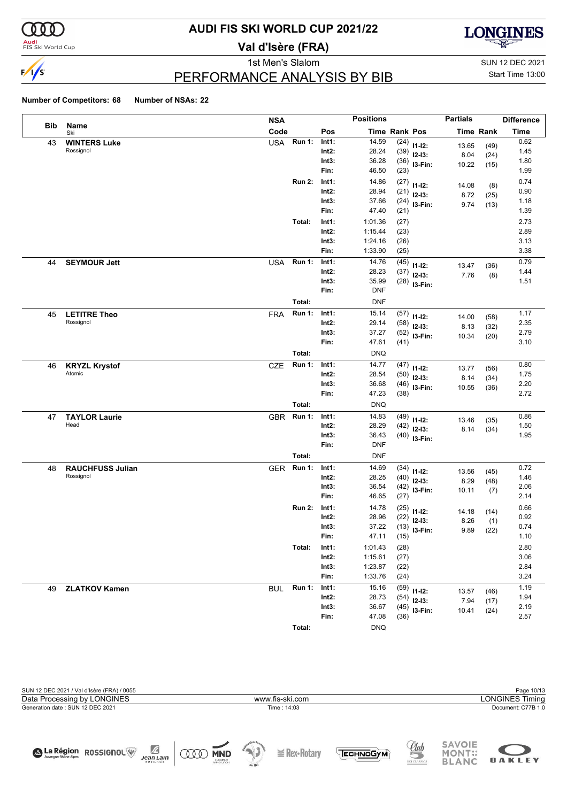

#### **Audi**<br>FIS Ski World Cup

# **AUDI FIS SKI WORLD CUP 2021/22**

**Val d'Isère (FRA)**



1st Men's Slalom Sun 12 DEC 2021

### PERFORMANCE ANALYSIS BY BIB

Start Time 13:00

|     |                         | <b>NSA</b> |               |          | <b>Positions</b>     |      |                | <b>Partials</b> |                  | <b>Difference</b> |
|-----|-------------------------|------------|---------------|----------|----------------------|------|----------------|-----------------|------------------|-------------------|
| Bib | Name<br>Ski             | Code       |               | Pos      | <b>Time Rank Pos</b> |      |                |                 | <b>Time Rank</b> | <b>Time</b>       |
| 43  | <b>WINTERS Luke</b>     | <b>USA</b> | <b>Run 1:</b> | Int1:    | 14.59                | (24) | $11 - 12$ :    | 13.65           | (49)             | 0.62              |
|     | Rossignol               |            |               | $Int2$ : | 28.24                | (39) | $12-13:$       | 8.04            | (24)             | 1.45              |
|     |                         |            |               | Int3:    | 36.28                | (36) | I3-Fin:        | 10.22           | (15)             | 1.80              |
|     |                         |            |               | Fin:     | 46.50                | (23) |                |                 |                  | 1.99              |
|     |                         |            | <b>Run 2:</b> | Int1:    | 14.86                | (27) | $11 - 12$ :    | 14.08           | (8)              | 0.74              |
|     |                         |            |               | $Int2$ : | 28.94                | (21) | $12 - 13:$     | 8.72            | (25)             | 0.90              |
|     |                         |            |               | Int3:    | 37.66                | (24) | I3-Fin:        | 9.74            | (13)             | 1.18              |
|     |                         |            |               | Fin:     | 47.40                | (21) |                |                 |                  | 1.39              |
|     |                         |            | Total:        | Int1:    | 1:01.36              | (27) |                |                 |                  | 2.73              |
|     |                         |            |               | $Int2$ : | 1:15.44              | (23) |                |                 |                  | 2.89              |
|     |                         |            |               | Int3:    | 1:24.16              | (26) |                |                 |                  | 3.13              |
|     |                         |            |               | Fin:     | 1:33.90              | (25) |                |                 |                  | 3.38              |
| 44  | <b>SEYMOUR Jett</b>     | <b>USA</b> | <b>Run 1:</b> | Int1:    | 14.76                | (45) | $11 - 12$ :    | 13.47           | (36)             | 0.79              |
|     |                         |            |               | $Int2$ : | 28.23                | (37) | $12-13:$       | 7.76            | (8)              | 1.44              |
|     |                         |            |               | Int3:    | 35.99                | (28) | I3-Fin:        |                 |                  | 1.51              |
|     |                         |            |               | Fin:     | <b>DNF</b>           |      |                |                 |                  |                   |
|     |                         |            | Total:        |          | <b>DNF</b>           |      |                |                 |                  |                   |
| 45  | <b>LETITRE Theo</b>     | <b>FRA</b> | <b>Run 1:</b> | Int1:    | 15.14                | (57) | $11 - 12$ :    | 14.00           | (58)             | 1.17              |
|     | Rossignol               |            |               | $Int2$ : | 29.14                | (58) | $12-13:$       | 8.13            | (32)             | 2.35              |
|     |                         |            |               | Int3:    | 37.27                | (52) | I3-Fin:        | 10.34           | (20)             | 2.79              |
|     |                         |            |               | Fin:     | 47.61                | (41) |                |                 |                  | 3.10              |
|     |                         |            | Total:        |          | <b>DNQ</b>           |      |                |                 |                  |                   |
| 46  | <b>KRYZL Krystof</b>    | <b>CZE</b> | <b>Run 1:</b> | Int1:    | 14.77                | (47) | $11 - 12$ :    | 13.77           | (56)             | 0.80              |
|     | Atomic                  |            |               | $Int2$ : | 28.54                | (50) | $12-13:$       | 8.14            | (34)             | 1.75              |
|     |                         |            |               | Int3:    | 36.68                | (46) | I3-Fin:        | 10.55           | (36)             | 2.20              |
|     |                         |            |               | Fin:     | 47.23                | (38) |                |                 |                  | 2.72              |
|     |                         |            | Total:        |          | <b>DNQ</b>           |      |                |                 |                  |                   |
| 47  | <b>TAYLOR Laurie</b>    | <b>GBR</b> | <b>Run 1:</b> | Int1:    | 14.83                | (49) | $11 - 12$ :    | 13.46           | (35)             | 0.86              |
|     | Head                    |            |               | $Int2$ : | 28.29                | (42) | $12-13:$       | 8.14            | (34)             | 1.50              |
|     |                         |            |               | Int3:    | 36.43                |      | $(40)$ 13-Fin: |                 |                  | 1.95              |
|     |                         |            |               | Fin:     | <b>DNF</b>           |      |                |                 |                  |                   |
|     |                         |            | Total:        |          | <b>DNF</b>           |      |                |                 |                  |                   |
| 48  | <b>RAUCHFUSS Julian</b> | <b>GER</b> | <b>Run 1:</b> | Int1:    | 14.69                | (34) | $11 - 12$ :    | 13.56           | (45)             | 0.72              |
|     | Rossignol               |            |               | $Int2$ : | 28.25                | (40) | $12-13:$       | 8.29            | (48)             | 1.46              |
|     |                         |            |               | Int3:    | 36.54                | (42) | I3-Fin:        | 10.11           | (7)              | 2.06              |
|     |                         |            |               | Fin:     | 46.65                | (27) |                |                 |                  | 2.14              |
|     |                         |            | <b>Run 2:</b> | Int1:    | 14.78                | (25) | $11 - 12$ :    | 14.18           | (14)             | 0.66              |
|     |                         |            |               | $Int2$ : | 28.96                | (22) | $12 - 13:$     | 8.26            | (1)              | 0.92              |
|     |                         |            |               | Int3:    | 37.22                | (13) | I3-Fin:        | 9.89            | (22)             | 0.74              |
|     |                         |            |               | Fin:     | 47.11                | (15) |                |                 |                  | 1.10              |
|     |                         |            | Total:        | Int1:    | 1:01.43              | (28) |                |                 |                  | 2.80              |
|     |                         |            |               | $Int2$ : | 1:15.61              | (27) |                |                 |                  | 3.06              |
|     |                         |            |               | Int3:    | 1:23.87              | (22) |                |                 |                  | 2.84              |
|     |                         |            |               | Fin:     | 1:33.76              | (24) |                |                 |                  | 3.24              |
| 49  | <b>ZLATKOV Kamen</b>    | <b>BUL</b> | <b>Run 1:</b> | Int1:    | 15.16                | (59) | $11 - 12$ :    | 13.57           | (46)             | 1.19              |
|     |                         |            |               | $Int2$ : | 28.73                | (54) | $12-13:$       | 7.94            | (17)             | 1.94              |
|     |                         |            |               | Int3:    | 36.67                | (45) | $13-Fin:$      | 10.41           | (24)             | 2.19              |
|     |                         |            |               | Fin:     | 47.08                | (36) |                |                 |                  | 2.57              |
|     |                         |            | Total:        |          | <b>DNQ</b>           |      |                |                 |                  |                   |

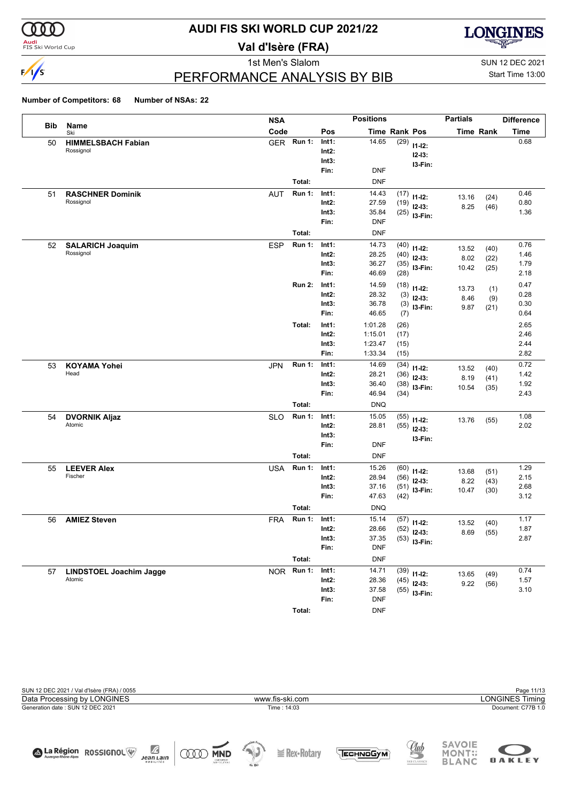

#### **Audi**<br>FIS Ski World Cup

# **AUDI FIS SKI WORLD CUP 2021/22**

**Val d'Isère (FRA)**



# PERFORMANCE ANALYSIS BY BIB

1st Men's Slalom Sun 12 DEC 2021 Start Time 13:00

|     |                                   | <b>NSA</b> |               |                   | <b>Positions</b>    |               |                | <b>Partials</b> |                  | <b>Difference</b> |
|-----|-----------------------------------|------------|---------------|-------------------|---------------------|---------------|----------------|-----------------|------------------|-------------------|
| Bib | Name<br>Ski                       | Code       |               | Pos               |                     | Time Rank Pos |                |                 | <b>Time Rank</b> | <b>Time</b>       |
| 50  | <b>HIMMELSBACH Fabian</b>         | <b>GER</b> | <b>Run 1:</b> | Int1:             | 14.65               | (29)          | $11 - 12$ :    |                 |                  | 0.68              |
|     | Rossignol                         |            |               | $Int2$ :          |                     |               | $12 - 13$ :    |                 |                  |                   |
|     |                                   |            |               | Int3:             |                     |               | I3-Fin:        |                 |                  |                   |
|     |                                   |            |               | Fin:              | <b>DNF</b>          |               |                |                 |                  |                   |
|     |                                   |            | Total:        |                   | <b>DNF</b>          |               |                |                 |                  |                   |
| 51  | <b>RASCHNER Dominik</b>           | <b>AUT</b> | <b>Run 1:</b> | Int1:             | 14.43               | (17)          | $11 - 12$ :    | 13.16           | (24)             | 0.46              |
|     | Rossignol                         |            |               | $Int2$ :          | 27.59               | (19)          | $12-13:$       | 8.25            | (46)             | 0.80              |
|     |                                   |            |               | Int3:             | 35.84               | (25)          | I3-Fin:        |                 |                  | 1.36              |
|     |                                   |            |               | Fin:              | <b>DNF</b>          |               |                |                 |                  |                   |
|     |                                   |            | Total:        |                   | <b>DNF</b>          |               |                |                 |                  |                   |
| 52  | <b>SALARICH Joaquim</b>           | <b>ESP</b> | <b>Run 1:</b> | Int1:             | 14.73               | (40)          | $11 - 12$ :    | 13.52           | (40)             | 0.76              |
|     | Rossignol                         |            |               | $Int2$ :          | 28.25               | (40)          | $12-13:$       | 8.02            | (22)             | 1.46              |
|     |                                   |            |               | Int3:<br>Fin:     | 36.27<br>46.69      | (35)<br>(28)  | I3-Fin:        | 10.42           | (25)             | 1.79<br>2.18      |
|     |                                   |            |               |                   |                     |               |                |                 |                  |                   |
|     |                                   |            | <b>Run 2:</b> | Int1:<br>$Int2$ : | 14.59<br>28.32      | (18)          | $11 - 12$ :    | 13.73           | (1)              | 0.47<br>0.28      |
|     |                                   |            |               | Int3:             | 36.78               | (3)<br>(3)    | $12-13:$       | 8.46            | (9)              | 0.30              |
|     |                                   |            |               | Fin:              | 46.65               | (7)           | I3-Fin:        | 9.87            | (21)             | 0.64              |
|     |                                   |            | Total:        | Int1:             | 1:01.28             | (26)          |                |                 |                  | 2.65              |
|     |                                   |            |               | $Int2$ :          | 1:15.01             | (17)          |                |                 |                  | 2.46              |
|     |                                   |            |               | Int3:             | 1:23.47             | (15)          |                |                 |                  | 2.44              |
|     |                                   |            |               | Fin:              | 1:33.34             | (15)          |                |                 |                  | 2.82              |
| 53  | <b>KOYAMA Yohei</b>               | <b>JPN</b> | <b>Run 1:</b> | Int1:             | 14.69               | (34)          | $11 - 12$ :    |                 |                  | 0.72              |
|     | Head                              |            |               | $Int2$ :          | 28.21               | (36)          | $12-13:$       | 13.52<br>8.19   | (40)<br>(41)     | 1.42              |
|     |                                   |            |               | Int3:             | 36.40               | (38)          | I3-Fin:        | 10.54           | (35)             | 1.92              |
|     |                                   |            |               | Fin:              | 46.94               | (34)          |                |                 |                  | 2.43              |
|     |                                   |            | Total:        |                   | <b>DNQ</b>          |               |                |                 |                  |                   |
| 54  | <b>DVORNIK Aljaz</b>              | <b>SLO</b> | <b>Run 1:</b> | Int1:             | 15.05               | (55)          | $11 - 12$ :    | 13.76           | (55)             | 1.08              |
|     | Atomic                            |            |               | $Int2$ :          | 28.81               | (55)          | $12-13:$       |                 |                  | 2.02              |
|     |                                   |            |               | Int3:             |                     |               | I3-Fin:        |                 |                  |                   |
|     |                                   |            |               | Fin:              | <b>DNF</b>          |               |                |                 |                  |                   |
|     |                                   |            | Total:        |                   | <b>DNF</b>          |               |                |                 |                  |                   |
| 55  | <b>LEEVER Alex</b>                | <b>USA</b> | <b>Run 1:</b> | Int1:             | 15.26               | (60)          | $11 - 12$ :    | 13.68           | (51)             | 1.29              |
|     | Fischer                           |            |               | $Int2$ :          | 28.94               | (56)          | $12-13:$       | 8.22            | (43)             | 2.15              |
|     |                                   |            |               | Int3:             | 37.16               | (51)          | I3-Fin:        | 10.47           | (30)             | 2.68              |
|     |                                   |            |               | Fin:              | 47.63               | (42)          |                |                 |                  | 3.12              |
|     |                                   |            | Total:        |                   | <b>DNQ</b>          |               |                |                 |                  |                   |
| 56  | <b>AMIEZ Steven</b>               | <b>FRA</b> | <b>Run 1:</b> | Int1:             | 15.14               | (57)          | $11 - 12$ :    | 13.52           | (40)             | 1.17              |
|     |                                   |            |               | $Int2$ :          | 28.66               | (52)          | $12 - 13:$     | 8.69            | (55)             | 1.87              |
|     |                                   |            |               | Int3:             | 37.35               |               | $(53)$ 13-Fin: |                 |                  | 2.87              |
|     |                                   |            |               | Fin:              | <b>DNF</b>          |               |                |                 |                  |                   |
|     |                                   |            | Total:        |                   | <b>DNF</b>          |               |                |                 |                  |                   |
| 57  | LINDSTOEL Joachim Jagge<br>Atomic |            | NOR Run 1:    | Int1:             | 14.71               |               | $(39)$ 11-12:  | 13.65           | (49)             | 0.74              |
|     |                                   |            |               | $Int2$ :          | 28.36               | (45)          | $12-13:$       | 9.22            | (56)             | 1.57              |
|     |                                   |            |               | Int3:<br>Fin:     | 37.58<br><b>DNF</b> |               | $(55)$ 13-Fin: |                 |                  | 3.10              |
|     |                                   |            |               |                   |                     |               |                |                 |                  |                   |
|     |                                   |            | Total:        |                   | <b>DNF</b>          |               |                |                 |                  |                   |

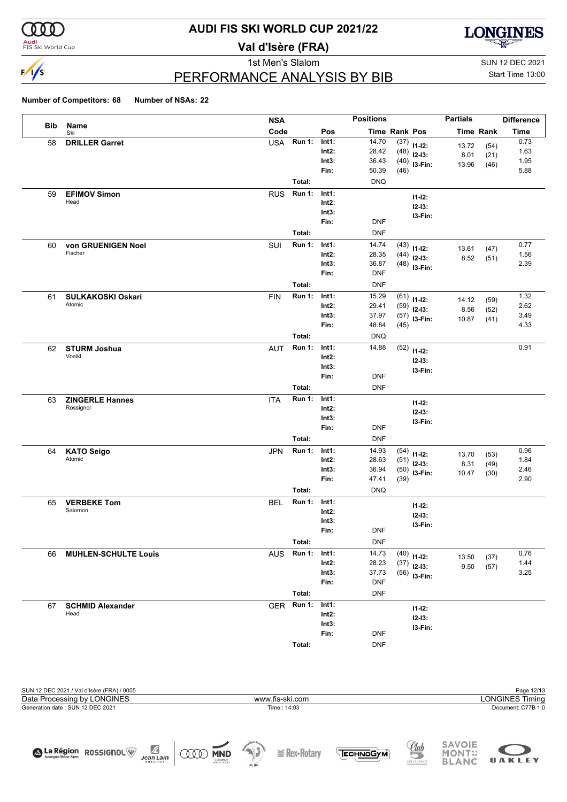

#### **Audi**<br>FIS Ski World Cup

# **AUDI FIS SKI WORLD CUP 2021/22**

**Val d'Isère (FRA)**



# PERFORMANCE ANALYSIS BY BIB

1st Men's Slalom Sun 12 DEC 2021 Start Time 13:00

|     |                             | <b>NSA</b> |               |          | <b>Positions</b> |      |                | <b>Partials</b>  |              | <b>Difference</b> |
|-----|-----------------------------|------------|---------------|----------|------------------|------|----------------|------------------|--------------|-------------------|
| Bib | Name<br>Ski                 | Code       |               | Pos      | Time Rank Pos    |      |                | <b>Time Rank</b> |              | <b>Time</b>       |
| 58  | <b>DRILLER Garret</b>       | <b>USA</b> | <b>Run 1:</b> | Int1:    | 14.70            | (37) | $11 - 12$ :    |                  |              | 0.73              |
|     |                             |            |               | $Int2$ : | 28.42            | (48) | $12-13:$       | 13.72<br>8.01    | (54)<br>(21) | 1.63              |
|     |                             |            |               | Int3:    | 36.43            |      | $(40)$ 13-Fin: | 13.96            | (46)         | 1.95              |
|     |                             |            |               | Fin:     | 50.39            | (46) |                |                  |              | 5.88              |
|     |                             |            | Total:        |          | <b>DNQ</b>       |      |                |                  |              |                   |
| 59  | <b>EFIMOV Simon</b>         | <b>RUS</b> | <b>Run 1:</b> | Int1:    |                  |      | $11 - 12$ :    |                  |              |                   |
|     | Head                        |            |               | Int2:    |                  |      | $12 - 13:$     |                  |              |                   |
|     |                             |            |               | Int3:    |                  |      | I3-Fin:        |                  |              |                   |
|     |                             |            |               | Fin:     | <b>DNF</b>       |      |                |                  |              |                   |
|     |                             |            | Total:        |          | <b>DNF</b>       |      |                |                  |              |                   |
| 60  | von GRUENIGEN Noel          | SUI        | <b>Run 1:</b> | Int1:    | 14.74            | (43) | $11 - 12$ :    | 13.61            | (47)         | 0.77              |
|     | Fischer                     |            |               | $Int2$ : | 28.35            | (44) | $12-13:$       | 8.52             | (51)         | 1.56              |
|     |                             |            |               | Int3:    | 36.87            |      | $(48)$ 13-Fin: |                  |              | 2.39              |
|     |                             |            |               | Fin:     | <b>DNF</b>       |      |                |                  |              |                   |
|     |                             |            | Total:        |          | <b>DNF</b>       |      |                |                  |              |                   |
| 61  | <b>SULKAKOSKI Oskari</b>    | <b>FIN</b> | <b>Run 1:</b> | Int1:    | 15.29            | (61) | $11 - 12$ :    |                  |              | 1.32              |
|     | Atomic                      |            |               | $Int2$ : | 29.41            | (59) | $12-13:$       | 14.12<br>8.56    | (59)<br>(52) | 2.62              |
|     |                             |            |               | Int3:    | 37.97            | (57) | I3-Fin:        | 10.87            | (41)         | 3.49              |
|     |                             |            |               | Fin:     | 48.84            | (45) |                |                  |              | 4.33              |
|     |                             |            | Total:        |          | <b>DNQ</b>       |      |                |                  |              |                   |
| 62  | <b>STURM Joshua</b>         | <b>AUT</b> | <b>Run 1:</b> | Int1:    | 14.88            | (52) | $11 - 12$ :    |                  |              | 0.91              |
|     | Voelkl                      |            |               | Int2:    |                  |      | $12 - 13:$     |                  |              |                   |
|     |                             |            |               | Int3:    |                  |      | I3-Fin:        |                  |              |                   |
|     |                             |            |               | Fin:     | <b>DNF</b>       |      |                |                  |              |                   |
|     |                             |            | Total:        |          | <b>DNF</b>       |      |                |                  |              |                   |
| 63  | <b>ZINGERLE Hannes</b>      | <b>ITA</b> | <b>Run 1:</b> | Int1:    |                  |      | $11 - 12$ :    |                  |              |                   |
|     | Rossignol                   |            |               | Int2:    |                  |      | $12 - 13:$     |                  |              |                   |
|     |                             |            |               | Int3:    |                  |      | I3-Fin:        |                  |              |                   |
|     |                             |            |               | Fin:     | <b>DNF</b>       |      |                |                  |              |                   |
|     |                             |            | Total:        |          | <b>DNF</b>       |      |                |                  |              |                   |
| 64  | <b>KATO Seigo</b>           | <b>JPN</b> | <b>Run 1:</b> | Int1:    | 14.93            | (54) | $11 - 12$ :    | 13.70            | (53)         | 0.96              |
|     | Atomic                      |            |               | Int2:    | 28.63            | (51) | $12-13:$       | 8.31             | (49)         | 1.84              |
|     |                             |            |               | Int3:    | 36.94            |      | $(50)$ 13-Fin: | 10.47            | (30)         | 2.46              |
|     |                             |            |               | Fin:     | 47.41            | (39) |                |                  |              | 2.90              |
|     |                             |            | Total:        |          | <b>DNQ</b>       |      |                |                  |              |                   |
| 65  | <b>VERBEKE Tom</b>          | <b>BEL</b> | <b>Run 1:</b> | Int1:    |                  |      | $11 - 12$ :    |                  |              |                   |
|     | Salomon                     |            |               | $Int2$ : |                  |      | $12 - 13:$     |                  |              |                   |
|     |                             |            |               | Int3:    |                  |      | I3-Fin:        |                  |              |                   |
|     |                             |            |               | Fin:     | <b>DNF</b>       |      |                |                  |              |                   |
|     |                             |            | Total:        |          | <b>DNF</b>       |      |                |                  |              |                   |
| 66  | <b>MUHLEN-SCHULTE Louis</b> | <b>AUS</b> | <b>Run 1:</b> | Int1:    | 14.73            | (40) | $11 - 12$ :    | 13.50            | (37)         | 0.76              |
|     |                             |            |               | Int2:    | 28.23            | (37) | $12-13:$       | 9.50             | (57)         | 1.44              |
|     |                             |            |               | Int3:    | 37.73            | (56) | I3-Fin:        |                  |              | 3.25              |
|     |                             |            |               | Fin:     | <b>DNF</b>       |      |                |                  |              |                   |
|     |                             |            | Total:        |          | <b>DNF</b>       |      |                |                  |              |                   |
| 67  | <b>SCHMID Alexander</b>     | <b>GER</b> | <b>Run 1:</b> | Int1:    |                  |      | $11 - 12$ :    |                  |              |                   |
|     | Head                        |            |               | Int2:    |                  |      | $12 - 13$ :    |                  |              |                   |
|     |                             |            |               | Int3:    |                  |      | I3-Fin:        |                  |              |                   |
|     |                             |            |               | Fin:     | <b>DNF</b>       |      |                |                  |              |                   |
|     |                             |            | Total:        |          | <b>DNF</b>       |      |                |                  |              |                   |

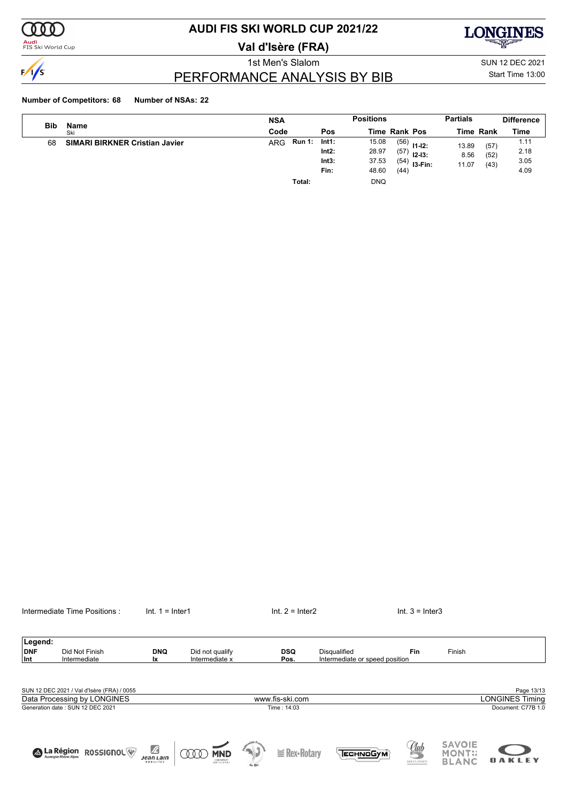

#### **Audi**<br>FIS Ski World Cup

# **AUDI FIS SKI WORLD CUP 2021/22**

**Val d'Isère (FRA)**



1st Men's Slalom SUN 12 DEC 2021

### PERFORMANCE ANALYSIS BY BIB

Start Time 13:00

#### **Number of Competitors: 68 Number of NSAs: 22**

| <b>Bib</b> |                                       | <b>NSA</b>                  |                                 | <b>Positions</b>                                                                                        | <b>Partials</b>                                | <b>Difference</b>            |
|------------|---------------------------------------|-----------------------------|---------------------------------|---------------------------------------------------------------------------------------------------------|------------------------------------------------|------------------------------|
|            | Name<br>Ski                           | Code                        | Pos                             | <b>Time Rank Pos</b>                                                                                    | <b>Time Rank</b>                               | Time                         |
| 68         | <b>SIMARI BIRKNER Cristian Javier</b> | <b>Run 1:</b><br><b>ARG</b> | Int1:<br>Int2:<br>Int3:<br>Fin: | 15.08<br>(56)<br>$11 - 12$ :<br>28.97<br>(57)<br>$12 - 13:$<br>37.53<br>$(54)$ 13-Fin:<br>48.60<br>(44) | 13.89<br>(57)<br>8.56<br>(52)<br>11.07<br>(43) | 1.11<br>2.18<br>3.05<br>4.09 |
|            |                                       | Total:                      |                                 | <b>DNQ</b>                                                                                              |                                                |                              |

| Legend:<br><b>DNF</b><br>Int | Did Not Finish<br>Intermediate                                                                                | <b>DNQ</b><br>Ιx                              | Did not qualify<br>Intermediate x              |        | <b>DSQ</b><br>Pos.             | <b>Disqualified</b><br>Intermediate or speed position | <b>Fin</b>                  | Finish                                         |                                                            |
|------------------------------|---------------------------------------------------------------------------------------------------------------|-----------------------------------------------|------------------------------------------------|--------|--------------------------------|-------------------------------------------------------|-----------------------------|------------------------------------------------|------------------------------------------------------------|
|                              | SUN 12 DEC 2021 / Val d'Isère (FRA) / 0055<br>Data Processing by LONGINES<br>Generation date: SUN 12 DEC 2021 |                                               |                                                |        | www.fis-ski.com<br>Time: 14:03 |                                                       |                             |                                                | Page 13/13<br><b>LONGINES Timing</b><br>Document: C77B 1.0 |
|                              | <b>A La Région</b><br><b>ROSSIGNOL</b>                                                                        | $\mathbb{Z}$<br><b>Jean Lain</b><br>HOBILITÉS | M<br><b>MND</b><br>CNEOMBRIET<br>NAMESOLUTIONS | de Ski | $\geq$ Rex-Rotary              | <b>Геснмо Сум</b>                                     | <u>Club</u><br>SKI CLASSICS | <b>SAVOIE</b><br><b>MONT::</b><br><b>BLANC</b> | <b>OAKLEY</b>                                              |

Intermediate Time Positions : Int. 1 = Inter1 Internetiate Time Positions : Int. 1 = Inter1 Int. 2 = Inter2 Int. 3 = Inter3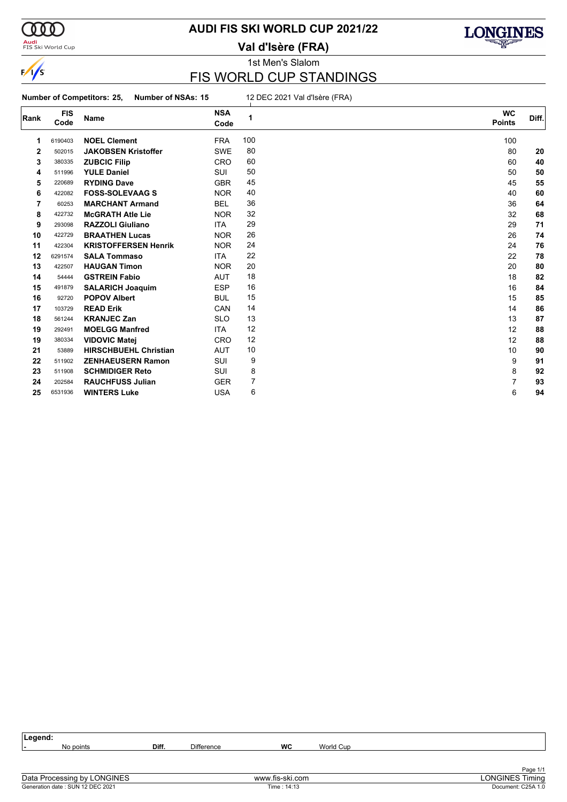

#### **Audi**<br>FIS Ski World Cup

### **AUDI FIS SKI WORLD CUP 2021/22**

**Val d'Isère (FRA)**



### 1st Men's Slalom

### FIS WORLD CUP STANDINGS

**Number of Competitors: 25, Number of NSAs: 15** 12 DEC 2021 Val d'Isère (FRA)

| Rank        | <b>FIS</b><br>Code | Name                         | <b>NSA</b><br>Code | 1   | <b>WC</b><br><b>Points</b> | Diff. |
|-------------|--------------------|------------------------------|--------------------|-----|----------------------------|-------|
| 1           | 6190403            | <b>NOEL Clement</b>          | <b>FRA</b>         | 100 | 100                        |       |
| $\mathbf 2$ | 502015             | <b>JAKOBSEN Kristoffer</b>   | <b>SWE</b>         | 80  | 80                         | 20    |
| 3           | 380335             | <b>ZUBCIC Filip</b>          | <b>CRO</b>         | 60  | 60                         | 40    |
| 4           | 511996             | <b>YULE Daniel</b>           | <b>SUI</b>         | 50  | 50                         | 50    |
| 5           | 220689             | <b>RYDING Dave</b>           | <b>GBR</b>         | 45  | 45                         | 55    |
| 6           | 422082             | <b>FOSS-SOLEVAAG S</b>       | <b>NOR</b>         | 40  | 40                         | 60    |
| 7           | 60253              | <b>MARCHANT Armand</b>       | <b>BEL</b>         | 36  | 36                         | 64    |
| 8           | 422732             | <b>McGRATH Atle Lie</b>      | <b>NOR</b>         | 32  | 32                         | 68    |
| 9           | 293098             | <b>RAZZOLI Giuliano</b>      | <b>ITA</b>         | 29  | 29                         | 71    |
| 10          | 422729             | <b>BRAATHEN Lucas</b>        | <b>NOR</b>         | 26  | 26                         | 74    |
| 11          | 422304             | <b>KRISTOFFERSEN Henrik</b>  | <b>NOR</b>         | 24  | 24                         | 76    |
| 12          | 6291574            | <b>SALA Tommaso</b>          | <b>ITA</b>         | 22  | 22                         | 78    |
| 13          | 422507             | <b>HAUGAN Timon</b>          | <b>NOR</b>         | 20  | 20                         | 80    |
| 14          | 54444              | <b>GSTREIN Fabio</b>         | <b>AUT</b>         | 18  | 18                         | 82    |
| 15          | 491879             | <b>SALARICH Joaquim</b>      | <b>ESP</b>         | 16  | 16                         | 84    |
| 16          | 92720              | <b>POPOV Albert</b>          | <b>BUL</b>         | 15  | 15                         | 85    |
| 17          | 103729             | <b>READ Erik</b>             | CAN                | 14  | 14                         | 86    |
| 18          | 561244             | <b>KRANJEC Zan</b>           | <b>SLO</b>         | 13  | 13                         | 87    |
| 19          | 292491             | <b>MOELGG Manfred</b>        | <b>ITA</b>         | 12  | 12                         | 88    |
| 19          | 380334             | <b>VIDOVIC Matej</b>         | <b>CRO</b>         | 12  | 12                         | 88    |
| 21          | 53889              | <b>HIRSCHBUEHL Christian</b> | <b>AUT</b>         | 10  | 10                         | 90    |
| 22          | 511902             | <b>ZENHAEUSERN Ramon</b>     | <b>SUI</b>         | 9   | 9                          | 91    |
| 23          | 511908             | <b>SCHMIDIGER Reto</b>       | <b>SUI</b>         | 8   | 8                          | 92    |
| 24          | 202584             | <b>RAUCHFUSS Julian</b>      | GER                | 7   | 7                          | 93    |
| 25          | 6531936            | <b>WINTERS Luke</b>          | <b>USA</b>         | 6   | 6                          | 94    |

| eaend: |                  |       |                   |    |           |  |
|--------|------------------|-------|-------------------|----|-----------|--|
| . .    | No points<br>.NO | Diff. | <b>Difference</b> | WC | World Cup |  |
|        |                  |       |                   |    |           |  |
|        |                  |       |                   |    |           |  |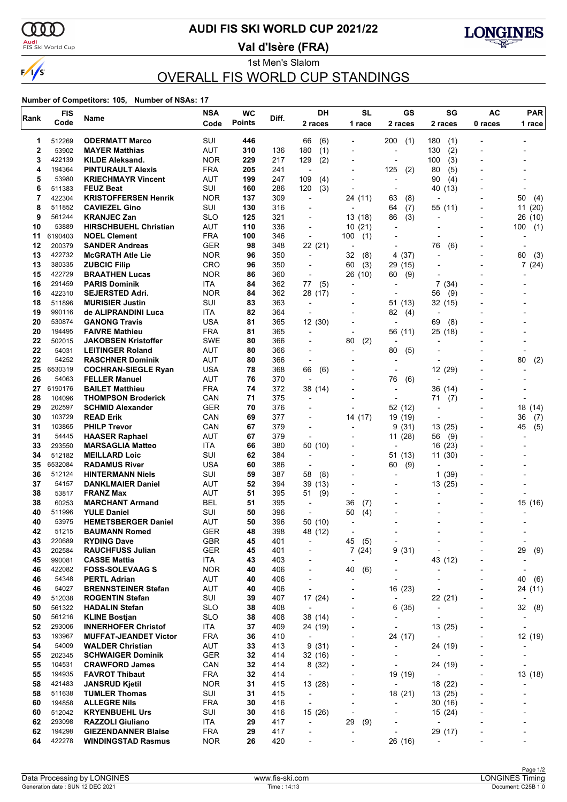

# **AUDI FIS SKI WORLD CUP 2021/22**

<mark>Audi</mark><br>FIS Ski World Cup

**Val d'Isère (FRA)**



1st Men's Slalom OVERALL FIS WORLD CUP STANDINGS

| Rank         | <b>FIS</b>       | Name                                                    | <b>NSA</b>               | <b>WC</b>     | Diff.      | DН                                                   | <b>SL</b>                | GS                                                   | SG                                 | <b>AC</b>                    | <b>PAR</b>               |
|--------------|------------------|---------------------------------------------------------|--------------------------|---------------|------------|------------------------------------------------------|--------------------------|------------------------------------------------------|------------------------------------|------------------------------|--------------------------|
|              | Code             |                                                         | Code                     | <b>Points</b> |            | 2 races                                              | 1 race                   | 2 races                                              | 2 races                            | 0 races                      | 1 race                   |
| 1            | 512269           | <b>ODERMATT Marco</b>                                   | SUI                      | 446           |            | 66<br>(6)                                            |                          | 200<br>(1)                                           | 180<br>(1)                         |                              |                          |
| $\mathbf{2}$ | 53902            | <b>MAYER Matthias</b>                                   | AUT                      | 310           | 136        | 180<br>(1)                                           |                          | $\overline{a}$                                       | 130<br>(2)                         |                              |                          |
| 3            | 422139           | <b>KILDE Aleksand.</b>                                  | <b>NOR</b>               | 229           | 217        | (2)<br>129                                           |                          | ٠                                                    | 100<br>(3)                         | -                            |                          |
| 4            | 194364           | <b>PINTURAULT Alexis</b>                                | <b>FRA</b>               | 205           | 241        | $\overline{\phantom{a}}$                             |                          | 125<br>(2)                                           | 80<br>(5)                          |                              |                          |
| 5            | 53980            | <b>KRIECHMAYR Vincent</b>                               | <b>AUT</b>               | 199           | 247        | 109<br>(4)                                           |                          | ÷,                                                   | 90<br>(4)                          |                              |                          |
| 6            | 511383           | <b>FEUZ Beat</b>                                        | SUI                      | 160           | 286        | 120<br>(3)                                           | $\blacksquare$           | $\overline{a}$                                       | 40<br>(13)                         |                              |                          |
| 7<br>8       | 422304           | <b>KRISTOFFERSEN Henrik</b>                             | <b>NOR</b><br>SUI        | 137<br>130    | 309<br>316 | $\overline{\phantom{a}}$<br>$\overline{\phantom{a}}$ | 24 (11)                  | 63<br>(8)                                            |                                    |                              | 50<br>(4)                |
| 9            | 511852<br>561244 | <b>CAVIEZEL Gino</b><br><b>KRANJEC Zan</b>              | <b>SLO</b>               | 125           | 321        | ٠                                                    | 13 (18)                  | (7)<br>64<br>86<br>(3)                               | 55 (11)                            | $\blacksquare$               | 11<br>(20)<br>26<br>(10) |
| 10           | 53889            | <b>HIRSCHBUEHL Christian</b>                            | AUT                      | 110           | 336        |                                                      | 10(21)                   |                                                      |                                    |                              | 100<br>(1)               |
| 11           | 6190403          | <b>NOEL Clement</b>                                     | <b>FRA</b>               | 100           | 346        | $\overline{\phantom{a}}$                             | 100<br>(1)               |                                                      |                                    |                              |                          |
| 12           | 200379           | <b>SANDER Andreas</b>                                   | GER                      | 98            | 348        | 22 (21)                                              | $\overline{a}$           | ٠                                                    | 76<br>(6)                          |                              |                          |
| 13           | 422732           | <b>McGRATH Atle Lie</b>                                 | <b>NOR</b>               | 96            | 350        | $\blacksquare$                                       | (8)<br>32                | 4<br>(37)                                            |                                    |                              | 60<br>(3)                |
| 13           | 380335           | <b>ZUBCIC Filip</b>                                     | <b>CRO</b>               | 96            | 350        | $\overline{a}$                                       | 60<br>(3)                | 29<br>(15)                                           | $\blacksquare$                     |                              | 7(24)                    |
| 15           | 422729           | <b>BRAATHEN Lucas</b>                                   | <b>NOR</b>               | 86            | 360        | ÷                                                    | 26 (10)                  | 60<br>(9)                                            |                                    |                              |                          |
| 16           | 291459           | <b>PARIS Dominik</b>                                    | ITA                      | 84            | 362        | (5)<br>77                                            |                          |                                                      | 7<br>(34)                          |                              |                          |
| 16           | 422310           | <b>SEJERSTED Adri.</b>                                  | <b>NOR</b>               | 84            | 362        | 28 (17)                                              |                          |                                                      | 56<br>(9)                          |                              |                          |
| 18           | 511896           | <b>MURISIER Justin</b>                                  | SUI                      | 83            | 363        | ÷                                                    |                          | 51 (13)                                              | 32 (15)                            |                              |                          |
| 19<br>20     | 990116<br>530874 | de ALIPRANDINI Luca<br><b>GANONG Travis</b>             | ITA<br><b>USA</b>        | 82<br>81      | 364<br>365 | $\overline{\phantom{a}}$<br>12 (30)                  |                          | 82<br>(4)<br>$\overline{a}$                          | $\overline{a}$<br>69<br>(8)        |                              |                          |
| 20           | 194495           | <b>FAIVRE Mathieu</b>                                   | <b>FRA</b>               | 81            | 365        | ÷,                                                   | $\overline{a}$           | 56 (11)                                              | 25 (18)                            |                              |                          |
| 22           | 502015           | <b>JAKOBSEN Kristoffer</b>                              | <b>SWE</b>               | 80            | 366        |                                                      | (2)<br>80                |                                                      |                                    |                              |                          |
| 22           | 54031            | <b>LEITINGER Roland</b>                                 | <b>AUT</b>               | 80            | 366        | $\overline{\phantom{a}}$                             | $\overline{a}$           | 80<br>(5)                                            |                                    |                              |                          |
| 22           | 54252            | <b>RASCHNER Dominik</b>                                 | AUT                      | 80            | 366        | ÷                                                    |                          | $\overline{a}$                                       | $\overline{\phantom{a}}$           |                              | 80<br>(2)                |
| 25           | 6530319          | <b>COCHRAN-SIEGLE Ryan</b>                              | USA                      | 78            | 368        | 66<br>(6)                                            |                          |                                                      | 12 (29)                            |                              |                          |
| 26           | 54063            | <b>FELLER Manuel</b>                                    | <b>AUT</b>               | 76            | 370        | L,                                                   |                          | (6)<br>76                                            |                                    |                              |                          |
| 27           | 6190176          | <b>BAILET Matthieu</b>                                  | <b>FRA</b>               | 74            | 372        | 38 (14)                                              |                          | ٠                                                    | 36 (14)                            |                              |                          |
| 28           | 104096           | <b>THOMPSON Broderick</b>                               | CAN                      | 71            | 375        | ÷                                                    |                          |                                                      | 71<br>(7)                          |                              |                          |
| 29           | 202597           | <b>SCHMID Alexander</b>                                 | <b>GER</b>               | 70            | 376        |                                                      |                          | 52 (12)                                              | $\overline{\phantom{a}}$           |                              | 18<br>(14)               |
| 30<br>31     | 103729<br>103865 | <b>READ Erik</b><br><b>PHILP Trevor</b>                 | CAN<br>CAN               | 69<br>67      | 377<br>379 | $\overline{a}$                                       | 14 (17)                  | 19 (19)<br>9<br>(31)                                 | $\overline{\phantom{a}}$<br>13(25) | $\blacksquare$               | 36<br>(7)<br>45<br>(5)   |
| 31           | 54445            | <b>HAASER Raphael</b>                                   | AUT                      | 67            | 379        | L,                                                   |                          | 11(28)                                               | 56<br>(9)                          |                              |                          |
| 33           | 293550           | <b>MARSAGLIA Matteo</b>                                 | ITA                      | 66            | 380        | 50 (10)                                              |                          | ٠                                                    | 16 (23)                            | $\blacksquare$               |                          |
| 34           | 512182           | <b>MEILLARD Loic</b>                                    | SUI                      | 62            | 384        | ÷                                                    |                          | 51 (13)                                              | 11(30)                             |                              |                          |
| 35           | 6532084          | <b>RADAMUS River</b>                                    | <b>USA</b>               | 60            | 386        | $\overline{\phantom{a}}$                             |                          | (9)<br>60                                            |                                    |                              |                          |
| 36           | 512124           | <b>HINTERMANN Niels</b>                                 | SUI                      | 59            | 387        | 58<br>(8)                                            | $\overline{\phantom{a}}$ | ٠                                                    | 1<br>(39)                          |                              |                          |
| 37           | 54157            | <b>DANKLMAIER Daniel</b>                                | AUT                      | 52            | 394        | 39 (13)                                              |                          |                                                      | 13(25)                             |                              |                          |
| 38           | 53817            | <b>FRANZ Max</b>                                        | <b>AUT</b>               | 51            | 395        | 51<br>(9)                                            |                          |                                                      |                                    |                              |                          |
| 38           | 60253            | <b>MARCHANT Armand</b>                                  | BEL                      | 51            | 395        | ÷                                                    | 36<br>(7)                | $\overline{a}$                                       |                                    |                              | 15 (16)                  |
| 40           | 511996           | <b>YULE Daniel</b>                                      | SUI                      | 50            | 396        |                                                      | 50<br>(4)                |                                                      |                                    |                              |                          |
| 40<br>42     | 53975<br>51215   | <b>HEMETSBERGER Daniel</b><br><b>BAUMANN Romed</b>      | AUT<br><b>GER</b>        | 50<br>48      | 396<br>398 | 50 (10)<br>48 (12)                                   |                          |                                                      |                                    |                              |                          |
| 43           | 220689           | <b>RYDING Dave</b>                                      | GBR                      | 45            | 401        | -                                                    | 45<br>(5)                | $\overline{a}$                                       |                                    |                              |                          |
| 43           | 202584           | <b>RAUCHFUSS Julian</b>                                 | <b>GER</b>               | 45            | 401        |                                                      | 7(24)                    | (31)<br>9                                            |                                    | $\overline{\phantom{0}}$     | 29<br>(9)                |
| 45           | 990081           | <b>CASSE Mattia</b>                                     | ITA                      | 43            | 403        | ٠                                                    | $\overline{a}$           | $\overline{\phantom{0}}$                             | 43 (12)                            | -                            | $\overline{a}$           |
| 46           | 422082           | <b>FOSS-SOLEVAAG S</b>                                  | <b>NOR</b>               | 40            | 406        | ٠                                                    | 40<br>(6)                |                                                      |                                    |                              |                          |
| 46           | 54348            | <b>PERTL Adrian</b>                                     | AUT                      | 40            | 406        | $\overline{a}$                                       |                          | $\overline{a}$                                       |                                    | $\overline{a}$               | 40<br>(6)                |
| 46           | 54027            | <b>BRENNSTEINER Stefan</b>                              | <b>AUT</b>               | 40            | 406        | $\centerdot$                                         | $\overline{\phantom{a}}$ | 16 (23)                                              | $\overline{a}$                     | -                            | 24 (11)                  |
| 49           | 512038           | <b>ROGENTIN Stefan</b>                                  | SUI                      | 39            | 407        | 17 (24)                                              |                          | $\overline{\phantom{a}}$                             | 22 (21)                            |                              |                          |
| 50           | 561322           | <b>HADALIN Stefan</b>                                   | <b>SLO</b>               | 38            | 408        | $\overline{\phantom{a}}$                             | $\overline{a}$           | 6(35)                                                | $\qquad \qquad \blacksquare$       | $\overline{a}$               | 32 (8)                   |
| 50<br>52     | 561216<br>293006 | <b>KLINE Bostjan</b><br><b>INNERHOFER Christof</b>      | <b>SLO</b><br>ITA        | 38<br>37      | 408<br>409 | 38 (14)<br>24 (19)                                   | $\overline{\phantom{a}}$ | $\overline{\phantom{0}}$<br>$\overline{\phantom{0}}$ | ÷,<br>13 (25)                      | ٠                            | $\overline{\phantom{a}}$ |
| 53           | 193967           | <b>MUFFAT-JEANDET Victor</b>                            | <b>FRA</b>               | 36            | 410        | $\overline{\phantom{a}}$                             | $\blacksquare$           | 24 (17)                                              | $\overline{a}$                     | $\overline{a}$               | 12 (19)                  |
| 54           | 54009            | <b>WALDER Christian</b>                                 | AUT                      | 33            | 413        | 9(31)                                                | $\overline{\phantom{a}}$ | $\overline{\phantom{a}}$                             | 24 (19)                            | $\overline{\phantom{0}}$     |                          |
| 55           | 202345           | <b>SCHWAIGER Dominik</b>                                | <b>GER</b>               | 32            | 414        | 32 (16)                                              |                          | $\overline{a}$                                       | $\overline{a}$                     |                              |                          |
| 55           | 104531           | <b>CRAWFORD James</b>                                   | CAN                      | 32            | 414        | 8(32)                                                | $\overline{\phantom{a}}$ | $\overline{\phantom{0}}$                             | 24 (19)                            | $\qquad \qquad \blacksquare$ | $\overline{\phantom{a}}$ |
| 55           | 194935           | <b>FAVROT Thibaut</b>                                   | FRA                      | 32            | 414        | $\overline{\phantom{a}}$                             | ٠                        | 19 (19)                                              | $\overline{\phantom{a}}$           | $\overline{\phantom{a}}$     | 13 (18)                  |
| 58           | 421483           | <b>JANSRUD Kjetil</b>                                   | <b>NOR</b>               | 31            | 415        | 13 (28)                                              |                          | $\overline{a}$                                       | 18 (22)                            |                              |                          |
| 58           | 511638           | <b>TUMLER Thomas</b>                                    | SUI                      | 31            | 415        | $\overline{\phantom{a}}$                             | $\overline{\phantom{a}}$ | 18 (21)                                              | 13 (25)                            | $\blacksquare$               |                          |
| 60           | 194858           | <b>ALLEGRE Nils</b>                                     | <b>FRA</b>               | 30            | 416        | $\overline{\phantom{a}}$                             | $\overline{a}$           | $\overline{\phantom{a}}$                             | 30 (16)                            | $\overline{a}$               |                          |
| 60           | 512042           | <b>KRYENBUEHL Urs</b>                                   | SUI                      | 30            | 416        | 15 (26)                                              |                          | $\overline{a}$                                       | 15 (24)                            |                              |                          |
| 62           | 293098           | <b>RAZZOLI Giuliano</b>                                 | <b>ITA</b>               | 29            | 417        | $\overline{\phantom{a}}$                             | 29<br>(9)                | -                                                    | $\overline{a}$                     |                              |                          |
| 62<br>64     | 194298<br>422278 | <b>GIEZENDANNER Blaise</b><br><b>WINDINGSTAD Rasmus</b> | <b>FRA</b><br><b>NOR</b> | 29<br>26      | 417<br>420 | -                                                    | $\overline{a}$           | $\overline{a}$<br>26 (16)                            | 29 (17)                            | -                            |                          |
|              |                  |                                                         |                          |               |            |                                                      |                          |                                                      |                                    |                              |                          |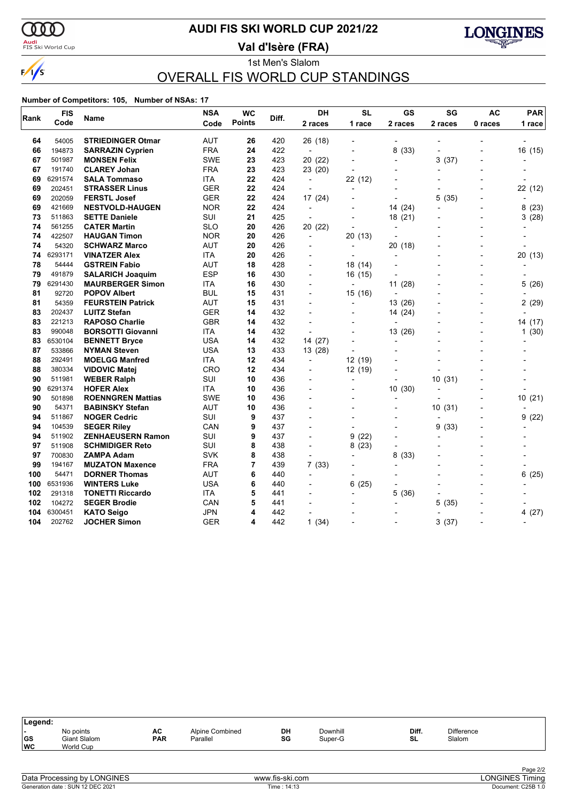

#### <mark>Audi</mark><br>FIS Ski World Cup

### **AUDI FIS SKI WORLD CUP 2021/22**

**Val d'Isère (FRA)**



#### 1st Men's Slalom OVERALL FIS WORLD CUP STANDINGS

| Rank | <b>FIS</b><br>Name |                          | <b>NSA</b> | <b>WC</b>     | Diff. | <b>DH</b>                | <b>SL</b>                | <b>GS</b>      | SG        | <b>AC</b>                | <b>PAR</b> |
|------|--------------------|--------------------------|------------|---------------|-------|--------------------------|--------------------------|----------------|-----------|--------------------------|------------|
|      | Code               |                          | Code       | <b>Points</b> |       | 2 races                  | 1 race                   | 2 races        | 2 races   | 0 races                  | 1 race     |
| 64   | 54005              | <b>STRIEDINGER Otmar</b> | AUT        | 26            | 420   | 26 (18)                  |                          |                |           |                          |            |
| 66   | 194873             | <b>SARRAZIN Cyprien</b>  | <b>FRA</b> | 24            | 422   | $\overline{\phantom{a}}$ |                          | 8(33)          |           |                          | 16 (15)    |
| 67   | 501987             | <b>MONSEN Felix</b>      | <b>SWE</b> | 23            | 423   | 20(22)                   |                          | ٠              | 3<br>(37) |                          |            |
| 67   | 191740             | <b>CLAREY Johan</b>      | <b>FRA</b> | 23            | 423   | 23 (20)                  |                          |                |           |                          |            |
| 69   | 6291574            | <b>SALA Tommaso</b>      | <b>ITA</b> | 22            | 424   | $\overline{\phantom{a}}$ | 22 (12)                  |                |           |                          |            |
| 69   | 202451             | <b>STRASSER Linus</b>    | <b>GER</b> | 22            | 424   | $\blacksquare$           | $\overline{\phantom{0}}$ |                |           |                          | 22 (12)    |
| 69   | 202059             | <b>FERSTL Josef</b>      | <b>GER</b> | 22            | 424   | 17 (24)                  |                          |                | 5<br>(35) |                          |            |
| 69   | 421669             | <b>NESTVOLD-HAUGEN</b>   | <b>NOR</b> | 22            | 424   | $\overline{a}$           |                          | 14 (24)        |           |                          | 8(23)      |
| 73   | 511863             | <b>SETTE Daniele</b>     | SUI        | 21            | 425   | $\overline{\phantom{a}}$ |                          | 18(21)         |           | $\overline{\phantom{a}}$ | 3(28)      |
| 74   | 561255             | <b>CATER Martin</b>      | <b>SLO</b> | 20            | 426   | 20(22)                   |                          |                |           |                          |            |
| 74   | 422507             | <b>HAUGAN Timon</b>      | <b>NOR</b> | 20            | 426   | $\overline{\phantom{a}}$ | 20 (13)                  |                |           |                          |            |
| 74   | 54320              | <b>SCHWARZ Marco</b>     | <b>AUT</b> | 20            | 426   | $\overline{a}$           | $\overline{\phantom{0}}$ | 20 (18)        |           |                          |            |
| 74   | 6293171            | <b>VINATZER Alex</b>     | ITA        | 20            | 426   |                          |                          | $\overline{a}$ |           |                          | 20 (13)    |
| 78   | 54444              | <b>GSTREIN Fabio</b>     | <b>AUT</b> | 18            | 428   | $\blacksquare$           | 18 (14)                  |                |           | $\blacksquare$           |            |
| 79   | 491879             | <b>SALARICH Joaquim</b>  | <b>ESP</b> | 16            | 430   | $\overline{a}$           | 16 (15)                  |                |           |                          |            |
| 79   | 6291430            | <b>MAURBERGER Simon</b>  | <b>ITA</b> | 16            | 430   | $\overline{a}$           | $\blacksquare$           | 11(28)         |           | $\overline{\phantom{0}}$ | 5 (26)     |
| 81   | 92720              | <b>POPOV Albert</b>      | <b>BUL</b> | 15            | 431   |                          | 15 (16)                  |                |           |                          |            |
| 81   | 54359              | <b>FEURSTEIN Patrick</b> | <b>AUT</b> | 15            | 431   | $\overline{a}$           |                          | 13(26)         |           |                          | 2(29)      |
| 83   | 202437             | <b>LUITZ Stefan</b>      | GER        | 14            | 432   | $\overline{a}$           |                          | 14 (24)        |           | $\overline{a}$           |            |
| 83   | 221213             | <b>RAPOSO Charlie</b>    | <b>GBR</b> | 14            | 432   |                          |                          | L,             |           |                          | 14 (17)    |
| 83   | 990048             | <b>BORSOTTI Giovanni</b> | <b>ITA</b> | 14            | 432   |                          |                          | 13 (26)        |           | $\overline{a}$           | 1(30)      |
| 83   | 6530104            | <b>BENNETT Bryce</b>     | <b>USA</b> | 14            | 432   | 14 (27)                  |                          | $\overline{a}$ |           |                          |            |
| 87   | 533866             | <b>NYMAN Steven</b>      | <b>USA</b> | 13            | 433   | 13 (28)                  | $\overline{\phantom{a}}$ |                |           |                          |            |
| 88   | 292491             | <b>MOELGG Manfred</b>    | ITA        | 12            | 434   | $\blacksquare$           | 12 (19)                  |                |           |                          |            |
| 88   | 380334             | <b>VIDOVIC Matei</b>     | CRO        | 12            | 434   | $\blacksquare$           | 12 (19)                  |                |           |                          |            |
| 90   | 511981             | <b>WEBER Ralph</b>       | SUI        | 10            | 436   | $\blacksquare$           | $\overline{\phantom{a}}$ |                | 10(31)    |                          |            |
| 90   | 6291374            | <b>HOFER Alex</b>        | <b>ITA</b> | 10            | 436   |                          |                          | 10(30)         |           |                          |            |
| 90   | 501898             | <b>ROENNGREN Mattias</b> | <b>SWE</b> | 10            | 436   |                          |                          |                |           |                          | 10(21)     |
| 90   | 54371              | <b>BABINSKY Stefan</b>   | <b>AUT</b> | 10            | 436   | $\overline{a}$           |                          | $\overline{a}$ | 10(31)    | $\overline{\phantom{a}}$ |            |
| 94   | 511867             | <b>NOGER Cedric</b>      | <b>SUI</b> | 9             | 437   |                          | $\overline{a}$           | $\overline{a}$ |           |                          | 9(22)      |
| 94   | 104539             | <b>SEGER Riley</b>       | CAN        | 9             | 437   |                          |                          |                | 9<br>(33) |                          |            |
| 94   | 511902             | <b>ZENHAEUSERN Ramon</b> | SUI        | 9             | 437   |                          | (22)<br>9                |                |           |                          |            |
| 97   | 511908             | <b>SCHMIDIGER Reto</b>   | SUI        | 8             | 438   | $\blacksquare$           | 8(23)                    | $\overline{a}$ |           |                          |            |
| 97   | 700830             | <b>ZAMPA Adam</b>        | <b>SVK</b> | 8             | 438   |                          |                          | 8<br>(33)      |           |                          |            |
| 99   | 194167             | <b>MUZATON Maxence</b>   | <b>FRA</b> | 7             | 439   | 7(33)                    |                          |                |           |                          |            |
| 100  | 54471              | <b>DORNER Thomas</b>     | <b>AUT</b> | 6             | 440   | $\blacksquare$           | $\overline{\phantom{a}}$ |                |           | $\overline{\phantom{a}}$ | 6<br>(25)  |
| 100  | 6531936            | <b>WINTERS Luke</b>      | <b>USA</b> | 6             | 440   |                          | 6<br>(25)                |                |           |                          |            |
| 102  | 291318             | <b>TONETTI Riccardo</b>  | <b>ITA</b> | 5             | 441   |                          |                          | 5<br>(36)      |           |                          |            |
| 102  | 104272             | <b>SEGER Brodie</b>      | CAN        | 5             | 441   |                          |                          |                | 5<br>(35) |                          |            |
| 104  | 6300451            | <b>KATO Seigo</b>        | JPN        | 4             | 442   |                          |                          |                |           |                          | 4(27)      |
| 104  | 202762             | <b>JOCHER Simon</b>      | <b>GER</b> | 4             | 442   | 1(34)                    |                          |                | 3<br>(37) |                          |            |

| Legend:   |                                        |                  |                                    |          |                     |             |                             |  |
|-----------|----------------------------------------|------------------|------------------------------------|----------|---------------------|-------------|-----------------------------|--|
| GS<br> wc | No points<br>Giant Slalom<br>World Cup | AC<br><b>PAR</b> | <b>Alpine Combined</b><br>Parallel | DH<br>SG | Downhill<br>Super-G | Diff.<br>SL | <b>Difference</b><br>Slalom |  |
|           |                                        |                  |                                    |          |                     |             |                             |  |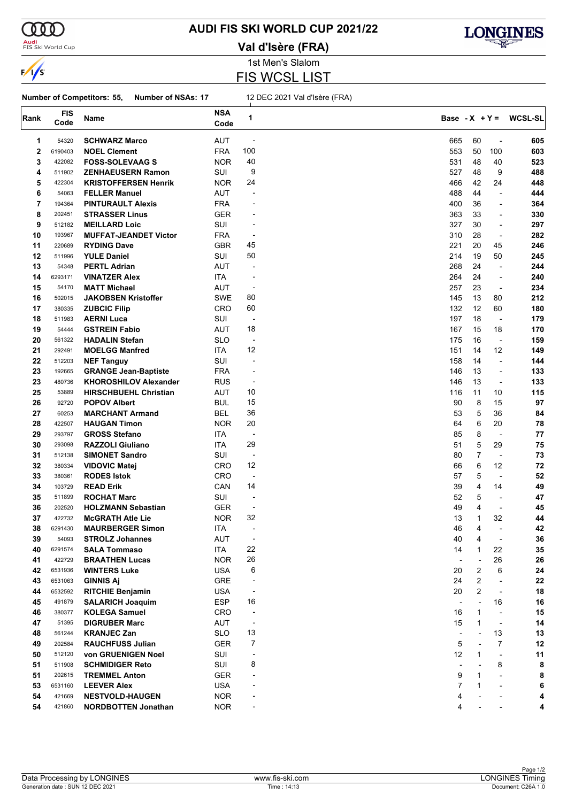

#### <mark>Audi</mark><br>FIS Ski World Cup

# **AUDI FIS SKI WORLD CUP 2021/22**

**Val d'Isère (FRA)**



1st Men's Slalom FIS WCSL LIST

#### **Number of Competitors: 55, Number of NSAs: 17** 12 DEC 2021 Val d'Isère (FRA)

| Rank | <b>FIS</b> | Name                         | <b>NSA</b> | 1                        | Base - $X + Y =$         |                |                          | <b>WCSL-SL</b> |
|------|------------|------------------------------|------------|--------------------------|--------------------------|----------------|--------------------------|----------------|
|      | Code       |                              | Code       |                          |                          |                |                          |                |
| 1    | 54320      | <b>SCHWARZ Marco</b>         | <b>AUT</b> | $\overline{\phantom{a}}$ | 665                      | 60             | $\overline{a}$           | 605            |
| 2    | 6190403    | <b>NOEL Clement</b>          | <b>FRA</b> | 100                      | 553                      | 50             | 100                      | 603            |
| 3    | 422082     | <b>FOSS-SOLEVAAG S</b>       | <b>NOR</b> | 40                       | 531                      | 48             | 40                       | 523            |
| 4    | 511902     | <b>ZENHAEUSERN Ramon</b>     | SUI        | 9                        | 527                      | 48             | 9                        | 488            |
| 5    | 422304     | <b>KRISTOFFERSEN Henrik</b>  | <b>NOR</b> | 24                       | 466                      | 42             | 24                       | 448            |
| 6    | 54063      | <b>FELLER Manuel</b>         | <b>AUT</b> | ÷,                       | 488                      | 44             | $\blacksquare$           | 444            |
| 7    | 194364     | <b>PINTURAULT Alexis</b>     | <b>FRA</b> |                          | 400                      | 36             | $\overline{\phantom{a}}$ | 364            |
| 8    | 202451     | <b>STRASSER Linus</b>        | GER        |                          | 363                      | 33             | $\overline{a}$           | 330            |
| 9    | 512182     | <b>MEILLARD Loic</b>         | SUI        |                          | 327                      | 30             | ÷,                       | 297            |
| 10   | 193967     | <b>MUFFAT-JEANDET Victor</b> | <b>FRA</b> | -                        | 310                      | 28             | $\overline{a}$           | 282            |
| 11   | 220689     | <b>RYDING Dave</b>           | <b>GBR</b> | 45                       | 221                      | 20             | 45                       | 246            |
| 12   | 511996     | <b>YULE Daniel</b>           | SUI        | 50                       | 214                      | 19             | 50                       | 245            |
| 13   | 54348      | <b>PERTL Adrian</b>          | AUT        | -                        | 268                      | 24             | ÷,                       | 244            |
| 14   | 6293171    | <b>VINATZER Alex</b>         | ITA        | $\overline{\phantom{a}}$ | 264                      | 24             | ÷,                       | 240            |
| 15   | 54170      | <b>MATT Michael</b>          | AUT        | -                        | 257                      | 23             | $\overline{\phantom{a}}$ | 234            |
| 16   | 502015     | <b>JAKOBSEN Kristoffer</b>   | SWE        | 80                       | 145                      | 13             | 80                       | 212            |
| 17   | 380335     | <b>ZUBCIC Filip</b>          | CRO        | 60                       | 132                      | 12             | 60                       | 180            |
| 18   | 511983     | <b>AERNI Luca</b>            | SUI        | $\overline{\phantom{a}}$ | 197                      | 18             | $\blacksquare$           | 179            |
| 19   | 54444      | <b>GSTREIN Fabio</b>         | AUT        | 18                       | 167                      | 15             | 18                       | 170            |
| 20   | 561322     | <b>HADALIN Stefan</b>        | <b>SLO</b> | $\overline{\phantom{a}}$ | 175                      | 16             | $\overline{\phantom{a}}$ | 159            |
| 21   | 292491     | <b>MOELGG Manfred</b>        | ITA        | 12                       | 151                      | 14             | 12                       | 149            |
| 22   | 512203     | <b>NEF Tanguy</b>            | SUI        | $\overline{a}$           | 158                      | 14             | ÷,                       | 144            |
| 23   | 192665     | <b>GRANGE Jean-Baptiste</b>  | <b>FRA</b> | $\overline{a}$           | 146                      | 13             | ÷,                       | 133            |
| 23   | 480736     | <b>KHOROSHILOV Alexander</b> | <b>RUS</b> | $\overline{a}$           | 146                      | 13             | $\blacksquare$           | 133            |
| 25   | 53889      | <b>HIRSCHBUEHL Christian</b> | AUT        | 10                       | 116                      | 11             | 10                       | 115            |
| 26   | 92720      | <b>POPOV Albert</b>          | <b>BUL</b> | 15                       | 90                       | 8              | 15                       | 97             |
| 27   | 60253      | <b>MARCHANT Armand</b>       | BEL        | 36                       | 53                       | 5              | 36                       | 84             |
| 28   | 422507     | <b>HAUGAN Timon</b>          | <b>NOR</b> | 20                       | 64                       | 6              | 20                       | 78             |
| 29   | 293797     | <b>GROSS Stefano</b>         | <b>ITA</b> | -                        | 85                       | 8              | $\overline{a}$           | 77             |
| 30   | 293098     | <b>RAZZOLI Giuliano</b>      | ITA        | 29                       | 51                       | 5              | 29                       | 75             |
| 31   | 512138     | <b>SIMONET Sandro</b>        | SUI        | $\overline{\phantom{a}}$ | 80                       | $\overline{7}$ | $\blacksquare$           | 73             |
| 32   | 380334     | <b>VIDOVIC Matej</b>         | CRO        | 12                       | 66                       | 6              | 12                       | 72             |
| 33   | 380361     | <b>RODES Istok</b>           | CRO        | $\overline{\phantom{a}}$ | 57                       | 5              | ÷,                       | 52             |
| 34   | 103729     | <b>READ Erik</b>             | CAN        | 14                       | 39                       | 4              | 14                       | 49             |
| 35   | 511899     | <b>ROCHAT Marc</b>           | SUI        | $\overline{\phantom{a}}$ | 52                       | 5              | $\blacksquare$           | 47             |
| 36   | 202520     | <b>HOLZMANN Sebastian</b>    | GER        | $\overline{a}$           | 49                       | 4              | $\overline{a}$           | 45             |
| 37   | 422732     | <b>McGRATH Atle Lie</b>      | <b>NOR</b> | 32                       | 13                       | 1              | 32                       | 44             |
| 38   | 6291430    | <b>MAURBERGER Simon</b>      | ITA        | $\overline{\phantom{a}}$ | 46                       | 4              | $\overline{a}$           | 42             |
| 39   | 54093      | <b>STROLZ Johannes</b>       | AUT        | $\overline{a}$           | 40                       | 4              | $\overline{a}$           | 36             |
| 40   | 6291574    | <b>SALA Tommaso</b>          | ITA        | 22                       | 14                       | 1              | 22                       | 35             |
| 41   | 422729     | <b>BRAATHEN Lucas</b>        | <b>NOR</b> | 26                       |                          |                | 26                       | 26             |
| 42   | 6531936    | <b>WINTERS Luke</b>          | <b>USA</b> | 6                        | 20                       | 2              | 6                        | 24             |
| 43   | 6531063    | <b>GINNIS Ai</b>             | GRE        | $\overline{a}$           | 24                       | 2              | $\overline{a}$           | 22             |
| 44   | 6532592    | <b>RITCHIE Benjamin</b>      | <b>USA</b> | $\overline{a}$           | 20                       | 2              | $\blacksquare$           | 18             |
| 45   | 491879     | <b>SALARICH Joaquim</b>      | <b>ESP</b> | 16                       |                          | $\blacksquare$ | 16                       | 16             |
| 46   | 380377     | <b>KOLEGA Samuel</b>         | <b>CRO</b> | $\overline{\phantom{a}}$ | 16                       | 1              | $\overline{a}$           | 15             |
| 47   | 51395      | <b>DIGRUBER Marc</b>         | AUT        | $\overline{a}$           | 15                       | $\mathbf{1}$   | $\blacksquare$           | 14             |
| 48   | 561244     | <b>KRANJEC Zan</b>           | <b>SLO</b> | 13                       | $\overline{\phantom{a}}$ | ÷,             | 13                       | 13             |
| 49   | 202584     | <b>RAUCHFUSS Julian</b>      | <b>GER</b> | 7                        | 5                        |                | $\overline{7}$           | 12             |
| 50   | 512120     | von GRUENIGEN Noel           | SUI        | $\overline{\phantom{a}}$ | 12                       | 1              | $\overline{\phantom{a}}$ | 11             |
| 51   | 511908     | <b>SCHMIDIGER Reto</b>       | SUI        | 8                        |                          |                | 8                        | 8              |
| 51   | 202615     | <b>TREMMEL Anton</b>         | <b>GER</b> |                          | 9                        | 1              | $\blacksquare$           | 8              |
| 53   | 6531160    | <b>LEEVER Alex</b>           | <b>USA</b> |                          | $\overline{7}$           | $\mathbf{1}$   | $\overline{a}$           | 6              |
| 54   | 421669     | <b>NESTVOLD-HAUGEN</b>       | <b>NOR</b> |                          |                          |                |                          | 4              |
| 54   |            | <b>NORDBOTTEN Jonathan</b>   | <b>NOR</b> |                          | 4                        |                |                          |                |
|      | 421860     |                              |            | $\overline{a}$           | 4                        |                |                          | 4              |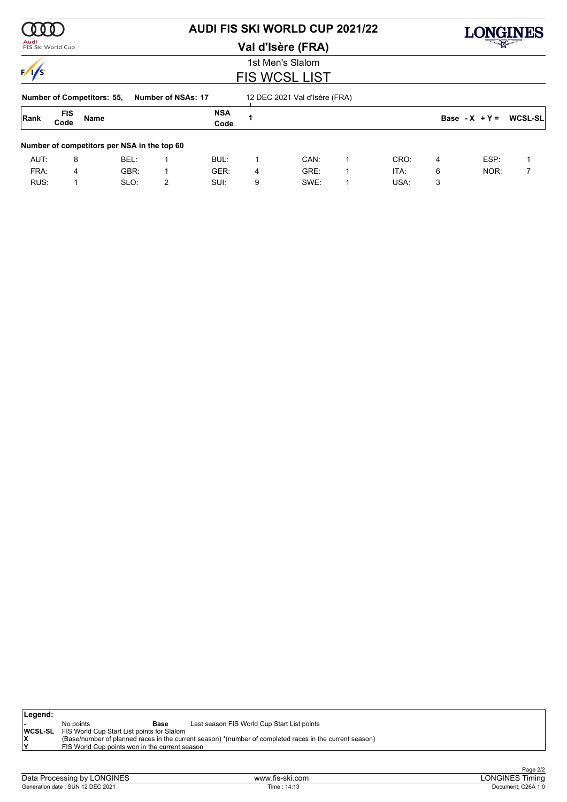| Audi              |                    |                                   |                                             | <b>AUDI FIS SKI WORLD CUP 2021/22</b> |                      |   |                               |   |      |   |                  | ONGINDS<br><del>- 대한</del> |  |  |  |  |
|-------------------|--------------------|-----------------------------------|---------------------------------------------|---------------------------------------|----------------------|---|-------------------------------|---|------|---|------------------|----------------------------|--|--|--|--|
| FIS Ski World Cup |                    |                                   |                                             |                                       |                      |   | Val d'Isère (FRA)             |   |      |   |                  |                            |  |  |  |  |
|                   |                    |                                   |                                             |                                       |                      |   | 1st Men's Slalom              |   |      |   |                  |                            |  |  |  |  |
|                   |                    |                                   |                                             |                                       | <b>FIS WCSL LIST</b> |   |                               |   |      |   |                  |                            |  |  |  |  |
|                   |                    | <b>Number of Competitors: 55,</b> |                                             | Number of NSAs: 17                    |                      |   | 12 DEC 2021 Val d'Isère (FRA) |   |      |   |                  |                            |  |  |  |  |
| Rank              | <b>FIS</b><br>Code | <b>Name</b>                       |                                             |                                       | <b>NSA</b><br>Code   |   |                               |   |      |   | Base - $X + Y =$ | <b>WCSL-SL</b>             |  |  |  |  |
|                   |                    |                                   | Number of competitors per NSA in the top 60 |                                       |                      |   |                               |   |      |   |                  |                            |  |  |  |  |
| AUT:              | 8                  |                                   | BEL:                                        |                                       | BUL:                 |   | CAN:                          | 1 | CRO: | 4 | ESP:             |                            |  |  |  |  |
| FRA:              | 4                  |                                   | GBR:                                        | 1                                     | GER:                 | 4 | GRE:                          | 1 | ITA: | 6 | NOR:             |                            |  |  |  |  |
| RUS:              |                    |                                   | SLO:                                        | 2                                     | SUI:                 | 9 | SWE:                          | 1 | USA: | 3 |                  |                            |  |  |  |  |

| Legend: |                                                           |      |                                                                                                         |
|---------|-----------------------------------------------------------|------|---------------------------------------------------------------------------------------------------------|
|         | No points                                                 | Base | Last season FIS World Cup Start List points                                                             |
|         | <b>WCSL-SL</b> FIS World Cup Start List points for Slalom |      |                                                                                                         |
|         |                                                           |      | (Base/number of planned races in the current season) *(number of completed races in the current season) |
|         | FIS World Cup points won in the current season            |      |                                                                                                         |
|         |                                                           |      |                                                                                                         |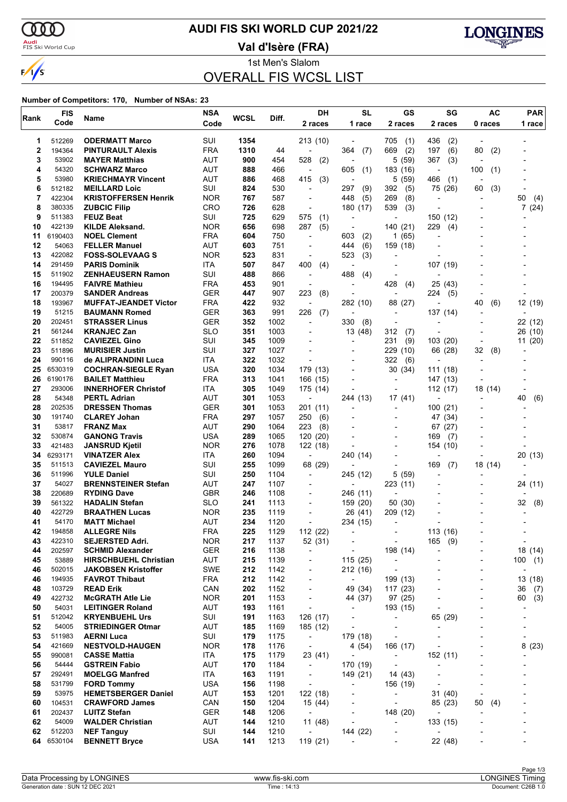$\alpha\alpha$ 

 $\sqrt{s}$ 

# **AUDI FIS SKI WORLD CUP 2021/22**

<mark>Audi</mark><br>FIS Ski World Cup

**Val d'Isère (FRA)**



1st Men's Slalom OVERALL FIS WCSL LIST

| Rank     | <b>FIS</b>       | Name                                          | <b>NSA</b>               | WCSL       | Diff.        | DH                                   | <b>SL</b>                            | GS                                                   | SG                       | AC         | <b>PAR</b>                    |  |
|----------|------------------|-----------------------------------------------|--------------------------|------------|--------------|--------------------------------------|--------------------------------------|------------------------------------------------------|--------------------------|------------|-------------------------------|--|
|          | Code             |                                               | Code                     |            |              | 2 races                              | 1 race                               | 2 races                                              | 2 races                  | 0 races    | 1 race                        |  |
| 1        | 512269           | <b>ODERMATT Marco</b>                         | SUI                      | 1354       |              | 213 (10)                             |                                      | 705<br>(1)                                           | 436<br>(2)               |            |                               |  |
| 2        | 194364           | <b>PINTURAULT Alexis</b>                      | <b>FRA</b>               | 1310       | 44           | $\overline{a}$                       | 364<br>(7)                           | (2)<br>669                                           | 197<br>(6)               | 80<br>(2)  |                               |  |
| 3        | 53902            | <b>MAYER Matthias</b>                         | AUT                      | 900        | 454          | 528<br>(2)                           |                                      | 5<br>(59)                                            | 367<br>(3)               |            |                               |  |
| 4        | 54320            | <b>SCHWARZ Marco</b>                          | <b>AUT</b>               | 888        | 466          | $\overline{\phantom{a}}$             | 605<br>(1)                           | 183 (16)                                             | $\overline{\phantom{a}}$ | 100<br>(1) |                               |  |
| 5        | 53980            | <b>KRIECHMAYR Vincent</b>                     | AUT                      | 886        | 468          | 415<br>(3)                           | $\overline{\phantom{a}}$             | (59)<br>5                                            | 466<br>(1)               |            |                               |  |
| 6        | 512182           | <b>MEILLARD Loic</b>                          | SUI                      | 824        | 530          | $\overline{a}$                       | 297<br>(9)                           | 392<br>(5)                                           | 75 (26)                  | 60<br>(3)  |                               |  |
| 7        | 422304           | <b>KRISTOFFERSEN Henrik</b>                   | <b>NOR</b>               | 767        | 587          | $\overline{\phantom{a}}$             | (5)<br>448                           | 269<br>(8)                                           | ٠                        |            | 50<br>(4)                     |  |
| 8<br>9   | 380335<br>511383 | <b>ZUBCIC Filip</b><br><b>FEUZ Beat</b>       | <b>CRO</b><br>SUI        | 726<br>725 | 628<br>629   | $\overline{\phantom{a}}$<br>575      | 180 (17)                             | 539<br>(3)<br>٠                                      |                          |            | 7(24)                         |  |
| 10       | 422139           | <b>KILDE Aleksand.</b>                        | <b>NOR</b>               | 656        | 698          | (1)<br>287<br>(5)                    | $\blacksquare$                       | 140 (21)                                             | 150 (12)<br>229<br>(4)   |            |                               |  |
| 11       | 6190403          | <b>NOEL Clement</b>                           | <b>FRA</b>               | 604        | 750          | ÷,                                   | 603<br>(2)                           | (65)<br>1                                            | Ĭ.                       |            |                               |  |
| 12       | 54063            | <b>FELLER Manuel</b>                          | AUT                      | 603        | 751          | $\overline{a}$                       | (6)<br>444                           | 159 (18)                                             |                          |            |                               |  |
| 13       | 422082           | <b>FOSS-SOLEVAAG S</b>                        | <b>NOR</b>               | 523        | 831          | $\overline{\phantom{a}}$             | (3)<br>523                           |                                                      |                          |            |                               |  |
| 14       | 291459           | <b>PARIS Dominik</b>                          | ITA                      | 507        | 847          | 400<br>(4)                           |                                      | $\overline{a}$                                       | 107 (19)                 |            |                               |  |
| 15       | 511902           | <b>ZENHAEUSERN Ramon</b>                      | SUI                      | 488        | 866          | $\overline{\phantom{a}}$             | 488<br>(4)                           |                                                      |                          |            |                               |  |
| 16       | 194495           | <b>FAIVRE Mathieu</b>                         | <b>FRA</b>               | 453        | 901          | $\blacksquare$                       | $\overline{a}$                       | 428<br>(4)                                           | 25 (43)                  |            |                               |  |
| 17       | 200379           | <b>SANDER Andreas</b>                         | <b>GER</b>               | 447        | 907          | 223<br>(8)                           |                                      | $\overline{\phantom{a}}$                             | 224<br>(5)               |            |                               |  |
| 18       | 193967           | <b>MUFFAT-JEANDET Victor</b>                  | <b>FRA</b>               | 422        | 932          | $\overline{a}$                       | 282 (10)                             | 88 (27)                                              |                          | 40<br>(6)  | 12 (19)                       |  |
| 19<br>20 | 51215<br>202451  | <b>BAUMANN Romed</b><br><b>STRASSER Linus</b> | <b>GER</b><br><b>GER</b> | 363<br>352 | 991<br>1002  | 226<br>(7)<br>$\overline{a}$         | $\overline{a}$<br>330                | $\overline{\phantom{0}}$                             | 137 (14)                 |            |                               |  |
| 21       | 561244           | <b>KRANJEC Zan</b>                            | <b>SLO</b>               | 351        | 1003         |                                      | (8)<br>13 (48)                       | $\overline{a}$<br>312<br>(7)                         |                          |            | 22 (12)<br>26 (10)            |  |
| 22       | 511852           | <b>CAVIEZEL Gino</b>                          | SUI                      | 345        | 1009         |                                      |                                      | 231<br>(9)                                           | 103(20)                  |            | 11(20)                        |  |
| 23       | 511896           | <b>MURISIER Justin</b>                        | SUI                      | 327        | 1027         |                                      |                                      | 229<br>(10)                                          | 66 (28)                  | 32<br>(8)  |                               |  |
| 24       | 990116           | de ALIPRANDINI Luca                           | ITA                      | 322        | 1032         |                                      | $\overline{a}$                       | 322<br>(6)                                           | ٠                        |            |                               |  |
| 25       | 6530319          | <b>COCHRAN-SIEGLE Ryan</b>                    | <b>USA</b>               | 320        | 1034         | 179 (13)                             |                                      | 30 (34)                                              | 111 (18)                 |            |                               |  |
| 26       | 6190176          | <b>BAILET Matthieu</b>                        | <b>FRA</b>               | 313        | 1041         | 166 (15)                             |                                      | ٠                                                    | 147 (13)                 |            |                               |  |
| 27       | 293006           | <b>INNERHOFER Christof</b>                    | ITA                      | 305        | 1049         | 175 (14)                             |                                      |                                                      | 112 (17)                 | 18 (14)    |                               |  |
| 28       | 54348            | <b>PERTL Adrian</b>                           | AUT                      | 301        | 1053         | $\overline{\phantom{a}}$             | 244 (13)                             | 17 (41)                                              |                          |            | 40<br>(6)                     |  |
| 28       | 202535           | <b>DRESSEN Thomas</b>                         | <b>GER</b>               | 301        | 1053         | 201 (11)                             | $\overline{a}$                       | $\overline{\phantom{0}}$                             | 100 (21)                 |            |                               |  |
| 30       | 191740           | <b>CLAREY Johan</b>                           | <b>FRA</b>               | 297        | 1057         | 250<br>(6)                           |                                      | $\overline{a}$                                       | 47 (34)                  |            |                               |  |
| 31<br>32 | 53817<br>530874  | <b>FRANZ Max</b><br><b>GANONG Travis</b>      | AUT<br><b>USA</b>        | 290<br>289 | 1064<br>1065 | 223<br>(8)<br>120 (20)               |                                      | ٠                                                    | 67 (27)<br>169<br>(7)    |            |                               |  |
| 33       | 421483           | <b>JANSRUD Kjetil</b>                         | <b>NOR</b>               | 276        | 1078         | 122 (18)                             |                                      |                                                      | 154 (10)                 |            |                               |  |
| 34       | 6293171          | <b>VINATZER Alex</b>                          | ITA                      | 260        | 1094         | $\overline{\phantom{a}}$             | 240 (14)                             |                                                      |                          |            | 20 (13)                       |  |
| 35       | 511513           | <b>CAVIEZEL Mauro</b>                         | SUI                      | 255        | 1099         | 68 (29)                              |                                      |                                                      | 169<br>(7)               | 18 (14)    |                               |  |
| 36       | 511996           | <b>YULE Daniel</b>                            | SUI                      | 250        | 1104         | $\overline{\phantom{a}}$             | 245 (12)                             | 5<br>(59)                                            | ٠                        |            |                               |  |
| 37       | 54027            | <b>BRENNSTEINER Stefan</b>                    | AUT                      | 247        | 1107         | $\overline{\phantom{a}}$             | $\overline{a}$                       | 223 (11)                                             |                          |            | 24 (11)                       |  |
| 38       | 220689           | <b>RYDING Dave</b>                            | <b>GBR</b>               | 246        | 1108         | $\overline{a}$                       | 246 (11)                             | $\overline{a}$                                       |                          |            |                               |  |
| 39       | 561322           | <b>HADALIN Stefan</b>                         | <b>SLO</b>               | 241        | 1113         | $\overline{a}$                       | 159 (20)                             | 50 (30)                                              |                          |            | 32<br>(8)                     |  |
| 40       | 422729           | <b>BRAATHEN Lucas</b>                         | <b>NOR</b>               | 235        | 1119         | $\overline{\phantom{a}}$             | 26 (41)                              | 209 (12)                                             |                          |            |                               |  |
| 41<br>42 | 54170<br>194858  | <b>MATT Michael</b><br><b>ALLEGRE Nils</b>    | <b>AUT</b><br><b>FRA</b> | 234<br>225 | 1120<br>1129 | $\blacksquare$<br>112 (22)           | 234 (15)                             | $\overline{a}$                                       | 113 (16)                 |            |                               |  |
| 43       | 422310           | SEJERSTED Adri.                               | <b>NOR</b>               | 217        | 1137         | 52 (31)                              | $\overline{\phantom{a}}$             | -                                                    | 165<br>(9)               |            | $\overline{\phantom{a}}$      |  |
| 44       | 202597           | <b>SCHMID Alexander</b>                       | GER                      | 216        | 1138         | $\overline{\phantom{a}}$             | $\overline{\phantom{a}}$             | 198 (14)                                             |                          |            | 18 (14)                       |  |
| 45       | 53889            | <b>HIRSCHBUEHL Christian</b>                  | AUT                      | 215        | 1139         | $\overline{\phantom{a}}$             | 115 (25)                             | $\overline{\phantom{a}}$                             |                          |            | 100<br>(1)                    |  |
| 46       | 502015           | <b>JAKOBSEN Kristoffer</b>                    | <b>SWE</b>               | 212        | 1142         | $\overline{\phantom{a}}$             | 212 (16)                             | $\overline{\phantom{a}}$                             |                          |            | $\overline{a}$                |  |
| 46       | 194935           | <b>FAVROT Thibaut</b>                         | <b>FRA</b>               | 212        | 1142         | $\overline{\phantom{a}}$             | $\overline{\phantom{a}}$             | 199 (13)                                             | Ĭ.                       |            | 13 (18)                       |  |
| 48       | 103729           | <b>READ Erik</b>                              | CAN                      | 202        | 1152         | $\overline{\phantom{a}}$             | 49 (34)                              | 117(23)                                              |                          |            | 36<br>(7)                     |  |
| 49       | 422732           | <b>McGRATH Atle Lie</b>                       | <b>NOR</b>               | 201        | 1153         | $\overline{\phantom{a}}$             | 44 (37)                              | 97 (25)                                              |                          |            | (3)<br>60                     |  |
| 50       | 54031            | <b>LEITINGER Roland</b>                       | <b>AUT</b>               | 193        | 1161         | $\overline{a}$                       | $\overline{\phantom{a}}$             | 193 (15)                                             | ÷,                       |            | $\overline{a}$                |  |
| 51       | 512042           | <b>KRYENBUEHL Urs</b>                         | SUI                      | 191        | 1163         | 126 (17)                             | $\overline{a}$                       | $\overline{\phantom{m}}$                             | 65 (29)                  |            |                               |  |
| 52<br>53 | 54005<br>511983  | <b>STRIEDINGER Otmar</b><br><b>AERNI Luca</b> | <b>AUT</b><br>SUI        | 185<br>179 | 1169<br>1175 | 185 (12)<br>$\overline{\phantom{a}}$ | $\overline{\phantom{a}}$<br>179 (18) | $\overline{\phantom{a}}$<br>$\overline{\phantom{a}}$ | ٠                        |            | -<br>$\overline{\phantom{0}}$ |  |
| 54       | 421669           | <b>NESTVOLD-HAUGEN</b>                        | <b>NOR</b>               | 178        | 1176         | $\overline{\phantom{a}}$             | 4 (54)                               | 166 (17)                                             |                          |            | 8(23)                         |  |
| 55       | 990081           | <b>CASSE Mattia</b>                           | ITA                      | 175        | 1179         | 23 (41)                              | $\overline{a}$                       | $\overline{\phantom{0}}$                             | 152 (11)                 |            |                               |  |
| 56       | 54444            | <b>GSTREIN Fabio</b>                          | <b>AUT</b>               | 170        | 1184         | $\overline{\phantom{a}}$             | 170 (19)                             | $\overline{\phantom{a}}$                             | ÷,                       |            |                               |  |
| 57       | 292491           | <b>MOELGG Manfred</b>                         | ITA                      | 163        | 1191         | $\overline{\phantom{a}}$             | 149 (21)                             | 14 (43)                                              |                          |            |                               |  |
| 58       | 531799           | <b>FORD Tommy</b>                             | <b>USA</b>               | 156        | 1198         | $\overline{\phantom{a}}$             | $\overline{a}$                       | 156 (19)                                             | $\overline{\phantom{a}}$ |            |                               |  |
| 59       | 53975            | <b>HEMETSBERGER Daniel</b>                    | <b>AUT</b>               | 153        | 1201         | 122 (18)                             | $\overline{a}$                       | $\overline{\phantom{a}}$                             | 31(40)                   |            |                               |  |
| 60       | 104531           | <b>CRAWFORD James</b>                         | CAN                      | 150        | 1204         | 15 (44)                              |                                      | $\overline{\phantom{a}}$                             | 85 (23)                  | 50<br>(4)  |                               |  |
| 61       | 202437           | <b>LUITZ Stefan</b>                           | <b>GER</b>               | 148        | 1206         | $\overline{\phantom{a}}$             | $\overline{\phantom{a}}$             | 148 (20)                                             | $\blacksquare$           |            |                               |  |
| 62       | 54009            | <b>WALDER Christian</b>                       | <b>AUT</b>               | 144        | 1210         | 11 (48)                              | $\overline{a}$                       | $\overline{a}$                                       | 133 (15)                 |            |                               |  |
| 62<br>64 | 512203           | <b>NEF Tanguy</b>                             | SUI                      | 144<br>141 | 1210         | $\overline{\phantom{a}}$             | 144 (22)<br>$\overline{a}$           | -                                                    | ÷,                       |            |                               |  |
|          | 6530104          | <b>BENNETT Bryce</b>                          | <b>USA</b>               |            | 1213         | 119 (21)                             |                                      | $\overline{\phantom{a}}$                             | 22 (48)                  |            |                               |  |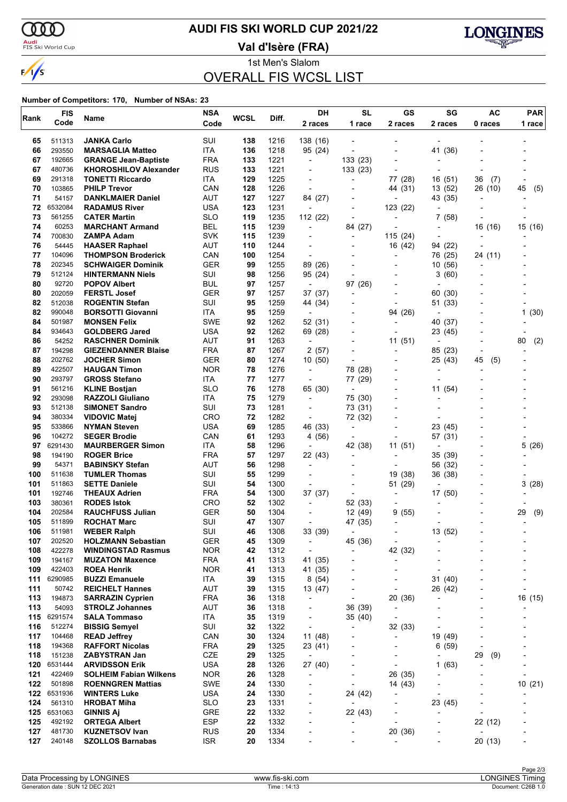$\alpha\alpha$ 

 $\sqrt{s}$ 

# **AUDI FIS SKI WORLD CUP 2021/22**

<mark>Audi</mark><br>FIS Ski World Cup

**Val d'Isère (FRA)**



1st Men's Slalom OVERALL FIS WCSL LIST

| Rank       | <b>FIS</b>       | Name                                          | <b>NSA</b>               | <b>WCSL</b> | Diff.        | DH                                         | <b>SL</b>                                  | GS                                         | SG                       | <b>AC</b>                | <b>PAR</b> |  |
|------------|------------------|-----------------------------------------------|--------------------------|-------------|--------------|--------------------------------------------|--------------------------------------------|--------------------------------------------|--------------------------|--------------------------|------------|--|
| Code       |                  |                                               | Code                     |             |              | 2 races                                    | 1 race                                     | 2 races                                    | 2 races                  | 0 races                  | 1 race     |  |
| 65         | 511313           | <b>JANKA Carlo</b>                            | SUI                      | 138         | 1216         | 138 (16)                                   |                                            |                                            |                          |                          |            |  |
| 66         | 293550           | <b>MARSAGLIA Matteo</b>                       | ITA                      | 136         | 1218         | 95 (24)                                    |                                            |                                            | 41 (36)                  |                          |            |  |
| 67         | 192665           | <b>GRANGE Jean-Baptiste</b>                   | <b>FRA</b>               | 133         | 1221         | $\overline{\phantom{a}}$                   | 133(23)                                    | $\overline{a}$                             |                          |                          |            |  |
| 67         | 480736           | <b>KHOROSHILOV Alexander</b>                  | <b>RUS</b>               | 133         | 1221         |                                            | 133 (23)                                   |                                            |                          |                          |            |  |
| 69         | 291318           | <b>TONETTI Riccardo</b>                       | ITA                      | 129         | 1225         | $\blacksquare$                             | $\overline{a}$                             | 77 (28)                                    | 16 (51)                  | 36<br>(7)                |            |  |
| 70         | 103865           | <b>PHILP Trevor</b>                           | CAN                      | 128         | 1226         | $\overline{\phantom{a}}$                   |                                            | 44 (31)                                    | 13 (52)                  | 26 (10)                  | 45<br>(5)  |  |
| 71         | 54157            | <b>DANKLMAIER Daniel</b>                      | AUT                      | 127         | 1227         | 84 (27)                                    |                                            | $\overline{a}$                             | 43 (35)                  |                          |            |  |
| 72         | 6532084          | <b>RADAMUS River</b>                          | <b>USA</b>               | 123         | 1231         | $\blacksquare$                             |                                            | 123 (22)                                   |                          |                          |            |  |
| 73         | 561255           | <b>CATER Martin</b>                           | <b>SLO</b>               | 119         | 1235         | 112 (22)                                   | $\overline{a}$                             |                                            | 7(58)                    |                          |            |  |
| 74         | 60253            | <b>MARCHANT Armand</b>                        | <b>BEL</b>               | 115         | 1239         | $\blacksquare$                             | 84 (27)                                    |                                            | $\blacksquare$           | 16 (16)                  | 15 (16)    |  |
| 74<br>76   | 700830<br>54445  | ZAMPA Adam<br><b>HAASER Raphael</b>           | <b>SVK</b><br><b>AUT</b> | 115<br>110  | 1239<br>1244 | $\overline{a}$                             | $\overline{\phantom{a}}$<br>$\blacksquare$ | 115 (24)<br>16 (42)                        | 94 (22)                  |                          |            |  |
| 77         | 104096           | <b>THOMPSON Broderick</b>                     | CAN                      | 100         | 1254         | $\overline{\phantom{a}}$                   |                                            |                                            | 76 (25)                  | 24 (11)                  |            |  |
| 78         | 202345           | <b>SCHWAIGER Dominik</b>                      | <b>GER</b>               | 99          | 1255         | 89 (26)                                    |                                            | $\overline{\phantom{0}}$                   | 10 (56)                  |                          |            |  |
| 79         | 512124           | <b>HINTERMANN Niels</b>                       | SUI                      | 98          | 1256         | 95 (24)                                    | $\overline{a}$                             | $\overline{a}$                             | 3(60)                    |                          |            |  |
| 80         | 92720            | <b>POPOV Albert</b>                           | <b>BUL</b>               | 97          | 1257         | $\overline{\phantom{a}}$                   | 97 (26)                                    |                                            |                          |                          |            |  |
| 80         | 202059           | <b>FERSTL Josef</b>                           | <b>GER</b>               | 97          | 1257         | 37 (37)                                    | $\overline{\phantom{a}}$                   | $\overline{\phantom{0}}$                   | 60<br>(30)               |                          |            |  |
| 82         | 512038           | <b>ROGENTIN Stefan</b>                        | SUI                      | 95          | 1259         | 44 (34)                                    | $\overline{a}$                             | $\blacksquare$                             | 51 (33)                  |                          |            |  |
| 82         | 990048           | <b>BORSOTTI Giovanni</b>                      | ITA                      | 95          | 1259         | $\overline{\phantom{a}}$                   |                                            | 94 (26)                                    | $\blacksquare$           |                          | 1(30)      |  |
| 84         | 501987           | <b>MONSEN Felix</b>                           | <b>SWE</b>               | 92          | 1262         | 52 (31)                                    |                                            |                                            | 40 (37)                  |                          |            |  |
| 84         | 934643           | <b>GOLDBERG Jared</b>                         | <b>USA</b>               | 92          | 1262         | 69 (28)                                    |                                            | $\overline{a}$                             | 23 (45)                  |                          |            |  |
| 86         | 54252            | <b>RASCHNER Dominik</b>                       | AUT                      | 91          | 1263         | $\overline{a}$                             |                                            | 11(51)                                     |                          |                          | 80<br>(2)  |  |
| 87         | 194298           | <b>GIEZENDANNER Blaise</b>                    | <b>FRA</b>               | 87          | 1267         | 2(57)                                      |                                            | $\overline{\phantom{0}}$                   | 85 (23)                  | $\blacksquare$           |            |  |
| 88         | 202762           | <b>JOCHER Simon</b>                           | <b>GER</b>               | 80          | 1274         | 10 (50)                                    |                                            | $\overline{\phantom{0}}$                   | 25 (43)                  | 45<br>(5)                |            |  |
| 89<br>90   | 422507           | <b>HAUGAN Timon</b><br><b>GROSS Stefano</b>   | <b>NOR</b><br><b>ITA</b> | 78<br>77    | 1276<br>1277 | $\overline{\phantom{a}}$<br>$\overline{a}$ | 78 (28)<br>77 (29)                         |                                            | ٠                        |                          |            |  |
| 91         | 293797<br>561216 | <b>KLINE Bostjan</b>                          | <b>SLO</b>               | 76          | 1278         | 65 (30)                                    | ÷                                          | $\overline{\phantom{0}}$<br>$\blacksquare$ | 11 (54)                  |                          |            |  |
| 92         | 293098           | <b>RAZZOLI Giuliano</b>                       | ITA                      | 75          | 1279         | $\overline{a}$                             | 75 (30)                                    |                                            |                          |                          |            |  |
| 93         | 512138           | <b>SIMONET Sandro</b>                         | SUI                      | 73          | 1281         | $\blacksquare$                             | 73 (31)                                    |                                            |                          |                          |            |  |
| 94         | 380334           | <b>VIDOVIC Matej</b>                          | CRO                      | 72          | 1282         | ÷,                                         | 72 (32)                                    |                                            |                          |                          |            |  |
| 95         | 533866           | <b>NYMAN Steven</b>                           | <b>USA</b>               | 69          | 1285         | 46 (33)                                    | $\blacksquare$                             |                                            | 23 (45)                  |                          |            |  |
| 96         | 104272           | <b>SEGER Brodie</b>                           | CAN                      | 61          | 1293         | 4(56)                                      |                                            |                                            | 57 (31)                  |                          |            |  |
| 97         | 6291430          | <b>MAURBERGER Simon</b>                       | ITA                      | 58          | 1296         | $\overline{\phantom{a}}$                   | 42 (38)                                    | 11 (51)                                    |                          |                          | 5 (26)     |  |
| 98         | 194190           | <b>ROGER Brice</b>                            | <b>FRA</b>               | 57          | 1297         | 22 (43)                                    |                                            |                                            | 35 (39)                  |                          |            |  |
| 99         | 54371            | <b>BABINSKY Stefan</b>                        | <b>AUT</b>               | 56          | 1298         | $\overline{\phantom{a}}$                   |                                            |                                            | 56 (32)                  |                          |            |  |
| 100        | 511638           | <b>TUMLER Thomas</b>                          | SUI                      | 55          | 1299         | $\blacksquare$                             |                                            | 19<br>(38)                                 | 36 (38)                  |                          |            |  |
| 101        | 511863           | <b>SETTE Daniele</b>                          | SUI                      | 54          | 1300         | $\overline{\phantom{a}}$                   |                                            | 51 (29)                                    | $\overline{\phantom{a}}$ |                          | 3(28)      |  |
| 101        | 192746           | <b>THEAUX Adrien</b>                          | <b>FRA</b>               | 54          | 1300         | 37 (37)                                    |                                            | $\overline{\phantom{0}}$                   | 17 (50)                  |                          |            |  |
| 103<br>104 | 380361<br>202584 | <b>RODES Istok</b>                            | <b>CRO</b>               | 52          | 1302         | $\overline{a}$                             | 52 (33)                                    | $\overline{\phantom{a}}$                   |                          |                          |            |  |
| 105        | 511899           | <b>RAUCHFUSS Julian</b><br><b>ROCHAT Marc</b> | <b>GER</b><br>SUI        | 50<br>47    | 1304<br>1307 | $\overline{a}$                             | 12 (49)<br>47 (35)                         | 9<br>(55)<br>$\overline{\phantom{a}}$      |                          |                          | 29<br>(9)  |  |
| 106        | 511981           | <b>WEBER Ralph</b>                            | SUI                      | 46          | 1308         | 33 (39)                                    |                                            |                                            | 13 (52)                  |                          |            |  |
| 107        | 202520           | <b>HOLZMANN Sebastian</b>                     | GER                      | 45          | 1309         |                                            | 45 (36)                                    | $\overline{a}$                             |                          |                          |            |  |
| 108        | 422278           | <b>WINDINGSTAD Rasmus</b>                     | <b>NOR</b>               | 42          | 1312         | $\overline{a}$                             | $\overline{\phantom{a}}$                   | 42 (32)                                    |                          |                          |            |  |
| 109        | 194167           | <b>MUZATON Maxence</b>                        | FRA                      | 41          | 1313         | 41 (35)                                    | $\overline{a}$                             | $\overline{\phantom{a}}$                   |                          |                          |            |  |
| 109        | 422403           | <b>ROEA Henrik</b>                            | <b>NOR</b>               | 41          | 1313         | 41 (35)                                    |                                            |                                            |                          |                          |            |  |
| 111        | 6290985          | <b>BUZZI Emanuele</b>                         | ITA                      | 39          | 1315         | 8(54)                                      | $\overline{a}$                             | $\qquad \qquad \blacksquare$               | 31 (40)                  |                          | -          |  |
| 111        | 50742            | <b>REICHELT Hannes</b>                        | AUT                      | 39          | 1315         | 13 (47)                                    | -                                          | $\overline{\phantom{a}}$                   | 26 (42)                  |                          |            |  |
| 113        | 194873           | <b>SARRAZIN Cyprien</b>                       | <b>FRA</b>               | 36          | 1318         | $\overline{\phantom{a}}$                   | $\overline{a}$                             | 20 (36)                                    |                          |                          | 16 (15)    |  |
| 113        | 54093            | <b>STROLZ Johannes</b>                        | <b>AUT</b>               | 36          | 1318         | -                                          | 36 (39)                                    | $\overline{\phantom{a}}$                   |                          |                          |            |  |
| 115        | 6291574          | <b>SALA Tommaso</b>                           | ITA                      | 35          | 1319         | $\overline{a}$                             | 35 (40)                                    | $\overline{\phantom{a}}$                   |                          |                          |            |  |
| 116        | 512274           | <b>BISSIG Semvel</b>                          | SUI                      | 32          | 1322         | $\overline{a}$                             |                                            | 32 (33)                                    |                          |                          |            |  |
| 117        | 104468           | <b>READ Jeffrey</b>                           | CAN                      | 30          | 1324         | 11 (48)<br>23 (41)                         | $\overline{a}$                             | -                                          | 19 (49)                  |                          |            |  |
| 118<br>118 | 194368<br>151238 | <b>RAFFORT Nicolas</b>                        | <b>FRA</b><br>CZE        | 29<br>29    | 1325<br>1325 |                                            | -                                          | -                                          | 6(59)<br>÷,              | $\overline{\phantom{a}}$ |            |  |
| 120        | 6531444          | <b>ZABYSTRAN Jan</b><br><b>ARVIDSSON Erik</b> | <b>USA</b>               | 28          | 1326         | $\overline{\phantom{a}}$<br>27 (40)        |                                            | $\overline{\phantom{0}}$                   | 1(63)                    | 29<br>(9)                |            |  |
| 121        | 422469           | <b>SOLHEIM Fabian Wilkens</b>                 | <b>NOR</b>               | 26          | 1328         | $\overline{\phantom{a}}$                   | $\overline{\phantom{a}}$                   | 26 (35)                                    | Ĭ.                       |                          |            |  |
| 122        | 501898           | <b>ROENNGREN Mattias</b>                      | SWE                      | 24          | 1330         |                                            | $\overline{a}$                             | 14 (43)                                    |                          |                          | 10(21)     |  |
| 122        | 6531936          | <b>WINTERS Luke</b>                           | <b>USA</b>               | 24          | 1330         | $\overline{\phantom{a}}$                   | 24 (42)                                    |                                            | $\overline{\phantom{a}}$ |                          |            |  |
| 124        | 561310           | <b>HROBAT Miha</b>                            | SLO                      | 23          | 1331         | $\overline{\phantom{a}}$                   |                                            | $\overline{\phantom{0}}$                   | 23 (45)                  |                          |            |  |
| 125        | 6531063          | <b>GINNIS Aj</b>                              | GRE                      | 22          | 1332         |                                            | 22 (43)                                    |                                            |                          |                          |            |  |
| 125        | 492192           | <b>ORTEGA Albert</b>                          | <b>ESP</b>               | 22          | 1332         | $\overline{\phantom{a}}$                   | $\overline{\phantom{a}}$                   | $\overline{\phantom{0}}$                   |                          | 22 (12)                  | -          |  |
| 127        | 481730           | <b>KUZNETSOV Ivan</b>                         | <b>RUS</b>               | 20          | 1334         | -                                          | ÷,                                         | 20 (36)                                    | ٠                        | $\overline{\phantom{a}}$ |            |  |
| 127        | 240148           | <b>SZOLLOS Barnabas</b>                       | <b>ISR</b>               | 20          | 1334         |                                            |                                            | ٠                                          | $\overline{a}$           | 20 (13)                  |            |  |
|            |                  |                                               |                          |             |              |                                            |                                            |                                            |                          |                          |            |  |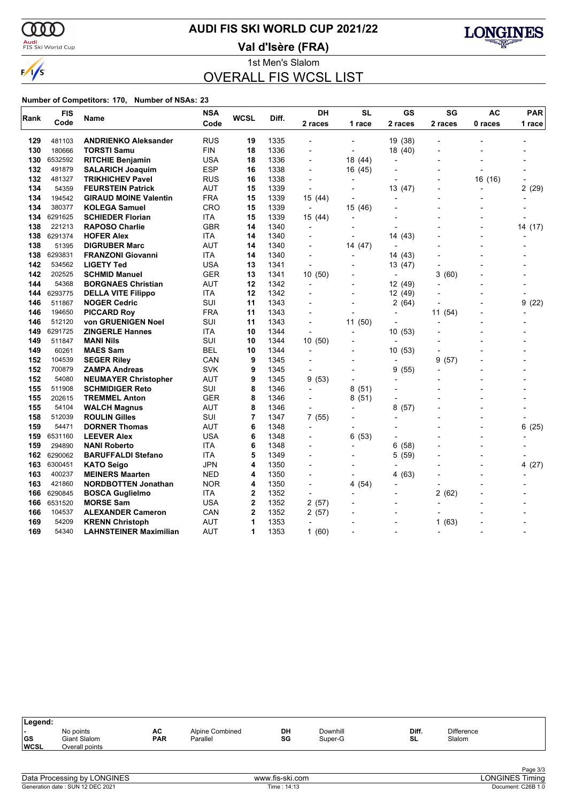$\omega$ 

 $\sqrt{s}$ 

# **AUDI FIS SKI WORLD CUP 2021/22**

<mark>Audi</mark><br>FIS Ski World Cup

**Val d'Isère (FRA)**



1st Men's Slalom OVERALL FIS WCSL LIST

| Rank | <b>FIS</b> | Name                          | <b>NSA</b> | WCSL           | Diff. | DH                       | <b>SL</b>                | GS             | SG        | <b>AC</b>                | <b>PAR</b> |  |
|------|------------|-------------------------------|------------|----------------|-------|--------------------------|--------------------------|----------------|-----------|--------------------------|------------|--|
|      | Code       |                               | Code       |                |       | 2 races                  | 1 race                   | 2 races        | 2 races   | 0 races                  | 1 race     |  |
| 129  | 481103     | <b>ANDRIENKO Aleksander</b>   | RUS        | 19             | 1335  |                          |                          | 19 (38)        |           |                          |            |  |
| 130  | 180666     | <b>TORSTI Samu</b>            | FIN        | 18             | 1336  | $\overline{\phantom{a}}$ | $\overline{\phantom{a}}$ | 18 (40)        |           | $\overline{\phantom{a}}$ |            |  |
| 130  | 6532592    | <b>RITCHIE Benjamin</b>       | USA        | 18             | 1336  |                          | 18 (44)                  |                |           |                          |            |  |
| 132  | 491879     | <b>SALARICH Joaquim</b>       | ESP        | 16             | 1338  | $\overline{a}$           | 16 (45)                  |                |           | $\overline{\phantom{a}}$ |            |  |
| 132  | 481327     | <b>TRIKHICHEV Pavel</b>       | RUS        | 16             | 1338  | $\overline{\phantom{a}}$ | $\overline{\phantom{a}}$ |                |           | 16 (16)                  |            |  |
| 134  | 54359      | <b>FEURSTEIN Patrick</b>      | AUT        | 15             | 1339  |                          |                          | 13 (47)        |           | $\overline{a}$           | 2(29)      |  |
| 134  | 194542     | <b>GIRAUD MOINE Valentin</b>  | FRA        | 15             | 1339  | 15 (44)                  |                          |                |           |                          |            |  |
| 134  | 380377     | <b>KOLEGA Samuel</b>          | CRO        | 15             | 1339  | ÷,                       | 15 (46)                  | $\overline{a}$ |           |                          |            |  |
| 134  | 6291625    | <b>SCHIEDER Florian</b>       | ITA        | 15             | 1339  | 15 (44)                  |                          |                |           |                          |            |  |
| 138  | 221213     | <b>RAPOSO Charlie</b>         | <b>GBR</b> | 14             | 1340  | $\overline{a}$           |                          | $\overline{a}$ |           |                          | 14 (17)    |  |
| 138  | 6291374    | <b>HOFER Alex</b>             | ITA        | 14             | 1340  | $\overline{a}$           | $\overline{\phantom{0}}$ | 14 (43)        |           | $\overline{a}$           |            |  |
| 138  | 51395      | <b>DIGRUBER Marc</b>          | AUT        | 14             | 1340  |                          | 14 (47)                  |                |           |                          |            |  |
| 138  | 6293831    | <b>FRANZONI Giovanni</b>      | ITA        | 14             | 1340  | $\overline{\phantom{a}}$ |                          | 14 (43)        |           |                          |            |  |
| 142  | 534562     | <b>LIGETY Ted</b>             | USA        | 13             | 1341  | $\overline{\phantom{a}}$ | $\overline{\phantom{a}}$ | 13 (47)        |           |                          |            |  |
| 142  | 202525     | <b>SCHMID Manuel</b>          | GER        | 13             | 1341  | 10(50)                   |                          |                | 3<br>(60) |                          |            |  |
| 144  | 54368      | <b>BORGNAES Christian</b>     | AUT        | 12             | 1342  | ÷,                       |                          | 12 (49)        |           |                          |            |  |
| 144  | 6293775    | <b>DELLA VITE Filippo</b>     | ITA        | 12             | 1342  |                          | $\overline{\phantom{a}}$ | 12 (49)        |           |                          |            |  |
| 146  | 511867     | <b>NOGER Cedric</b>           | SUI        | 11             | 1343  |                          |                          | 2(64)          |           |                          | 9<br>(22)  |  |
| 146  | 194650     | <b>PICCARD Roy</b>            | FRA        | 11             | 1343  |                          |                          | $\overline{a}$ | 11 (54)   |                          |            |  |
| 146  | 512120     | von GRUENIGEN Noel            | SUI        | 11             | 1343  | $\overline{\phantom{a}}$ | 11(50)                   | $\overline{a}$ |           | $\blacksquare$           |            |  |
| 149  | 6291725    | <b>ZINGERLE Hannes</b>        | ITA        | 10             | 1344  |                          |                          | 10(53)         |           |                          |            |  |
| 149  | 511847     | <b>MANI Nils</b>              | SUI        | 10             | 1344  | 10 (50)                  |                          |                |           |                          |            |  |
| 149  | 60261      | <b>MAES Sam</b>               | BEL        | 10             | 1344  | $\overline{a}$           |                          | 10 (53)        |           |                          |            |  |
| 152  | 104539     | <b>SEGER Riley</b>            | CAN        | 9              | 1345  |                          |                          |                | 9<br>(57) |                          |            |  |
| 152  | 700879     | <b>ZAMPA Andreas</b>          | <b>SVK</b> | 9              | 1345  |                          |                          | (55)<br>9      |           |                          |            |  |
| 152  | 54080      | <b>NEUMAYER Christopher</b>   | AUT        | 9              | 1345  | 9(53)                    | $\blacksquare$           |                |           |                          |            |  |
| 155  | 511908     | <b>SCHMIDIGER Reto</b>        | SUI        | 8              | 1346  |                          | 8<br>(51)                |                |           |                          |            |  |
| 155  | 202615     | <b>TREMMEL Anton</b>          | GER        | 8              | 1346  |                          | 8(51)                    |                |           |                          |            |  |
| 155  | 54104      | <b>WALCH Magnus</b>           | AUT        | 8              | 1346  | $\overline{a}$           | $\blacksquare$           | 8<br>(57)      |           | $\overline{a}$           |            |  |
| 158  | 512039     | <b>ROULIN Gilles</b>          | SUI        | 7              | 1347  | 7(55)                    |                          |                |           |                          |            |  |
| 159  | 54471      | <b>DORNER Thomas</b>          | AUT        | 6              | 1348  | $\overline{a}$           |                          |                |           | $\overline{a}$           | 6(25)      |  |
| 159  | 6531160    | <b>LEEVER Alex</b>            | USA        | 6              | 1348  | $\overline{\phantom{0}}$ | 6(53)                    |                |           | $\overline{a}$           |            |  |
| 159  | 294890     | <b>NANI Roberto</b>           | <b>ITA</b> | 6              | 1348  |                          |                          | 6<br>(58)      |           |                          |            |  |
| 162  | 6290062    | <b>BARUFFALDI Stefano</b>     | ITA        | 5              | 1349  |                          |                          | 5<br>(59)      |           | $\overline{a}$           |            |  |
| 163  | 6300451    | <b>KATO Seigo</b>             | <b>JPN</b> | 4              | 1350  | $\overline{a}$           |                          | $\overline{a}$ |           | $\overline{a}$           | 4(27)      |  |
| 163  | 400237     | <b>MEINERS Maarten</b>        | <b>NED</b> | 4              | 1350  |                          |                          | (63)<br>4      |           |                          |            |  |
| 163  | 421860     | <b>NORDBOTTEN Jonathan</b>    | <b>NOR</b> | 4              | 1350  | $\overline{a}$           | 4(54)                    |                |           |                          |            |  |
| 166  | 6290845    | <b>BOSCA Guglielmo</b>        | ITA        | $\overline{2}$ | 1352  | L,                       |                          | $\overline{a}$ | 2<br>(62) |                          |            |  |
| 166  | 6531520    | <b>MORSE Sam</b>              | <b>USA</b> | $\mathbf 2$    | 1352  | 2(57)                    |                          |                |           |                          |            |  |
| 166  | 104537     | <b>ALEXANDER Cameron</b>      | CAN        | $\overline{2}$ | 1352  | 2(57)                    |                          | $\overline{a}$ |           |                          |            |  |
| 169  | 54209      | <b>KRENN Christoph</b>        | <b>AUT</b> | 1              | 1353  | $\overline{\phantom{a}}$ |                          |                | (63)<br>1 |                          |            |  |
| 169  | 54340      | <b>LAHNSTEINER Maximilian</b> | <b>AUT</b> | 1              | 1353  | 1(60)                    |                          |                |           |                          |            |  |

| Legend:                   |                                             |                  |                             |          |                     |             |                             |  |
|---------------------------|---------------------------------------------|------------------|-----------------------------|----------|---------------------|-------------|-----------------------------|--|
| . .<br> GS<br><b>WCSL</b> | No points<br>Giant Slalom<br>Overall points | AC<br><b>PAR</b> | Alpine Combined<br>Parallel | DH<br>SG | Downhill<br>Super-G | Diff.<br>SL | <b>Difference</b><br>Slalom |  |
|                           |                                             |                  |                             |          |                     |             |                             |  |

| Data Processing by LONGINES      |  |
|----------------------------------|--|
| Generation date: SUN 12 DEC 2021 |  |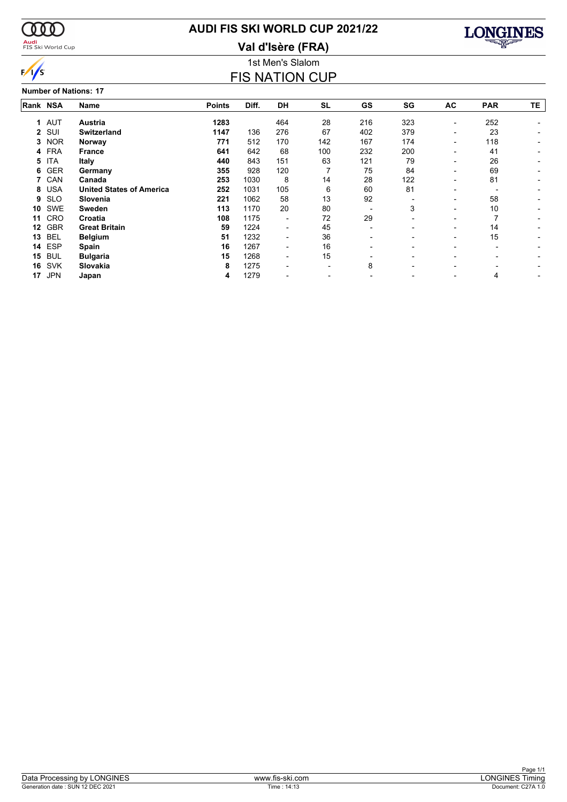

#### <mark>Audi</mark><br>FIS Ski World Cup

# **AUDI FIS SKI WORLD CUP 2021/22**

**Val d'Isère (FRA)**



#### 1st Men's Slalom FIS NATION CUP

**Number of Nations: 17**

|          | זו פווטואו וט ושמוווא |                                 |               |       |                          |           |     |     |                          |            |     |  |  |  |
|----------|-----------------------|---------------------------------|---------------|-------|--------------------------|-----------|-----|-----|--------------------------|------------|-----|--|--|--|
| Rank NSA |                       | Name                            | <b>Points</b> | Diff. | DH                       | <b>SL</b> | GS  | SG  | AC                       | <b>PAR</b> | TE. |  |  |  |
|          | 1 AUT                 | Austria                         | 1283          |       | 464                      | 28        | 216 | 323 | $\overline{\phantom{a}}$ | 252        |     |  |  |  |
|          | 2 SUI                 | <b>Switzerland</b>              | 1147          | 136   | 276                      | 67        | 402 | 379 |                          | 23         |     |  |  |  |
| 3        | <b>NOR</b>            | Norway                          | 771           | 512   | 170                      | 142       | 167 | 174 | $\overline{\phantom{0}}$ | 118        |     |  |  |  |
|          | 4 FRA                 | <b>France</b>                   | 641           | 642   | 68                       | 100       | 232 | 200 |                          | 41         |     |  |  |  |
| 5        | <b>ITA</b>            | Italy                           | 440           | 843   | 151                      | 63        | 121 | 79  |                          | 26         |     |  |  |  |
| 6        | <b>GER</b>            | Germany                         | 355           | 928   | 120                      |           | 75  | 84  |                          | 69         |     |  |  |  |
|          | 7 CAN                 | Canada                          | 253           | 1030  | 8                        | 14        | 28  | 122 | $\overline{\phantom{0}}$ | 81         |     |  |  |  |
| 8        | <b>USA</b>            | <b>United States of America</b> | 252           | 1031  | 105                      | 6         | 60  | 81  |                          |            |     |  |  |  |
| 9        | <b>SLO</b>            | Slovenia                        | 221           | 1062  | 58                       | 13        | 92  |     | $\overline{\phantom{0}}$ | 58         |     |  |  |  |
| 10       | <b>SWE</b>            | <b>Sweden</b>                   | 113           | 1170  | 20                       | 80        |     | 3   | $\overline{\phantom{0}}$ | 10         |     |  |  |  |
| 11       | <b>CRO</b>            | Croatia                         | 108           | 1175  | $\overline{\phantom{0}}$ | 72        | 29  |     | $\overline{\phantom{0}}$ |            |     |  |  |  |
| 12       | <b>GBR</b>            | <b>Great Britain</b>            | 59            | 1224  | $\overline{\phantom{0}}$ | 45        |     |     | $\overline{\phantom{0}}$ | 14         |     |  |  |  |
| 13       | <b>BEL</b>            | <b>Belgium</b>                  | 51            | 1232  | $\overline{\phantom{0}}$ | 36        |     |     | $\overline{\phantom{0}}$ | 15         |     |  |  |  |
| 14       | ESP                   | <b>Spain</b>                    | 16            | 1267  |                          | 16        |     |     |                          |            |     |  |  |  |
| 15       | <b>BUL</b>            | <b>Bulgaria</b>                 | 15            | 1268  |                          | 15        |     |     |                          |            |     |  |  |  |
| 16       | <b>SVK</b>            | Slovakia                        | 8             | 1275  |                          |           | 8   |     |                          |            |     |  |  |  |
| 17       | <b>JPN</b>            | Japan                           | 4             | 1279  |                          |           |     |     |                          | 4          |     |  |  |  |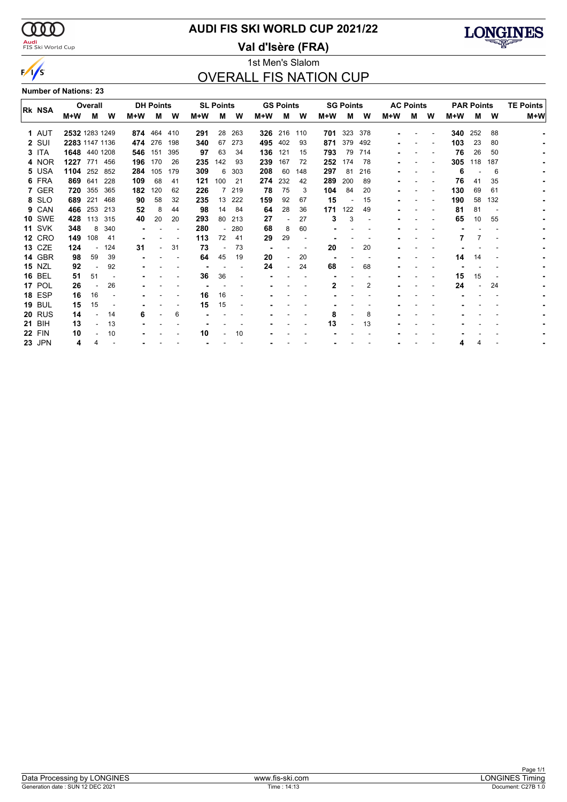$\alpha\alpha$ <mark>Audi</mark><br>FIS Ski World Cup

 $\sqrt{s}$ 

## **AUDI FIS SKI WORLD CUP 2021/22**

**Val d'Isère (FRA)**



#### 1st Men's Slalom OVERALL FIS NATION CUP

**Number of Nations: 23**

|  | <b>RK NSA</b> |                | Overall |     |     | <b>DH Points</b> |     |     | <b>SL Points</b> |     |     | <b>GS Points</b>         |     |     | <b>SG Points</b> |     |       | <b>AC Points</b> |   | <b>PAR Points</b> |     |     | <b>TE Points</b> |
|--|---------------|----------------|---------|-----|-----|------------------|-----|-----|------------------|-----|-----|--------------------------|-----|-----|------------------|-----|-------|------------------|---|-------------------|-----|-----|------------------|
|  |               | M+W            | М       | W   | M+W | м                | W   | M+W | м                | W   | M+W | м                        | W   | M+W | M                | w   | $M+W$ | м                | W | $M+W$             | М   | W   | M+W              |
|  | 1 AUT         | 2532 1283 1249 |         |     |     | 874 464 410      |     | 291 | 28               | 263 | 326 | 216                      | 110 |     | <b>701</b> 323   | 378 |       |                  |   | 340               | 252 | 88  |                  |
|  | $2$ SUI       | 2283 1147 1136 |         |     |     | 474 276          | 198 | 340 | 67               | 273 | 495 | 402                      | 93  | 871 | 379              | 492 |       |                  |   | 103               | 23  | 80  |                  |
|  | 3 ITA         | 1648 440 1208  |         |     | 546 | 151              | 395 | 97  | 63               | 34  | 136 | 121                      | 15  | 793 | 79               | 714 |       |                  |   | 76                | 26  | 50  |                  |
|  | 4 NOR         | 1227           | 771     | 456 | 196 | 170              | 26  | 235 | 142              | 93  | 239 | 167                      | 72  | 252 | 174              | 78  |       |                  |   | 305               | 118 | 187 |                  |
|  | 5 USA         | 1104 252 852   |         |     | 284 | 105              | 179 | 309 | 6                | 303 | 208 | 60                       | 148 | 297 | -81              | 216 |       |                  |   | 6                 |     | 6   |                  |
|  | 6 FRA         | 869            | 641     | 228 | 109 | 68               | 41  | 121 | 100              | 21  | 274 | 232                      | 42  | 289 | 200              | 89  |       |                  |   | 76                | 41  | 35  |                  |
|  | 7 GER         | 720            | 355     | 365 | 182 | 120              | 62  | 226 |                  | 219 | 78  | 75                       | 3   | 104 | 84               | 20  |       |                  |   | 130               | 69  | 61  |                  |
|  | 8 SLO         | 689            | 221     | 468 | 90  | 58               | 32  | 235 | 13               | 222 | 159 | 92                       | 67  | 15  |                  | 15  |       |                  |   | 190               | 58  | 132 |                  |
|  | 9 CAN         | 466            | 253     | 213 | 52  | 8                | 44  | 98  | 14               | 84  | 64  | 28                       | 36  | 171 | 122              | 49  |       |                  |   | 81                | 81  |     |                  |
|  | <b>10 SWE</b> | 428            | 113     | 315 | 40  | 20               | 20  | 293 | 80               | 213 | 27  | $\overline{\phantom{a}}$ | 27  | 3   | 3                |     |       |                  |   | 65                | 10  | 55  |                  |
|  | <b>11 SVK</b> | 348            | 8       | 340 |     |                  |     | 280 |                  | 280 | 68  | 8                        | 60  |     |                  |     |       |                  |   |                   |     |     |                  |
|  | <b>12 CRO</b> | 149            | 108     | 41  |     |                  |     | 113 | 72               | 41  | 29  | 29                       |     |     |                  |     |       |                  |   |                   |     |     |                  |
|  | <b>13 CZE</b> | 124            |         | 124 | 31  |                  | 31  | 73  |                  | 73  |     |                          |     | 20  |                  | 20  |       |                  |   |                   |     |     |                  |
|  | 14 GBR        | 98             | 59      | 39  |     |                  |     | 64  | 45               | 19  | 20  |                          | 20  |     |                  |     |       |                  |   | 14                | 14  |     |                  |
|  | <b>15 NZL</b> | 92             |         | 92  |     |                  |     |     |                  |     | 24  | $\overline{a}$           | 24  | 68  |                  | 68  |       |                  |   |                   |     |     |                  |
|  | <b>16 BEL</b> | 51             | 51      |     |     |                  |     | 36  | 36               |     |     |                          |     |     |                  |     |       |                  |   | 15                | 15  |     |                  |
|  | 17 POL        | 26             |         | 26  |     |                  |     |     |                  |     |     |                          |     | 2   |                  | 2   |       |                  |   | 24                |     | 24  |                  |
|  | <b>18 ESP</b> | 16             | 16      |     |     |                  |     | 16  | 16               |     |     |                          |     |     |                  |     |       |                  |   |                   |     |     |                  |
|  | <b>19 BUL</b> | 15             | 15      |     |     |                  |     | 15  | 15               |     |     |                          |     |     |                  |     |       |                  |   |                   |     |     |                  |
|  | <b>20 RUS</b> | 14             |         | 14  | 6   |                  | 6   |     |                  |     |     |                          |     | 8   |                  | 8   |       |                  |   |                   |     |     |                  |
|  | <b>21 BIH</b> | 13             |         | 13  |     |                  |     |     |                  |     |     |                          |     | 13  |                  | 13  |       |                  |   |                   |     |     |                  |
|  | <b>22 FIN</b> | 10             |         | 10  |     |                  |     | 10  |                  | 10  |     |                          |     |     |                  |     |       |                  |   |                   |     |     |                  |
|  | <b>23 JPN</b> | 4              |         |     |     |                  |     |     |                  |     |     |                          |     |     |                  |     |       |                  |   |                   |     |     |                  |
|  |               |                |         |     |     |                  |     |     |                  |     |     |                          |     |     |                  |     |       |                  |   |                   |     |     |                  |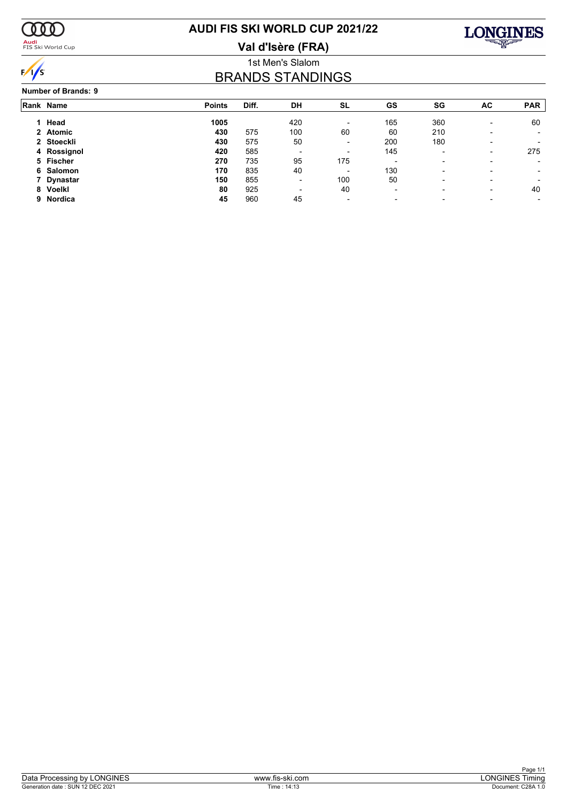

#### <mark>Audi</mark><br>FIS Ski World Cup

# **AUDI FIS SKI WORLD CUP 2021/22**

**Val d'Isère (FRA)**



#### 1st Men's Slalom BRANDS STANDINGS

#### **Number of Brands: 9**

|   | Rank Name   | <b>Points</b> | Diff. | DH                       | <b>SL</b>                | <b>GS</b>                | SG                       | AC                       | <b>PAR</b>               |
|---|-------------|---------------|-------|--------------------------|--------------------------|--------------------------|--------------------------|--------------------------|--------------------------|
|   |             |               |       |                          |                          |                          |                          |                          |                          |
|   | 1 Head      | 1005          |       | 420                      | $\overline{\phantom{a}}$ | 165                      | 360                      | $\overline{\phantom{0}}$ | 60                       |
|   | 2 Atomic    | 430           | 575   | 100                      | 60                       | 60                       | 210                      |                          | $\overline{\phantom{0}}$ |
|   | 2 Stoeckli  | 430           | 575   | 50                       | $\overline{\phantom{a}}$ | 200                      | 180                      | $\overline{\phantom{0}}$ |                          |
|   | 4 Rossignol | 420           | 585   |                          | $\overline{\phantom{a}}$ | 145                      | $\overline{\phantom{0}}$ | $\overline{\phantom{0}}$ | 275                      |
|   | 5 Fischer   | 270           | 735   | 95                       | 175                      | $\overline{\phantom{0}}$ | $\overline{\phantom{0}}$ |                          |                          |
|   | 6 Salomon   | 170           | 835   | 40                       | $\overline{\phantom{a}}$ | 130                      | ۰                        |                          |                          |
|   | 7 Dynastar  | 150           | 855   | $\overline{\phantom{0}}$ | 100                      | 50                       | ۰                        |                          |                          |
| 8 | Voelkl      | 80            | 925   |                          | 40                       | $\overline{\phantom{0}}$ | $\overline{\phantom{0}}$ | $\overline{\phantom{0}}$ | 40                       |
|   | 9 Nordica   | 45            | 960   | 45                       | $\overline{\phantom{a}}$ | $\overline{\phantom{0}}$ | ۰                        |                          |                          |